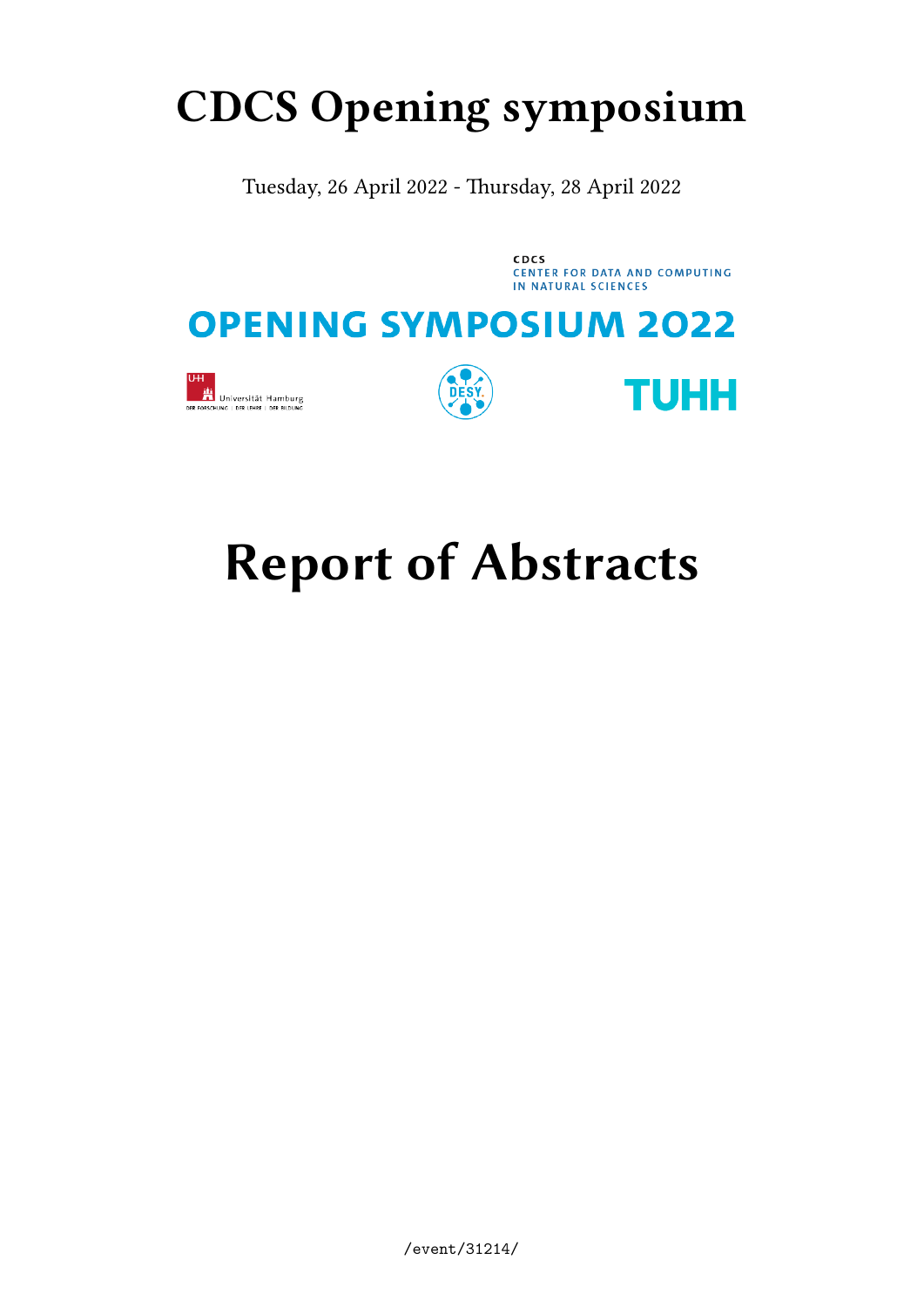## **CDCS Opening symposium**

Tuesday, 26 April 2022 - Thursday, 28 April 2022

**CDCS** CENTER FOR DATA AND COMPUTING IN NATURAL SCIENCES

## **OPENING SYMPOSIUM 2022**







# **Report of Abstracts**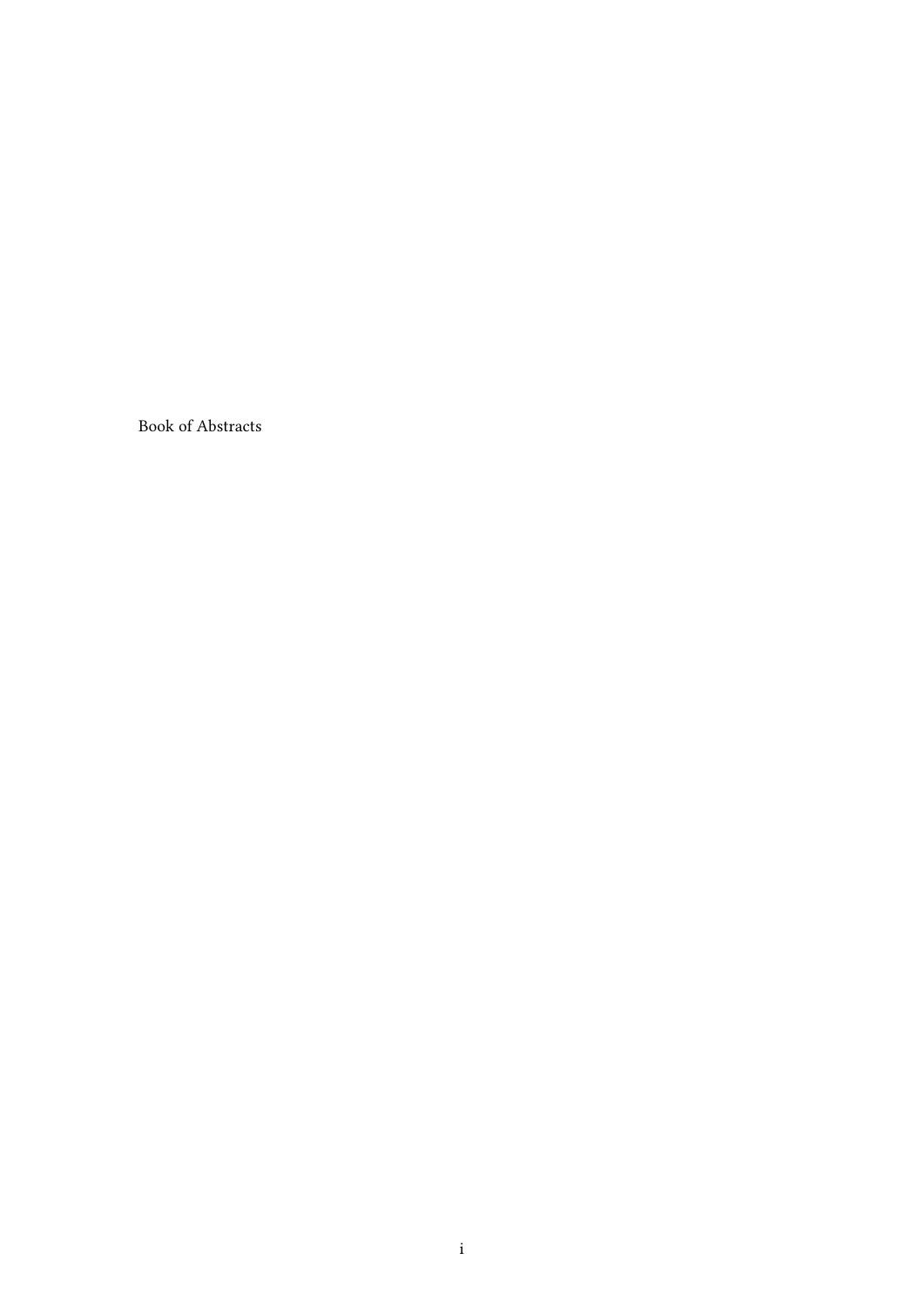Book of Abstracts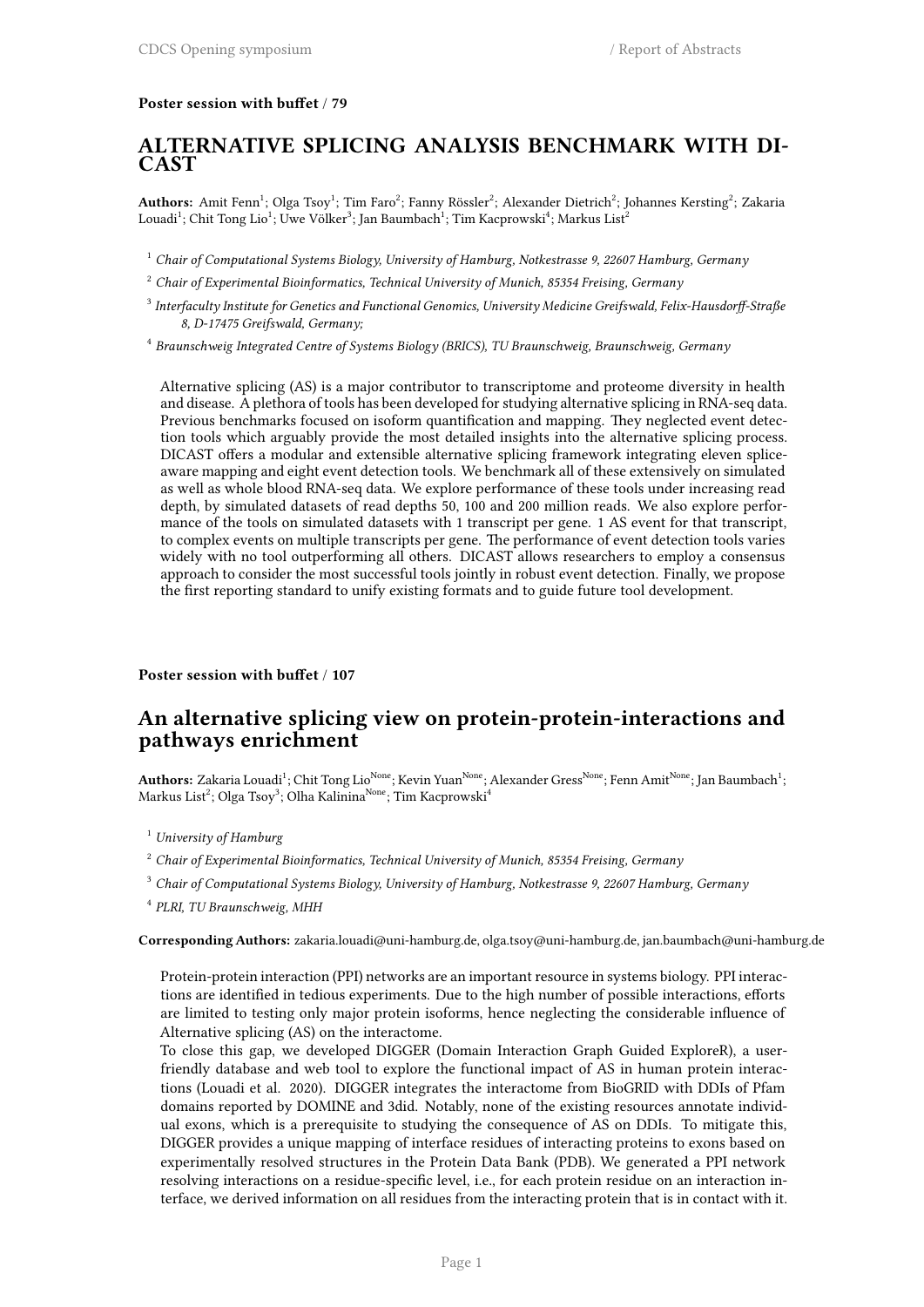### **Poster session with buffet** / **79**

### **ALTERNATIVE SPLICING ANALYSIS BENCHMARK WITH DI-CAST**

<code>Authors:</code> Amit Fenn $^1$ ; Olga Tsoy $^1$ ; Tim Faro $^2$ ; Fanny Rössler $^2$ ; Alexander Dietrich $^2$ ; Johannes Kersting $^2$ ; Zakaria  $\rm{Louadi}^1;$  Chit Tong  $\rm{Lio}^1;$  Uwe Völker $^3;$  Jan Baumbach $^1;$  Tim Kacprowski $^4;$  Markus  $\rm{List}^2$ 

<sup>1</sup> *Chair of Computational Systems Biology, University of Hamburg, Notkestrasse 9, 22607 Hamburg, Germany*

<sup>2</sup> *Chair of Experimental Bioinformatics, Technical University of Munich, 85354 Freising, Germany*

- 3 *Interfaculty Institute for Genetics and Functional Genomics, University Medicine Greifswald, Felix-Hausdorff-Straße 8, D-17475 Greifswald, Germany;*
- 4 *Braunschweig Integrated Centre of Systems Biology (BRICS), TU Braunschweig, Braunschweig, Germany*

Alternative splicing (AS) is a major contributor to transcriptome and proteome diversity in health and disease. A plethora of tools has been developed for studying alternative splicing in RNA-seq data. Previous benchmarks focused on isoform quantification and mapping. They neglected event detection tools which arguably provide the most detailed insights into the alternative splicing process. DICAST offers a modular and extensible alternative splicing framework integrating eleven spliceaware mapping and eight event detection tools. We benchmark all of these extensively on simulated as well as whole blood RNA-seq data. We explore performance of these tools under increasing read depth, by simulated datasets of read depths 50, 100 and 200 million reads. We also explore performance of the tools on simulated datasets with 1 transcript per gene. 1 AS event for that transcript, to complex events on multiple transcripts per gene. The performance of event detection tools varies widely with no tool outperforming all others. DICAST allows researchers to employ a consensus approach to consider the most successful tools jointly in robust event detection. Finally, we propose the first reporting standard to unify existing formats and to guide future tool development.

### **Poster session with buffet** / **107**

### **An alternative splicing view on protein-protein-interactions and pathways enrichment**

 ${\bf Authors:}$  Zakaria Louadi<sup>1</sup>; Chit Tong Lio<sup>None</sup>; Kevin Yuan<sup>None</sup>; Alexander Gress<sup>None</sup>; Fenn Amit<sup>None</sup>; Jan Baumbach<sup>1</sup>; Markus List<sup>2</sup>; Olga Tsoy<sup>3</sup>; Olha Kalinina<sup>None</sup>; Tim Kacprowski<sup>4</sup>

- <sup>1</sup> *University of Hamburg*
- <sup>2</sup> *Chair of Experimental Bioinformatics, Technical University of Munich, 85354 Freising, Germany*
- <sup>3</sup> *Chair of Computational Systems Biology, University of Hamburg, Notkestrasse 9, 22607 Hamburg, Germany*
- 4 *PLRI, TU Braunschweig, MHH*

**Corresponding Authors:** zakaria.louadi@uni-hamburg.de, olga.tsoy@uni-hamburg.de, jan.baumbach@uni-hamburg.de

Protein-protein interaction (PPI) networks are an important resource in systems biology. PPI interactions are identified in tedious experiments. Due to the high number of possible interactions, efforts are limited to testing only major protein isoforms, hence neglecting the considerable influence of Alternative splicing (AS) on the interactome.

To close this gap, we developed DIGGER (Domain Interaction Graph Guided ExploreR), a userfriendly database and web tool to explore the functional impact of AS in human protein interactions (Louadi et al. 2020). DIGGER integrates the interactome from BioGRID with DDIs of Pfam domains reported by DOMINE and 3did. Notably, none of the existing resources annotate individual exons, which is a prerequisite to studying the consequence of AS on DDIs. To mitigate this, DIGGER provides a unique mapping of interface residues of interacting proteins to exons based on experimentally resolved structures in the Protein Data Bank (PDB). We generated a PPI network resolving interactions on a residue-specific level, i.e., for each protein residue on an interaction interface, we derived information on all residues from the interacting protein that is in contact with it.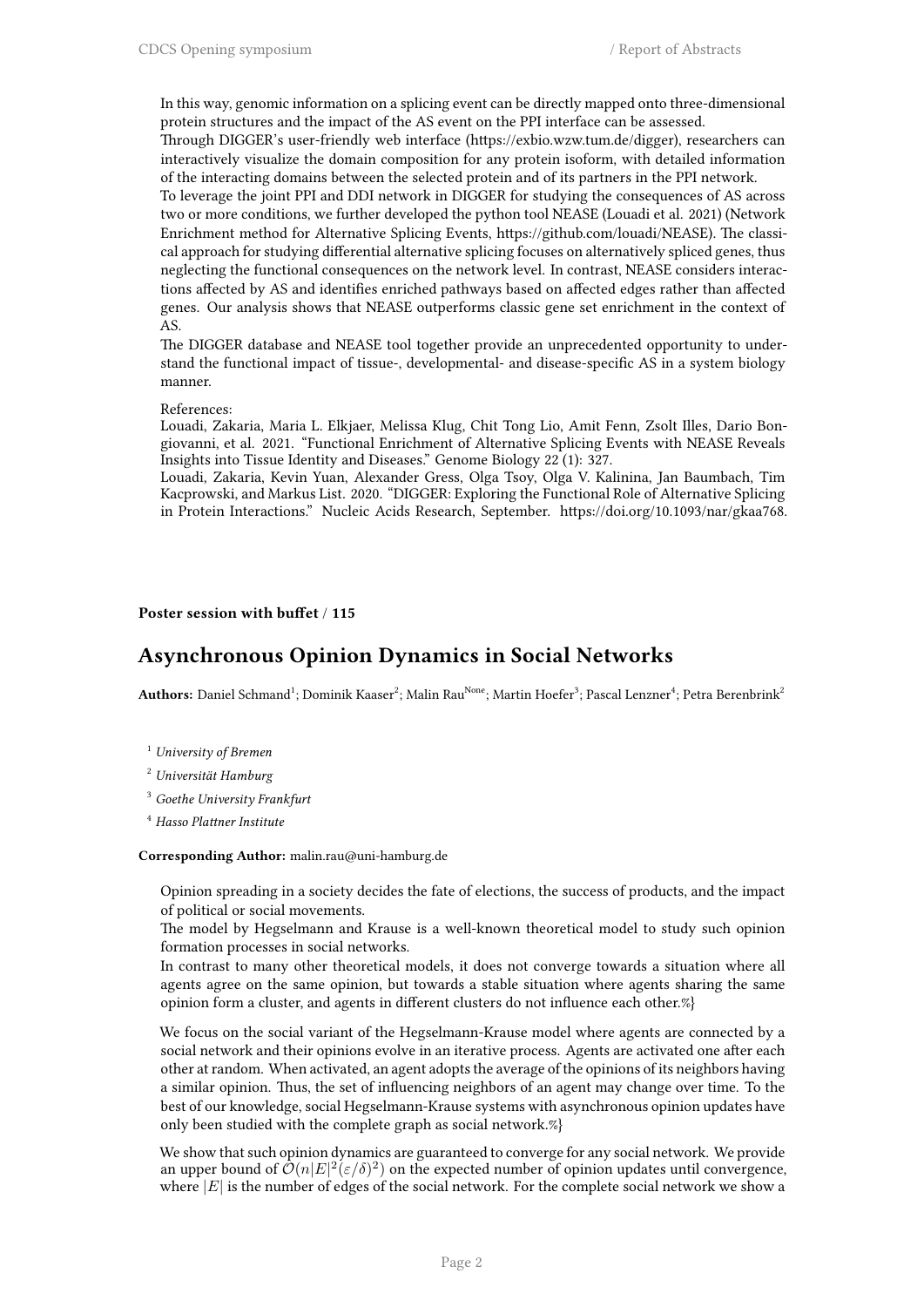In this way, genomic information on a splicing event can be directly mapped onto three-dimensional protein structures and the impact of the AS event on the PPI interface can be assessed.

Through DIGGER's user-friendly web interface (https://exbio.wzw.tum.de/digger), researchers can interactively visualize the domain composition for any protein isoform, with detailed information of the interacting domains between the selected protein and of its partners in the PPI network.

To leverage the joint PPI and DDI network in DIGGER for studying the consequences of AS across two or more conditions, we further developed the python tool NEASE (Louadi et al. 2021) (Network Enrichment method for Alternative Splicing Events, https://github.com/louadi/NEASE). The classical approach for studying differential alternative splicing focuses on alternatively spliced genes, thus neglecting the functional consequences on the network level. In contrast, NEASE considers interactions affected by AS and identifies enriched pathways based on affected edges rather than affected genes. Our analysis shows that NEASE outperforms classic gene set enrichment in the context of AS.

The DIGGER database and NEASE tool together provide an unprecedented opportunity to understand the functional impact of tissue-, developmental- and disease-specific AS in a system biology manner.

#### References:

Louadi, Zakaria, Maria L. Elkjaer, Melissa Klug, Chit Tong Lio, Amit Fenn, Zsolt Illes, Dario Bongiovanni, et al. 2021. "Functional Enrichment of Alternative Splicing Events with NEASE Reveals Insights into Tissue Identity and Diseases." Genome Biology 22 (1): 327.

Louadi, Zakaria, Kevin Yuan, Alexander Gress, Olga Tsoy, Olga V. Kalinina, Jan Baumbach, Tim Kacprowski, and Markus List. 2020. "DIGGER: Exploring the Functional Role of Alternative Splicing in Protein Interactions." Nucleic Acids Research, September. https://doi.org/10.1093/nar/gkaa768.

#### **Poster session with buffet** / **115**

### **Asynchronous Opinion Dynamics in Social Networks**

 ${\bf Authors:}$  Daniel Schmand<sup>1</sup>; Dominik Kaaser<sup>2</sup>; Malin Rau<sup>None</sup>; Martin Hoefer<sup>3</sup>; Pascal Lenzner<sup>4</sup>; Petra Berenbrink<sup>2</sup>

- <sup>1</sup> *University of Bremen*
- <sup>2</sup> *Universität Hamburg*
- <sup>3</sup> *Goethe University Frankfurt*
- <sup>4</sup> *Hasso Plattner Institute*

#### **Corresponding Author:** malin.rau@uni-hamburg.de

Opinion spreading in a society decides the fate of elections, the success of products, and the impact of political or social movements.

The model by Hegselmann and Krause is a well-known theoretical model to study such opinion formation processes in social networks.

In contrast to many other theoretical models, it does not converge towards a situation where all agents agree on the same opinion, but towards a stable situation where agents sharing the same opinion form a cluster, and agents in different clusters do not influence each other.%}

We focus on the social variant of the Hegselmann-Krause model where agents are connected by a social network and their opinions evolve in an iterative process. Agents are activated one after each other at random. When activated, an agent adopts the average of the opinions of its neighbors having a similar opinion. Thus, the set of influencing neighbors of an agent may change over time. To the best of our knowledge, social Hegselmann-Krause systems with asynchronous opinion updates have only been studied with the complete graph as social network.%}

We show that such opinion dynamics are guaranteed to converge for any social network. We provide an upper bound of  $\mathcal{O}(n|E|^2(\varepsilon/\delta)^2)$  on the expected number of opinion updates until convergence, where  $|E|$  is the number of edges of the social network. For the complete social network we show a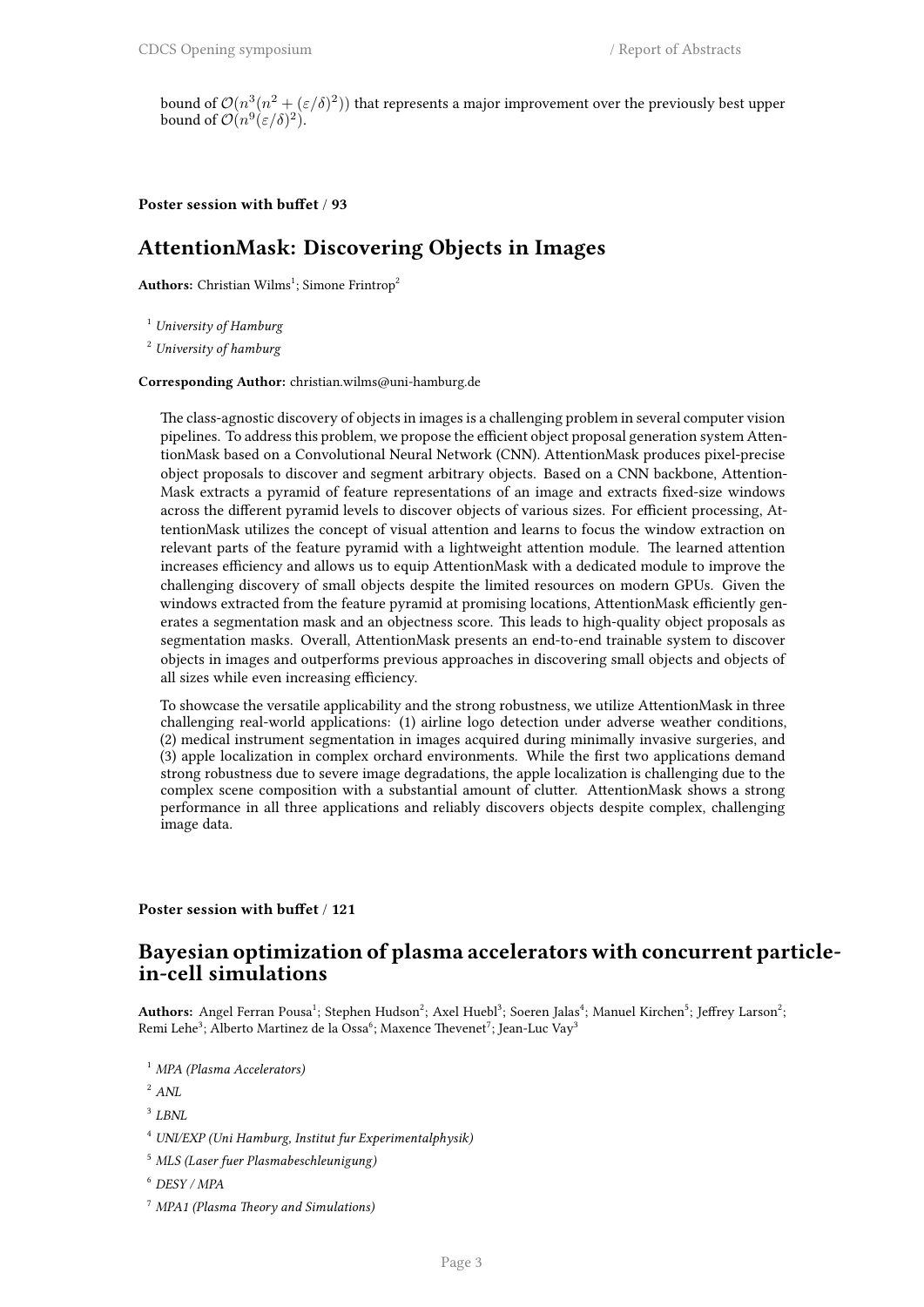bound of  $\mathcal{O}(n^3(n^2 + (\varepsilon/\delta)^2))$  that represents a major improvement over the previously best upper bound of  $\mathcal{O}(n^9(\varepsilon/\delta)^2)$ .

### **Poster session with buffet** / **93**

### **AttentionMask: Discovering Objects in Images**

**Authors:** Christian Wilms<sup>1</sup>; Simone Frintrop<sup>2</sup>

<sup>1</sup> *University of Hamburg*

<sup>2</sup> *University of hamburg*

**Corresponding Author:** christian.wilms@uni-hamburg.de

The class-agnostic discovery of objects in images is a challenging problem in several computer vision pipelines. To address this problem, we propose the efficient object proposal generation system AttentionMask based on a Convolutional Neural Network (CNN). AttentionMask produces pixel-precise object proposals to discover and segment arbitrary objects. Based on a CNN backbone, Attention-Mask extracts a pyramid of feature representations of an image and extracts fixed-size windows across the different pyramid levels to discover objects of various sizes. For efficient processing, AttentionMask utilizes the concept of visual attention and learns to focus the window extraction on relevant parts of the feature pyramid with a lightweight attention module. The learned attention increases efficiency and allows us to equip AttentionMask with a dedicated module to improve the challenging discovery of small objects despite the limited resources on modern GPUs. Given the windows extracted from the feature pyramid at promising locations, AttentionMask efficiently generates a segmentation mask and an objectness score. This leads to high-quality object proposals as segmentation masks. Overall, AttentionMask presents an end-to-end trainable system to discover objects in images and outperforms previous approaches in discovering small objects and objects of all sizes while even increasing efficiency.

To showcase the versatile applicability and the strong robustness, we utilize AttentionMask in three challenging real-world applications: (1) airline logo detection under adverse weather conditions, (2) medical instrument segmentation in images acquired during minimally invasive surgeries, and (3) apple localization in complex orchard environments. While the first two applications demand strong robustness due to severe image degradations, the apple localization is challenging due to the complex scene composition with a substantial amount of clutter. AttentionMask shows a strong performance in all three applications and reliably discovers objects despite complex, challenging image data.

### **Poster session with buffet** / **121**

### **Bayesian optimization of plasma accelerators with concurrent particlein-cell simulations**

A**uthors:** Angel Ferran Pousa<sup>1</sup>; Stephen Hudson<sup>2</sup>; Axel Huebl<sup>3</sup>; Soeren Jalas<sup>4</sup>; Manuel Kirchen<sup>5</sup>; Jeffrey Larson<sup>2</sup>; Remi Lehe $^3$ ; Alberto Martinez de la Ossa $^6$ ; Maxence Thevenet $^7$ ; Jean-Luc Vay $^3$ 

<sup>1</sup> *MPA (Plasma Accelerators)*

- <sup>2</sup> *ANL*
- 3 *LBNL*
- <sup>4</sup> *UNI/EXP (Uni Hamburg, Institut fur Experimentalphysik)*
- <sup>5</sup> *MLS (Laser fuer Plasmabeschleunigung)*
- <sup>6</sup> *DESY / MPA*
- <sup>7</sup> *MPA1 (Plasma Theory and Simulations)*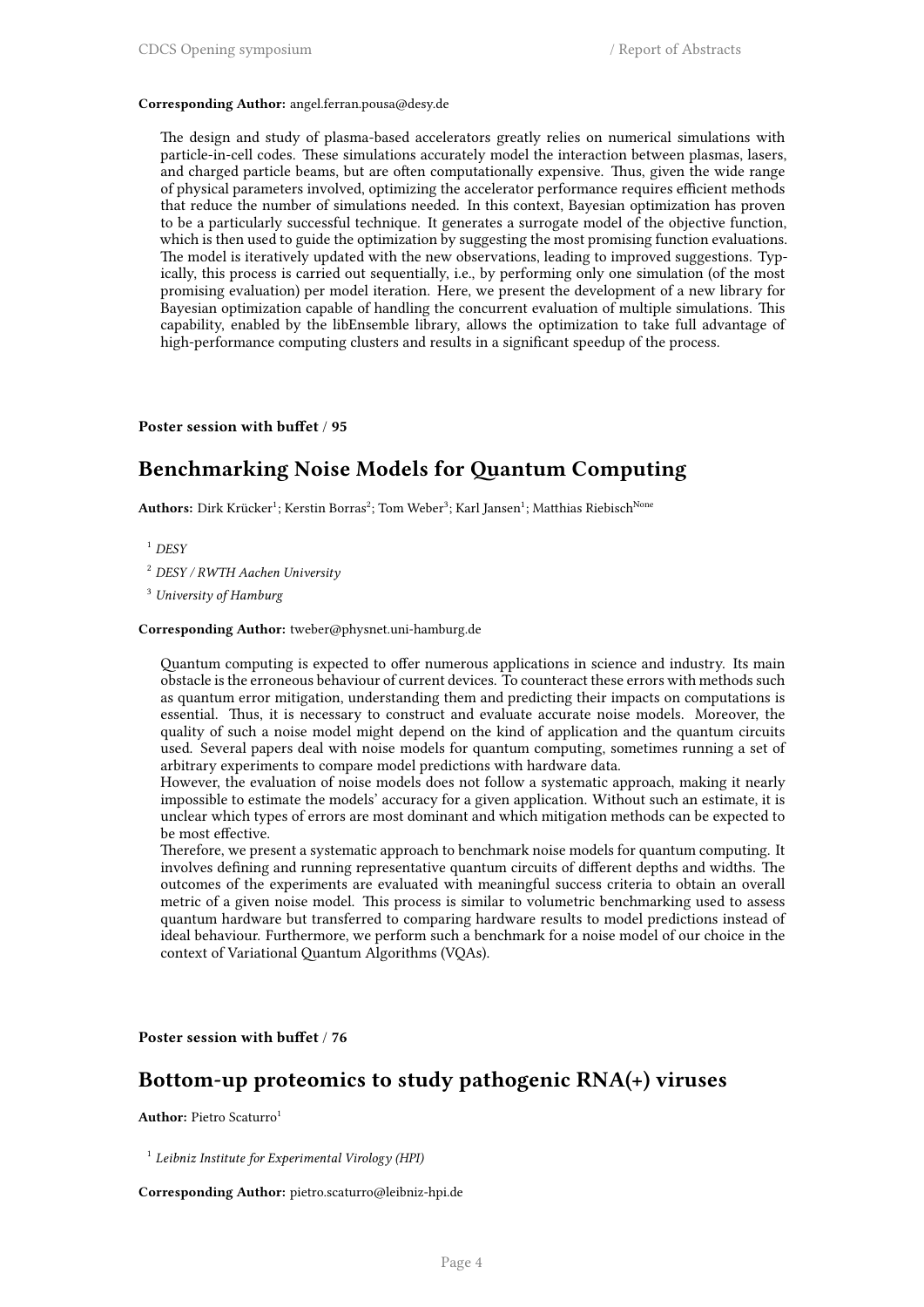#### **Corresponding Author:** angel.ferran.pousa@desy.de

The design and study of plasma-based accelerators greatly relies on numerical simulations with particle-in-cell codes. These simulations accurately model the interaction between plasmas, lasers, and charged particle beams, but are often computationally expensive. Thus, given the wide range of physical parameters involved, optimizing the accelerator performance requires efficient methods that reduce the number of simulations needed. In this context, Bayesian optimization has proven to be a particularly successful technique. It generates a surrogate model of the objective function, which is then used to guide the optimization by suggesting the most promising function evaluations. The model is iteratively updated with the new observations, leading to improved suggestions. Typically, this process is carried out sequentially, i.e., by performing only one simulation (of the most promising evaluation) per model iteration. Here, we present the development of a new library for Bayesian optimization capable of handling the concurrent evaluation of multiple simulations. This capability, enabled by the libEnsemble library, allows the optimization to take full advantage of high-performance computing clusters and results in a significant speedup of the process.

#### **Poster session with buffet** / **95**

### **Benchmarking Noise Models for Quantum Computing**

 ${\bf Authors:}$   ${\rm Dirk}$  Krücker $^1$ ; Kerstin Borras $^2$ ; Tom Weber $^3$ ; Karl Jansen $^1$ ; Matthias Riebisch $^{\rm None}$ 

- <sup>1</sup> *DESY*
- <sup>2</sup> *DESY / RWTH Aachen University*

<sup>3</sup> *University of Hamburg*

**Corresponding Author:** tweber@physnet.uni-hamburg.de

Quantum computing is expected to offer numerous applications in science and industry. Its main obstacle is the erroneous behaviour of current devices. To counteract these errors with methods such as quantum error mitigation, understanding them and predicting their impacts on computations is essential. Thus, it is necessary to construct and evaluate accurate noise models. Moreover, the quality of such a noise model might depend on the kind of application and the quantum circuits used. Several papers deal with noise models for quantum computing, sometimes running a set of arbitrary experiments to compare model predictions with hardware data.

However, the evaluation of noise models does not follow a systematic approach, making it nearly impossible to estimate the models' accuracy for a given application. Without such an estimate, it is unclear which types of errors are most dominant and which mitigation methods can be expected to be most effective.

Therefore, we present a systematic approach to benchmark noise models for quantum computing. It involves defining and running representative quantum circuits of different depths and widths. The outcomes of the experiments are evaluated with meaningful success criteria to obtain an overall metric of a given noise model. This process is similar to volumetric benchmarking used to assess quantum hardware but transferred to comparing hardware results to model predictions instead of ideal behaviour. Furthermore, we perform such a benchmark for a noise model of our choice in the context of Variational Quantum Algorithms (VQAs).

**Poster session with buffet** / **76**

### **Bottom-up proteomics to study pathogenic RNA(+) viruses**

**Author:** Pietro Scaturro<sup>1</sup>

1 *Leibniz Institute for Experimental Virology (HPI)*

**Corresponding Author:** pietro.scaturro@leibniz-hpi.de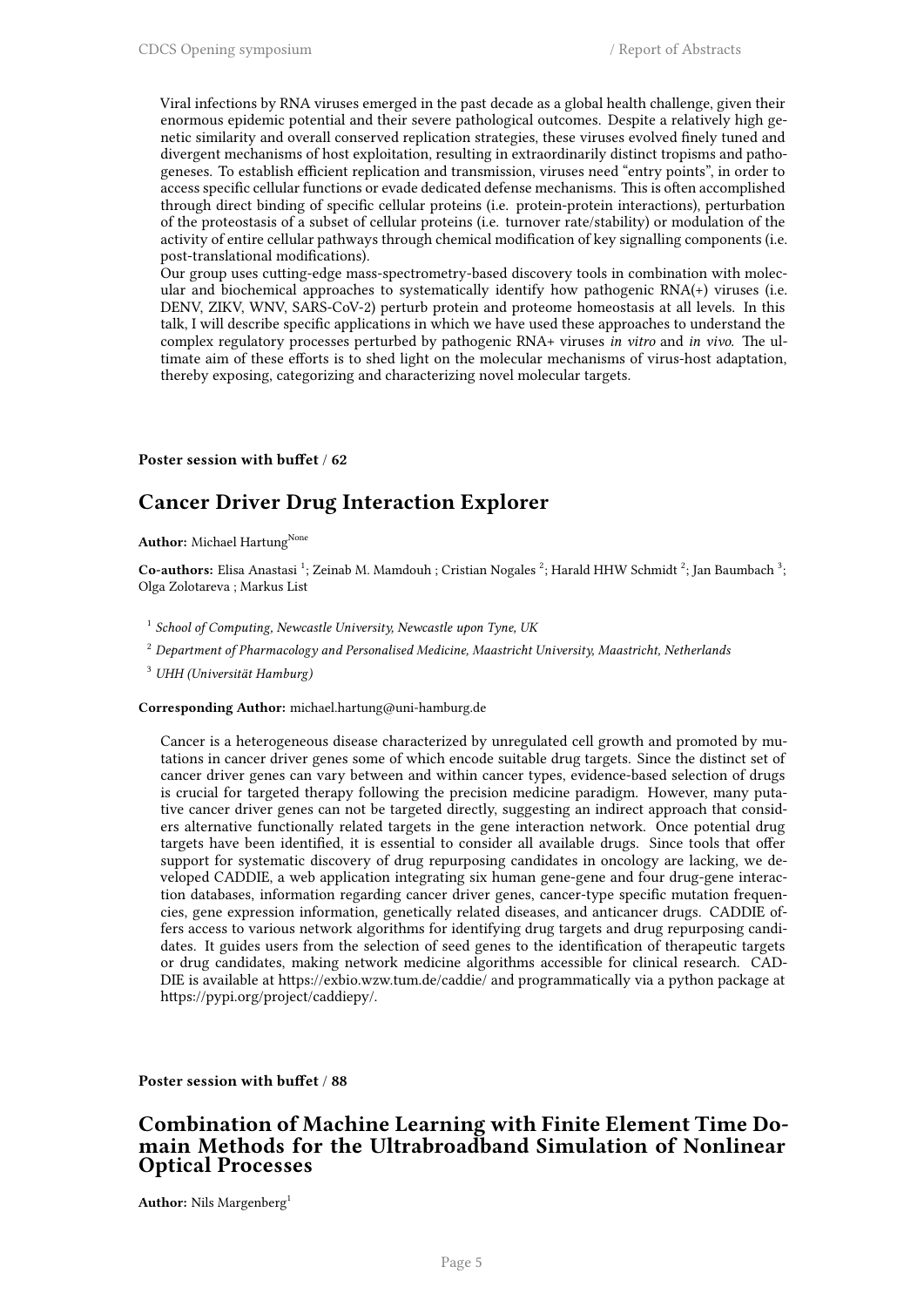Viral infections by RNA viruses emerged in the past decade as a global health challenge, given their enormous epidemic potential and their severe pathological outcomes. Despite a relatively high genetic similarity and overall conserved replication strategies, these viruses evolved finely tuned and divergent mechanisms of host exploitation, resulting in extraordinarily distinct tropisms and pathogeneses. To establish efficient replication and transmission, viruses need "entry points", in order to access specific cellular functions or evade dedicated defense mechanisms. This is often accomplished through direct binding of specific cellular proteins (i.e. protein-protein interactions), perturbation of the proteostasis of a subset of cellular proteins (i.e. turnover rate/stability) or modulation of the activity of entire cellular pathways through chemical modification of key signalling components (i.e. post-translational modifications).

Our group uses cutting-edge mass-spectrometry-based discovery tools in combination with molecular and biochemical approaches to systematically identify how pathogenic RNA(+) viruses (i.e. DENV, ZIKV, WNV, SARS-CoV-2) perturb protein and proteome homeostasis at all levels. In this talk, I will describe specific applications in which we have used these approaches to understand the complex regulatory processes perturbed by pathogenic RNA+ viruses *in vitro* and *in vivo*. The ultimate aim of these efforts is to shed light on the molecular mechanisms of virus-host adaptation, thereby exposing, categorizing and characterizing novel molecular targets.

**Poster session with buffet** / **62**

### **Cancer Driver Drug Interaction Explorer**

**Author:** Michael Hartung<sup>None</sup>

Co-authors: Elisa Anastasi<sup>1</sup>; Zeinab M. Mamdouh ; Cristian Nogales<sup>2</sup>; Harald HHW Schmidt<sup>2</sup>; Jan Baumbach<sup>3</sup>; Olga Zolotareva ; Markus List

1 *School of Computing, Newcastle University, Newcastle upon Tyne, UK*

<sup>2</sup> *Department of Pharmacology and Personalised Medicine, Maastricht University, Maastricht, Netherlands*

<sup>3</sup> *UHH (Universität Hamburg)*

**Corresponding Author:** michael.hartung@uni-hamburg.de

Cancer is a heterogeneous disease characterized by unregulated cell growth and promoted by mutations in cancer driver genes some of which encode suitable drug targets. Since the distinct set of cancer driver genes can vary between and within cancer types, evidence-based selection of drugs is crucial for targeted therapy following the precision medicine paradigm. However, many putative cancer driver genes can not be targeted directly, suggesting an indirect approach that considers alternative functionally related targets in the gene interaction network. Once potential drug targets have been identified, it is essential to consider all available drugs. Since tools that offer support for systematic discovery of drug repurposing candidates in oncology are lacking, we developed CADDIE, a web application integrating six human gene-gene and four drug-gene interaction databases, information regarding cancer driver genes, cancer-type specific mutation frequencies, gene expression information, genetically related diseases, and anticancer drugs. CADDIE offers access to various network algorithms for identifying drug targets and drug repurposing candidates. It guides users from the selection of seed genes to the identification of therapeutic targets or drug candidates, making network medicine algorithms accessible for clinical research. CAD-DIE is available at https://exbio.wzw.tum.de/caddie/ and programmatically via a python package at https://pypi.org/project/caddiepy/.

**Poster session with buffet** / **88**

### **Combination of Machine Learning with Finite Element Time Domain Methods for the Ultrabroadband Simulation of Nonlinear Optical Processes**

**Author:** Nils Margenberg<sup>1</sup>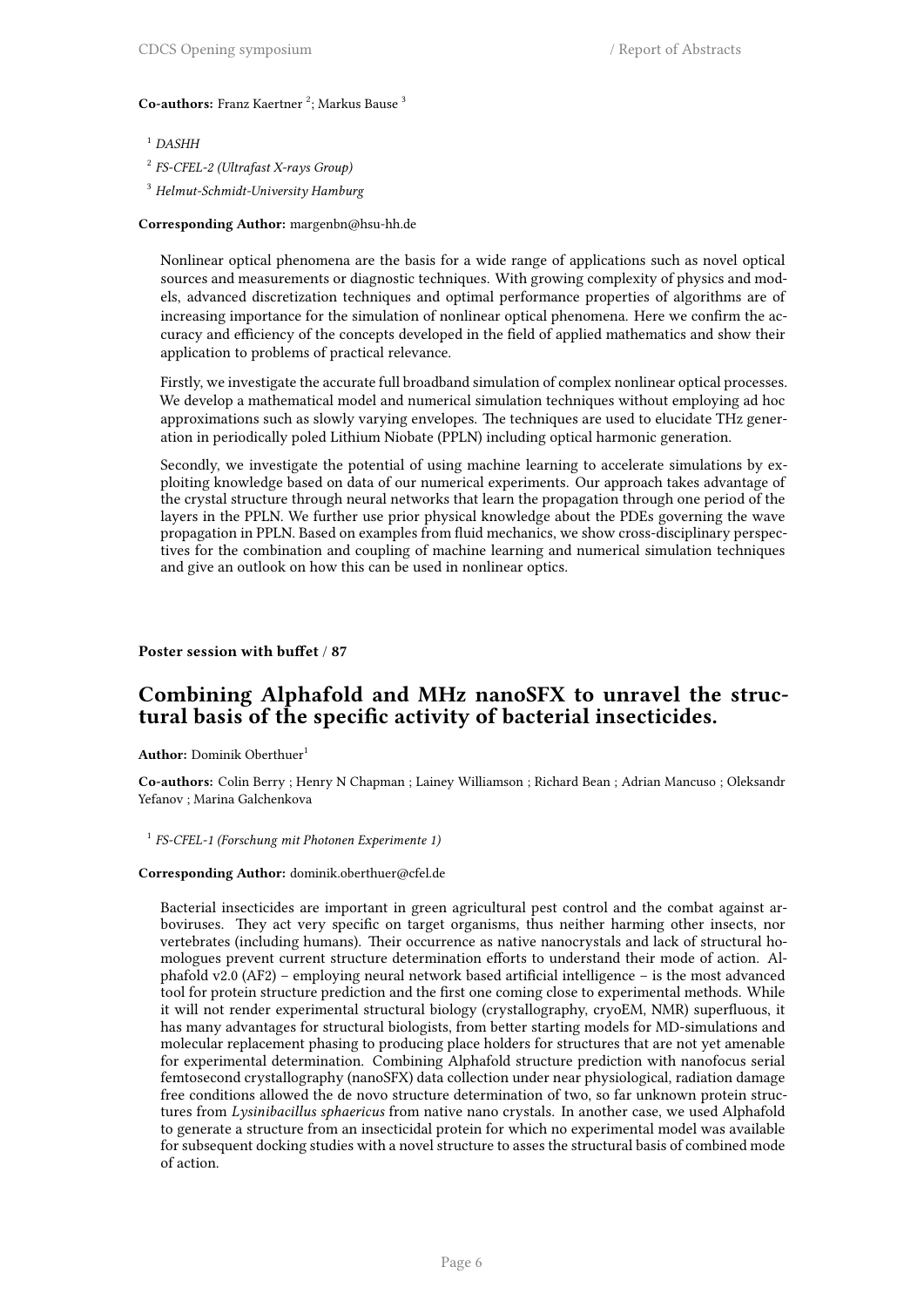### Co-authors: Franz Kaertner<sup>2</sup>; Markus Bause<sup>3</sup>

### <sup>1</sup> *DASHH*

- 2 *FS-CFEL-2 (Ultrafast X-rays Group)*
- <sup>3</sup> *Helmut-Schmidt-University Hamburg*

#### **Corresponding Author:** margenbn@hsu-hh.de

Nonlinear optical phenomena are the basis for a wide range of applications such as novel optical sources and measurements or diagnostic techniques. With growing complexity of physics and models, advanced discretization techniques and optimal performance properties of algorithms are of increasing importance for the simulation of nonlinear optical phenomena. Here we confirm the accuracy and efficiency of the concepts developed in the field of applied mathematics and show their application to problems of practical relevance.

Firstly, we investigate the accurate full broadband simulation of complex nonlinear optical processes. We develop a mathematical model and numerical simulation techniques without employing ad hoc approximations such as slowly varying envelopes. The techniques are used to elucidate THz generation in periodically poled Lithium Niobate (PPLN) including optical harmonic generation.

Secondly, we investigate the potential of using machine learning to accelerate simulations by exploiting knowledge based on data of our numerical experiments. Our approach takes advantage of the crystal structure through neural networks that learn the propagation through one period of the layers in the PPLN. We further use prior physical knowledge about the PDEs governing the wave propagation in PPLN. Based on examples from fluid mechanics, we show cross-disciplinary perspectives for the combination and coupling of machine learning and numerical simulation techniques and give an outlook on how this can be used in nonlinear optics.

**Poster session with buffet** / **87**

### **Combining Alphafold and MHz nanoSFX to unravel the structural basis of the specific activity of bacterial insecticides.**

**Author:** Dominik Oberthuer<sup>1</sup>

**Co-authors:** Colin Berry ; Henry N Chapman ; Lainey Williamson ; Richard Bean ; Adrian Mancuso ; Oleksandr Yefanov ; Marina Galchenkova

#### 1 *FS-CFEL-1 (Forschung mit Photonen Experimente 1)*

### **Corresponding Author:** dominik.oberthuer@cfel.de

Bacterial insecticides are important in green agricultural pest control and the combat against arboviruses. They act very specific on target organisms, thus neither harming other insects, nor vertebrates (including humans). Their occurrence as native nanocrystals and lack of structural homologues prevent current structure determination efforts to understand their mode of action. Alphafold v2.0 (AF2) – employing neural network based artificial intelligence – is the most advanced tool for protein structure prediction and the first one coming close to experimental methods. While it will not render experimental structural biology (crystallography, cryoEM, NMR) superfluous, it has many advantages for structural biologists, from better starting models for MD-simulations and molecular replacement phasing to producing place holders for structures that are not yet amenable for experimental determination. Combining Alphafold structure prediction with nanofocus serial femtosecond crystallography (nanoSFX) data collection under near physiological, radiation damage free conditions allowed the de novo structure determination of two, so far unknown protein structures from *Lysinibacillus sphaericus* from native nano crystals. In another case, we used Alphafold to generate a structure from an insecticidal protein for which no experimental model was available for subsequent docking studies with a novel structure to asses the structural basis of combined mode of action.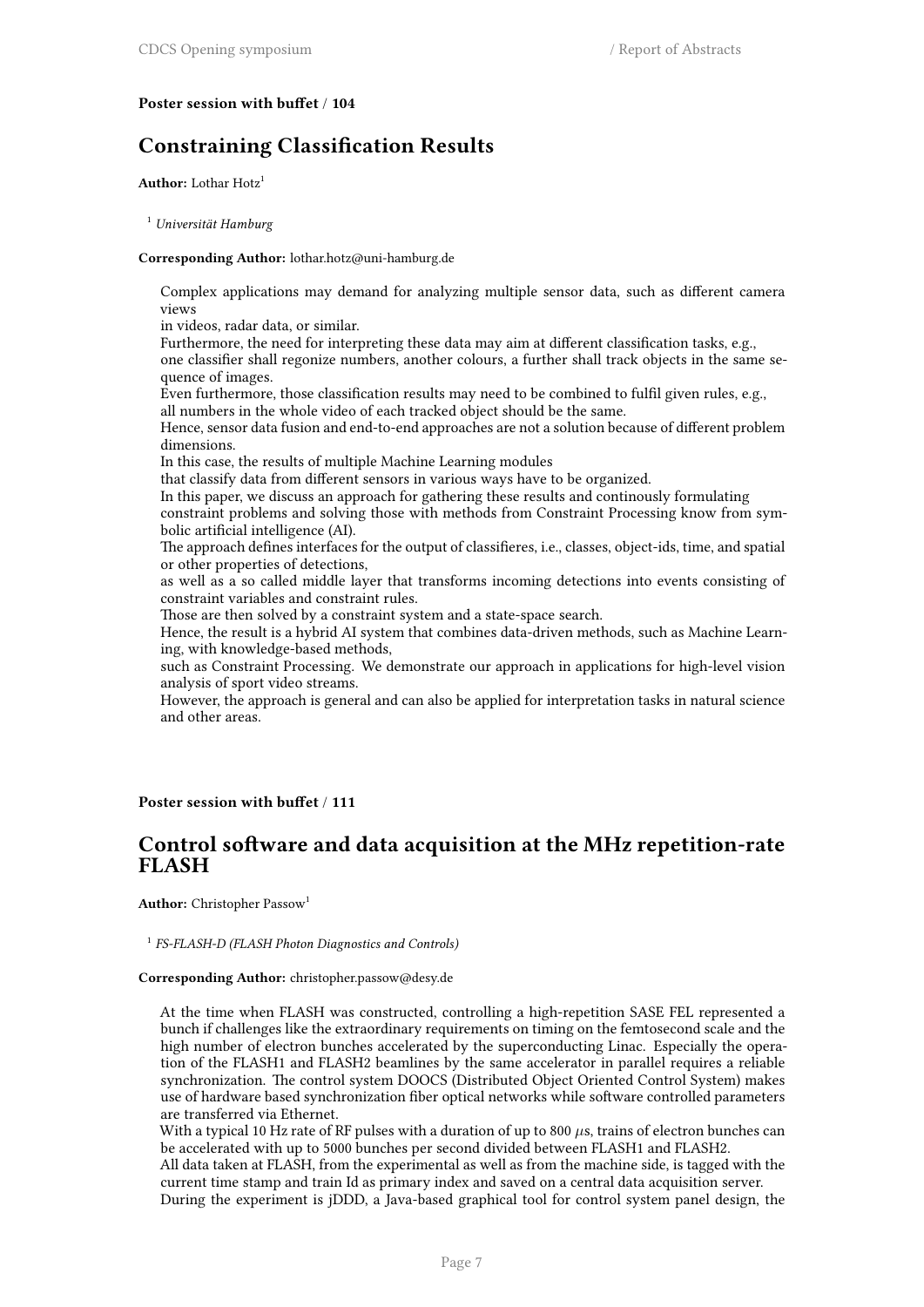### **Poster session with buffet** / **104**

### **Constraining Classification Results**

Author: Lothar Hotz<sup>1</sup>

<sup>1</sup> *Universität Hamburg*

#### **Corresponding Author:** lothar.hotz@uni-hamburg.de

Complex applications may demand for analyzing multiple sensor data, such as different camera views

in videos, radar data, or similar.

Furthermore, the need for interpreting these data may aim at different classification tasks, e.g.,

one classifier shall regonize numbers, another colours, a further shall track objects in the same sequence of images.

Even furthermore, those classification results may need to be combined to fulfil given rules, e.g., all numbers in the whole video of each tracked object should be the same.

Hence, sensor data fusion and end-to-end approaches are not a solution because of different problem dimensions.

In this case, the results of multiple Machine Learning modules

that classify data from different sensors in various ways have to be organized.

In this paper, we discuss an approach for gathering these results and continously formulating

constraint problems and solving those with methods from Constraint Processing know from symbolic artificial intelligence (AI).

The approach defines interfaces for the output of classifieres, i.e., classes, object-ids, time, and spatial or other properties of detections,

as well as a so called middle layer that transforms incoming detections into events consisting of constraint variables and constraint rules.

Those are then solved by a constraint system and a state-space search.

Hence, the result is a hybrid AI system that combines data-driven methods, such as Machine Learning, with knowledge-based methods,

such as Constraint Processing. We demonstrate our approach in applications for high-level vision analysis of sport video streams.

However, the approach is general and can also be applied for interpretation tasks in natural science and other areas.

### **Poster session with buffet** / **111**

### **Control software and data acquisition at the MHz repetition-rate FLASH**

**Author:** Christopher Passow<sup>1</sup>

1 *FS-FLASH-D (FLASH Photon Diagnostics and Controls)*

#### **Corresponding Author:** christopher.passow@desy.de

At the time when FLASH was constructed, controlling a high-repetition SASE FEL represented a bunch if challenges like the extraordinary requirements on timing on the femtosecond scale and the high number of electron bunches accelerated by the superconducting Linac. Especially the operation of the FLASH1 and FLASH2 beamlines by the same accelerator in parallel requires a reliable synchronization. The control system DOOCS (Distributed Object Oriented Control System) makes use of hardware based synchronization fiber optical networks while software controlled parameters are transferred via Ethernet.

With a typical 10 Hz rate of RF pulses with a duration of up to 800  $\mu$ s, trains of electron bunches can be accelerated with up to 5000 bunches per second divided between FLASH1 and FLASH2.

All data taken at FLASH, from the experimental as well as from the machine side, is tagged with the current time stamp and train Id as primary index and saved on a central data acquisition server. During the experiment is jDDD, a Java-based graphical tool for control system panel design, the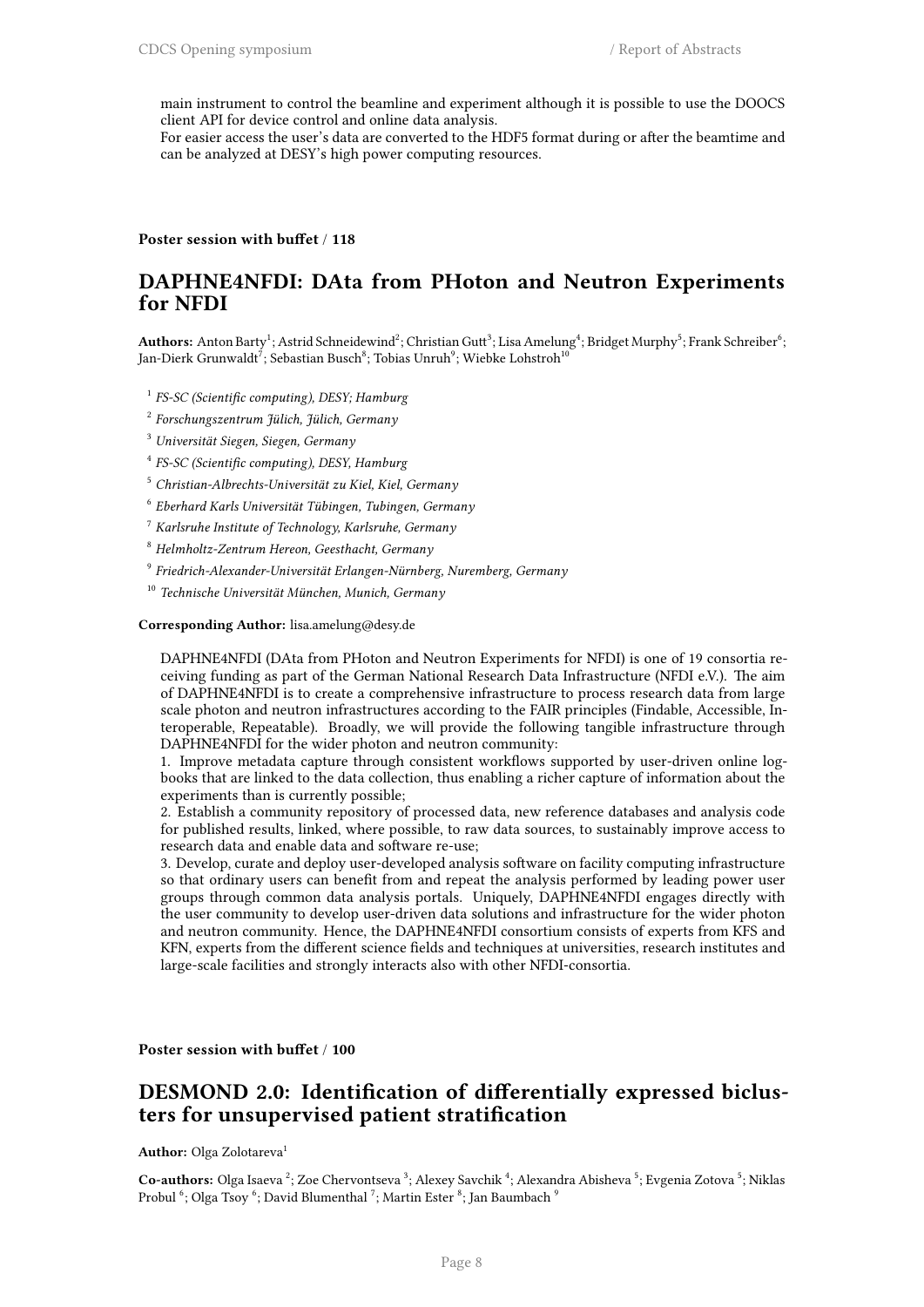main instrument to control the beamline and experiment although it is possible to use the DOOCS client API for device control and online data analysis.

For easier access the user's data are converted to the HDF5 format during or after the beamtime and can be analyzed at DESY's high power computing resources.

**Poster session with buffet** / **118**

### **DAPHNE4NFDI: DAta from PHoton and Neutron Experiments for NFDI**

Authors: Anton Barty<sup>1</sup>; Astrid Schneidewind<sup>2</sup>; Christian Gutt<sup>3</sup>; Lisa Amelung<sup>4</sup>; Bridget Murphy<sup>5</sup>; Frank Schreiber<sup>6</sup>; Jan-Dierk Grunwaldt $^7;$  Sebastian Busch $^8;$  Tobias Unruh $^9;$  Wiebke Lohstroh $^{10}$ 

- 1 *FS-SC (Scientific computing), DESY; Hamburg*
- 2 *Forschungszentrum Jülich, Jülich, Germany*
- <sup>3</sup> *Universität Siegen, Siegen, Germany*
- 4 *FS-SC (Scientific computing), DESY, Hamburg*
- <sup>5</sup> *Christian-Albrechts-Universität zu Kiel, Kiel, Germany*
- 6 *Eberhard Karls Universität Tübingen, Tubingen, Germany*
- <sup>7</sup> *Karlsruhe Institute of Technology, Karlsruhe, Germany*
- <sup>8</sup> *Helmholtz-Zentrum Hereon, Geesthacht, Germany*
- 9 *Friedrich-Alexander-Universität Erlangen-Nürnberg, Nuremberg, Germany*
- <sup>10</sup> *Technische Universität München, Munich, Germany*

#### **Corresponding Author:** lisa.amelung@desy.de

DAPHNE4NFDI (DAta from PHoton and Neutron Experiments for NFDI) is one of 19 consortia receiving funding as part of the German National Research Data Infrastructure (NFDI e.V.). The aim of DAPHNE4NFDI is to create a comprehensive infrastructure to process research data from large scale photon and neutron infrastructures according to the FAIR principles (Findable, Accessible, Interoperable, Repeatable). Broadly, we will provide the following tangible infrastructure through DAPHNE4NFDI for the wider photon and neutron community:

1. Improve metadata capture through consistent workflows supported by user-driven online logbooks that are linked to the data collection, thus enabling a richer capture of information about the experiments than is currently possible;

2. Establish a community repository of processed data, new reference databases and analysis code for published results, linked, where possible, to raw data sources, to sustainably improve access to research data and enable data and software re-use;

3. Develop, curate and deploy user-developed analysis software on facility computing infrastructure so that ordinary users can benefit from and repeat the analysis performed by leading power user groups through common data analysis portals. Uniquely, DAPHNE4NFDI engages directly with the user community to develop user-driven data solutions and infrastructure for the wider photon and neutron community. Hence, the DAPHNE4NFDI consortium consists of experts from KFS and KFN, experts from the different science fields and techniques at universities, research institutes and large-scale facilities and strongly interacts also with other NFDI-consortia.

**Poster session with buffet** / **100**

### **DESMOND 2.0: Identification of differentially expressed biclusters for unsupervised patient stratification**

**Author:** Olga Zolotareva<sup>1</sup>

Co-authors: Olga Isaeva<sup>2</sup>; Zoe Chervontseva<sup>3</sup>; Alexey Savchik<sup>4</sup>; Alexandra Abisheva<sup>5</sup>; Evgenia Zotova<sup>5</sup>; Niklas Probul  $^6$ ; Olga Tsoy  $^6$ ; David Blumenthal  $^7$ ; Martin Ester  $^8$ ; Jan Baumbach  $^9$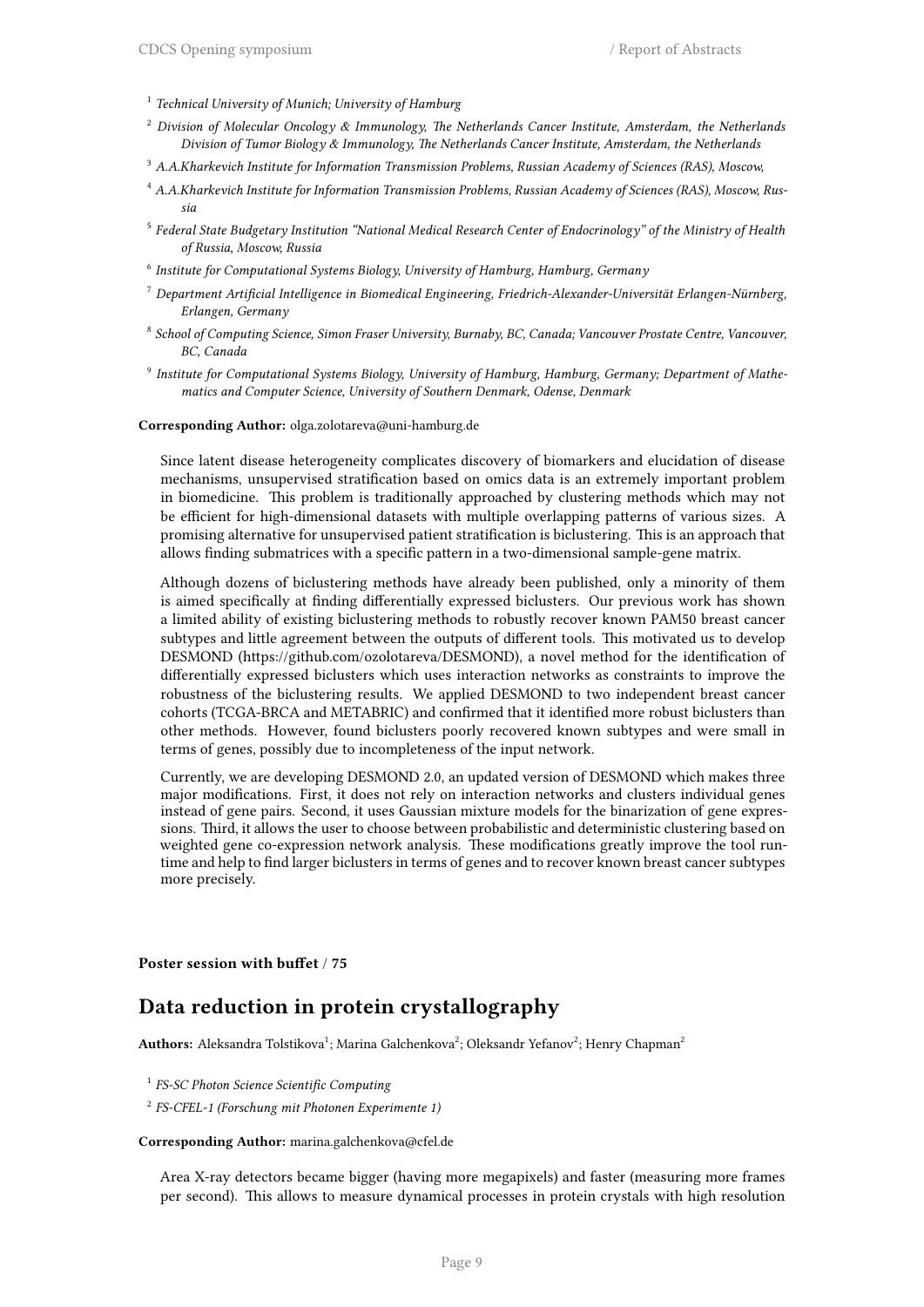- 1 *Technical University of Munich; University of Hamburg*
- <sup>2</sup> *Division of Molecular Oncology & Immunology, The Netherlands Cancer Institute, Amsterdam, the Netherlands Division of Tumor Biology & Immunology, The Netherlands Cancer Institute, Amsterdam, the Netherlands*
- <sup>3</sup> *A.A.Kharkevich Institute for Information Transmission Problems, Russian Academy of Sciences (RAS), Moscow,*
- <sup>4</sup> *A.A.Kharkevich Institute for Information Transmission Problems, Russian Academy of Sciences (RAS), Moscow, Russia*
- 5 *Federal State Budgetary Institution "National Medical Research Center of Endocrinology" of the Ministry of Health of Russia, Moscow, Russia*
- 6 *Institute for Computational Systems Biology, University of Hamburg, Hamburg, Germany*
- <sup>7</sup> *Department Artificial Intelligence in Biomedical Engineering, Friedrich-Alexander-Universität Erlangen-Nürnberg, Erlangen, Germany*
- 8 *School of Computing Science, Simon Fraser University, Burnaby, BC, Canada; Vancouver Prostate Centre, Vancouver, BC, Canada*
- 9 *Institute for Computational Systems Biology, University of Hamburg, Hamburg, Germany; Department of Mathematics and Computer Science, University of Southern Denmark, Odense, Denmark*

**Corresponding Author:** olga.zolotareva@uni-hamburg.de

Since latent disease heterogeneity complicates discovery of biomarkers and elucidation of disease mechanisms, unsupervised stratification based on omics data is an extremely important problem in biomedicine. This problem is traditionally approached by clustering methods which may not be efficient for high-dimensional datasets with multiple overlapping patterns of various sizes. A promising alternative for unsupervised patient stratification is biclustering. This is an approach that allows finding submatrices with a specific pattern in a two-dimensional sample-gene matrix.

Although dozens of biclustering methods have already been published, only a minority of them is aimed specifically at finding differentially expressed biclusters. Our previous work has shown a limited ability of existing biclustering methods to robustly recover known PAM50 breast cancer subtypes and little agreement between the outputs of different tools. This motivated us to develop DESMOND (https://github.com/ozolotareva/DESMOND), a novel method for the identification of differentially expressed biclusters which uses interaction networks as constraints to improve the robustness of the biclustering results. We applied DESMOND to two independent breast cancer cohorts (TCGA-BRCA and METABRIC) and confirmed that it identified more robust biclusters than other methods. However, found biclusters poorly recovered known subtypes and were small in terms of genes, possibly due to incompleteness of the input network.

Currently, we are developing DESMOND 2.0, an updated version of DESMOND which makes three major modifications. First, it does not rely on interaction networks and clusters individual genes instead of gene pairs. Second, it uses Gaussian mixture models for the binarization of gene expressions. Third, it allows the user to choose between probabilistic and deterministic clustering based on weighted gene co-expression network analysis. These modifications greatly improve the tool runtime and help to find larger biclusters in terms of genes and to recover known breast cancer subtypes more precisely.

**Poster session with buffet** / **75**

### **Data reduction in protein crystallography**

 ${\bf Authors:}$  Aleksandra Tolstikova<sup>1</sup>; Marina Galchenkova<sup>2</sup>; Oleksandr Yefanov<sup>2</sup>; Henry Chapman<sup>2</sup>

1 *FS-SC Photon Science Scientific Computing*

2 *FS-CFEL-1 (Forschung mit Photonen Experimente 1)*

**Corresponding Author:** marina.galchenkova@cfel.de

Area X-ray detectors became bigger (having more megapixels) and faster (measuring more frames per second). This allows to measure dynamical processes in protein crystals with high resolution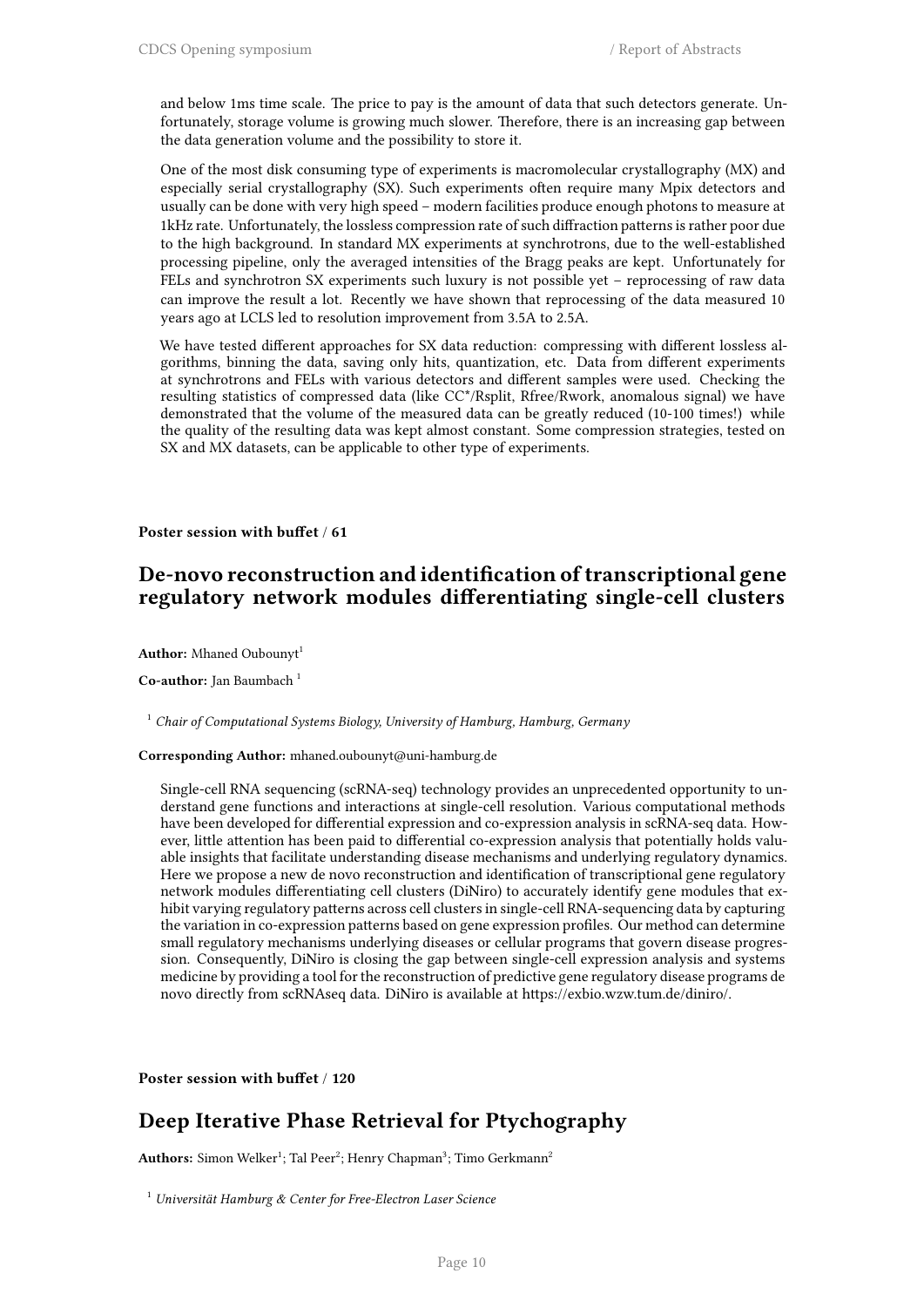and below 1ms time scale. The price to pay is the amount of data that such detectors generate. Unfortunately, storage volume is growing much slower. Therefore, there is an increasing gap between the data generation volume and the possibility to store it.

One of the most disk consuming type of experiments is macromolecular crystallography (MX) and especially serial crystallography (SX). Such experiments often require many Mpix detectors and usually can be done with very high speed – modern facilities produce enough photons to measure at 1kHz rate. Unfortunately, the lossless compression rate of such diffraction patterns is rather poor due to the high background. In standard MX experiments at synchrotrons, due to the well-established processing pipeline, only the averaged intensities of the Bragg peaks are kept. Unfortunately for FELs and synchrotron SX experiments such luxury is not possible yet – reprocessing of raw data can improve the result a lot. Recently we have shown that reprocessing of the data measured 10 years ago at LCLS led to resolution improvement from 3.5A to 2.5A.

We have tested different approaches for SX data reduction: compressing with different lossless algorithms, binning the data, saving only hits, quantization, etc. Data from different experiments at synchrotrons and FELs with various detectors and different samples were used. Checking the resulting statistics of compressed data (like CC\*/Rsplit, Rfree/Rwork, anomalous signal) we have demonstrated that the volume of the measured data can be greatly reduced (10-100 times!) while the quality of the resulting data was kept almost constant. Some compression strategies, tested on SX and MX datasets, can be applicable to other type of experiments.

**Poster session with buffet** / **61**

### **De-novo reconstruction and identification of transcriptional gene regulatory network modules differentiating single-cell clusters**

**Author:** Mhaned Oubounyt<sup>1</sup>

**Co-author:** Jan Baumbach<sup>1</sup>

<sup>1</sup> *Chair of Computational Systems Biology, University of Hamburg, Hamburg, Germany*

**Corresponding Author:** mhaned.oubounyt@uni-hamburg.de

Single-cell RNA sequencing (scRNA-seq) technology provides an unprecedented opportunity to understand gene functions and interactions at single-cell resolution. Various computational methods have been developed for differential expression and co-expression analysis in scRNA-seq data. However, little attention has been paid to differential co-expression analysis that potentially holds valuable insights that facilitate understanding disease mechanisms and underlying regulatory dynamics. Here we propose a new de novo reconstruction and identification of transcriptional gene regulatory network modules differentiating cell clusters (DiNiro) to accurately identify gene modules that exhibit varying regulatory patterns across cell clusters in single-cell RNA-sequencing data by capturing the variation in co-expression patterns based on gene expression profiles. Our method can determine small regulatory mechanisms underlying diseases or cellular programs that govern disease progression. Consequently, DiNiro is closing the gap between single-cell expression analysis and systems medicine by providing a tool for the reconstruction of predictive gene regulatory disease programs de novo directly from scRNAseq data. DiNiro is available at https://exbio.wzw.tum.de/diniro/.

**Poster session with buffet** / **120**

### **Deep Iterative Phase Retrieval for Ptychography**

 $\mathbf{Authors:}$  Simon Welker<sup>1</sup>; Tal Peer<sup>2</sup>; Henry Chapman<sup>3</sup>; Timo Gerkmann<sup>2</sup>

<sup>1</sup> *Universität Hamburg & Center for Free-Electron Laser Science*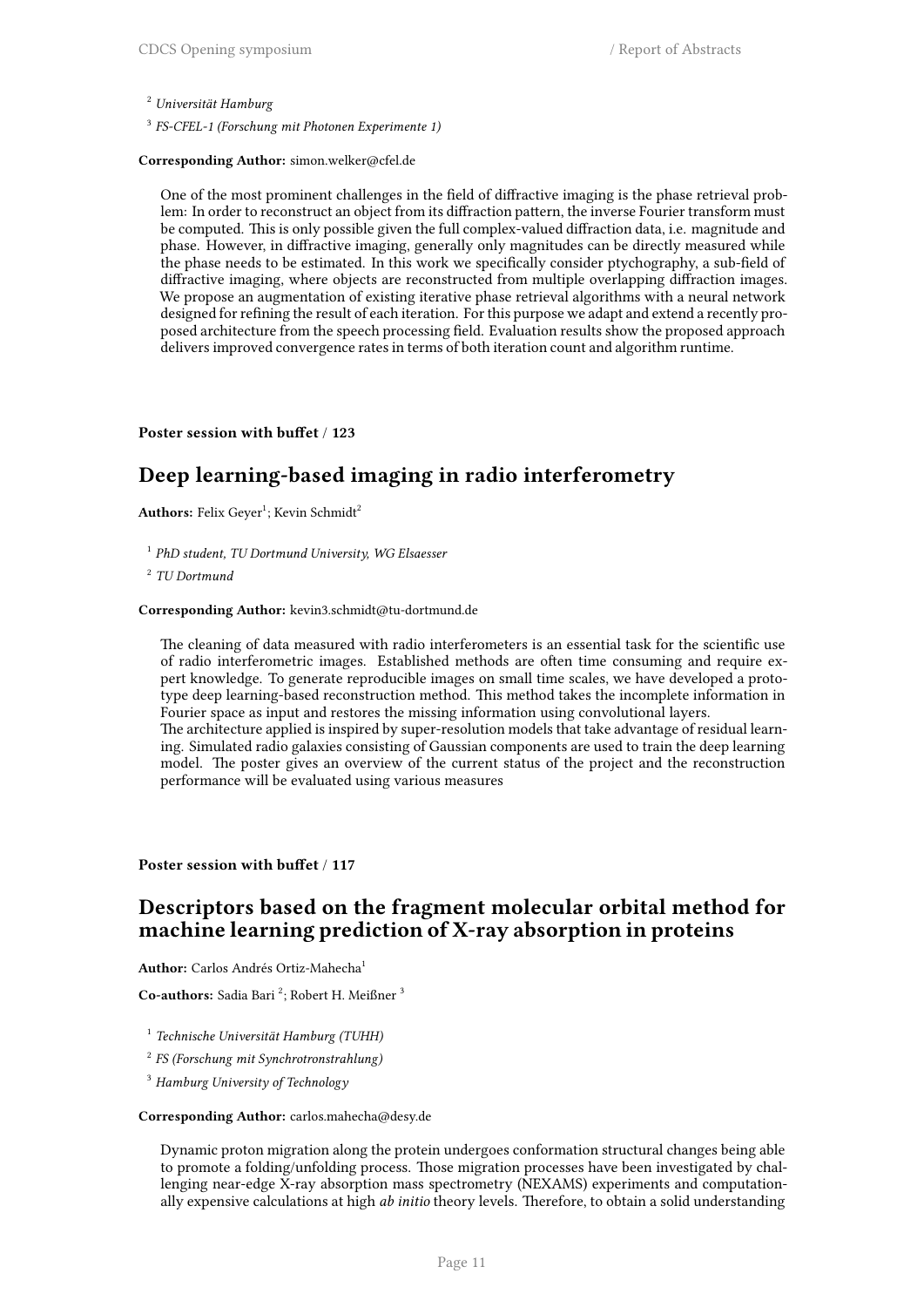<sup>2</sup> *Universität Hamburg*

3 *FS-CFEL-1 (Forschung mit Photonen Experimente 1)*

#### **Corresponding Author:** simon.welker@cfel.de

One of the most prominent challenges in the field of diffractive imaging is the phase retrieval problem: In order to reconstruct an object from its diffraction pattern, the inverse Fourier transform must be computed. This is only possible given the full complex-valued diffraction data, i.e. magnitude and phase. However, in diffractive imaging, generally only magnitudes can be directly measured while the phase needs to be estimated. In this work we specifically consider ptychography, a sub-field of diffractive imaging, where objects are reconstructed from multiple overlapping diffraction images. We propose an augmentation of existing iterative phase retrieval algorithms with a neural network designed for refining the result of each iteration. For this purpose we adapt and extend a recently proposed architecture from the speech processing field. Evaluation results show the proposed approach delivers improved convergence rates in terms of both iteration count and algorithm runtime.

### **Poster session with buffet** / **123**

### **Deep learning-based imaging in radio interferometry**

 $\mathbf{Authors:} \; \mathrm{Felix} \; \mathrm{Geyer^1}; \; \mathrm{Kevin} \; \mathrm{Schmidt^2}$ 

- 1 *PhD student, TU Dortmund University, WG Elsaesser*
- 2 *TU Dortmund*

#### **Corresponding Author:** kevin3.schmidt@tu-dortmund.de

The cleaning of data measured with radio interferometers is an essential task for the scientific use of radio interferometric images. Established methods are often time consuming and require expert knowledge. To generate reproducible images on small time scales, we have developed a prototype deep learning-based reconstruction method. This method takes the incomplete information in Fourier space as input and restores the missing information using convolutional layers. The architecture applied is inspired by super-resolution models that take advantage of residual learning. Simulated radio galaxies consisting of Gaussian components are used to train the deep learning model. The poster gives an overview of the current status of the project and the reconstruction

performance will be evaluated using various measures

**Poster session with buffet** / **117**

### **Descriptors based on the fragment molecular orbital method for machine learning prediction of X-ray absorption in proteins**

**Author:** Carlos Andrés Ortiz-Mahecha<sup>1</sup>

Co-authors: Sadia Bari<sup>2</sup>; Robert H. Meißner<sup>3</sup>

- 1 *Technische Universität Hamburg (TUHH)*
- 2 *FS (Forschung mit Synchrotronstrahlung)*
- <sup>3</sup> *Hamburg University of Technology*

#### **Corresponding Author:** carlos.mahecha@desy.de

Dynamic proton migration along the protein undergoes conformation structural changes being able to promote a folding/unfolding process. Those migration processes have been investigated by challenging near-edge X-ray absorption mass spectrometry (NEXAMS) experiments and computationally expensive calculations at high *ab initio* theory levels. Therefore, to obtain a solid understanding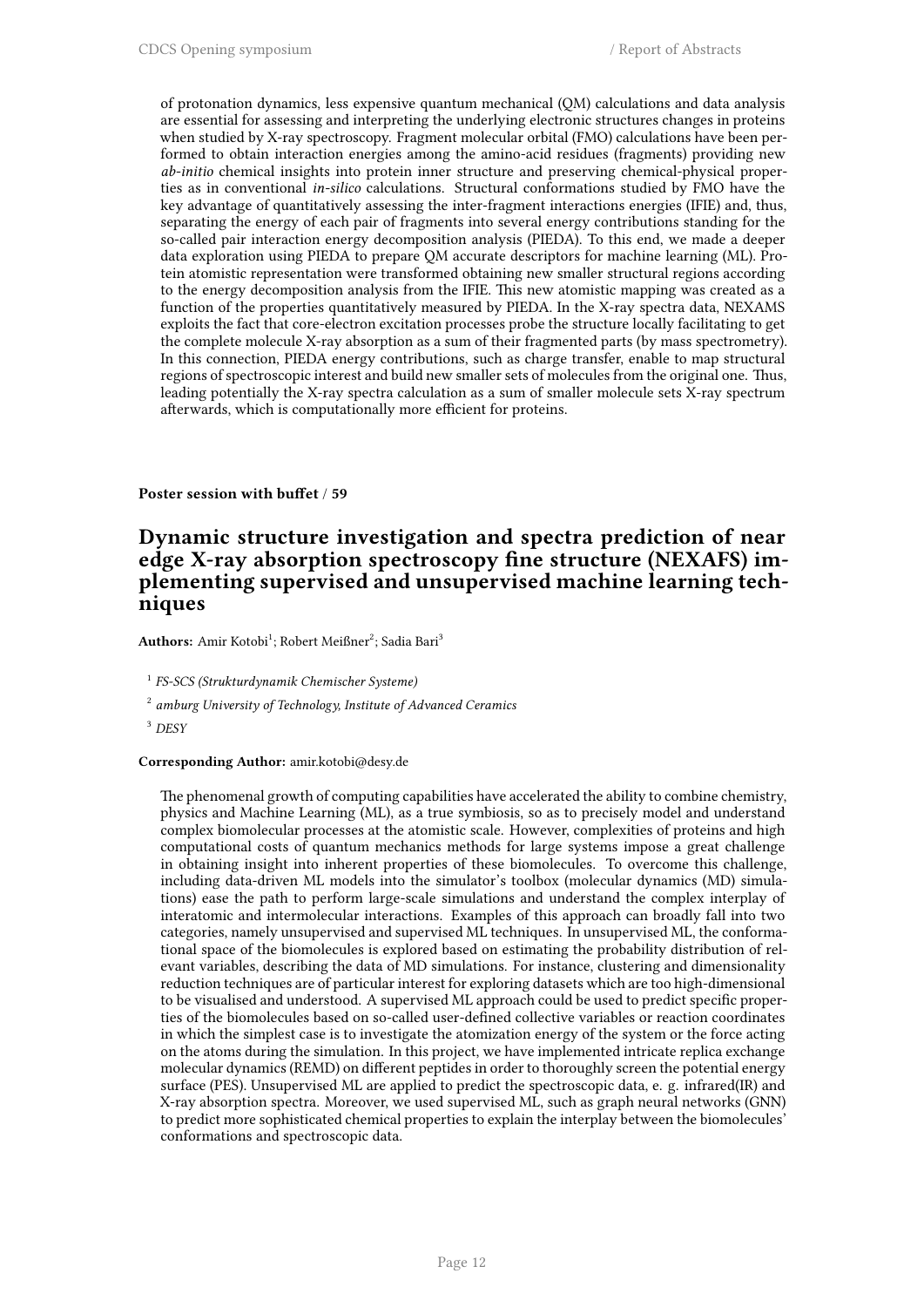of protonation dynamics, less expensive quantum mechanical (QM) calculations and data analysis are essential for assessing and interpreting the underlying electronic structures changes in proteins when studied by X-ray spectroscopy. Fragment molecular orbital (FMO) calculations have been performed to obtain interaction energies among the amino-acid residues (fragments) providing new *ab-initio* chemical insights into protein inner structure and preserving chemical-physical properties as in conventional *in-silico* calculations. Structural conformations studied by FMO have the key advantage of quantitatively assessing the inter-fragment interactions energies (IFIE) and, thus, separating the energy of each pair of fragments into several energy contributions standing for the so-called pair interaction energy decomposition analysis (PIEDA). To this end, we made a deeper data exploration using PIEDA to prepare QM accurate descriptors for machine learning (ML). Protein atomistic representation were transformed obtaining new smaller structural regions according to the energy decomposition analysis from the IFIE. This new atomistic mapping was created as a function of the properties quantitatively measured by PIEDA. In the X-ray spectra data, NEXAMS exploits the fact that core-electron excitation processes probe the structure locally facilitating to get the complete molecule X-ray absorption as a sum of their fragmented parts (by mass spectrometry). In this connection, PIEDA energy contributions, such as charge transfer, enable to map structural regions of spectroscopic interest and build new smaller sets of molecules from the original one. Thus, leading potentially the X-ray spectra calculation as a sum of smaller molecule sets X-ray spectrum afterwards, which is computationally more efficient for proteins.

**Poster session with buffet** / **59**

### **Dynamic structure investigation and spectra prediction of near edge X-ray absorption spectroscopy fine structure (NEXAFS) implementing supervised and unsupervised machine learning techniques**

 $\mathbf{Authors:}\ \mathbf{Amir}\ \mathbf{Kotobi}^{1};\ \mathbf{Robert}\ \mathbf{MeiBner}^{2};\ \mathbf{Sadia}\ \mathbf{Bari}^{3}$ 

1 *FS-SCS (Strukturdynamik Chemischer Systeme)*

2 *amburg University of Technology, Institute of Advanced Ceramics*

<sup>3</sup> *DESY*

### **Corresponding Author:** amir.kotobi@desy.de

The phenomenal growth of computing capabilities have accelerated the ability to combine chemistry, physics and Machine Learning (ML), as a true symbiosis, so as to precisely model and understand complex biomolecular processes at the atomistic scale. However, complexities of proteins and high computational costs of quantum mechanics methods for large systems impose a great challenge in obtaining insight into inherent properties of these biomolecules. To overcome this challenge, including data-driven ML models into the simulator's toolbox (molecular dynamics (MD) simulations) ease the path to perform large-scale simulations and understand the complex interplay of interatomic and intermolecular interactions. Examples of this approach can broadly fall into two categories, namely unsupervised and supervised ML techniques. In unsupervised ML, the conformational space of the biomolecules is explored based on estimating the probability distribution of relevant variables, describing the data of MD simulations. For instance, clustering and dimensionality reduction techniques are of particular interest for exploring datasets which are too high-dimensional to be visualised and understood. A supervised ML approach could be used to predict specific properties of the biomolecules based on so-called user-defined collective variables or reaction coordinates in which the simplest case is to investigate the atomization energy of the system or the force acting on the atoms during the simulation. In this project, we have implemented intricate replica exchange molecular dynamics (REMD) on different peptides in order to thoroughly screen the potential energy surface (PES). Unsupervised ML are applied to predict the spectroscopic data, e. g. infrared(IR) and X-ray absorption spectra. Moreover, we used supervised ML, such as graph neural networks (GNN) to predict more sophisticated chemical properties to explain the interplay between the biomolecules' conformations and spectroscopic data.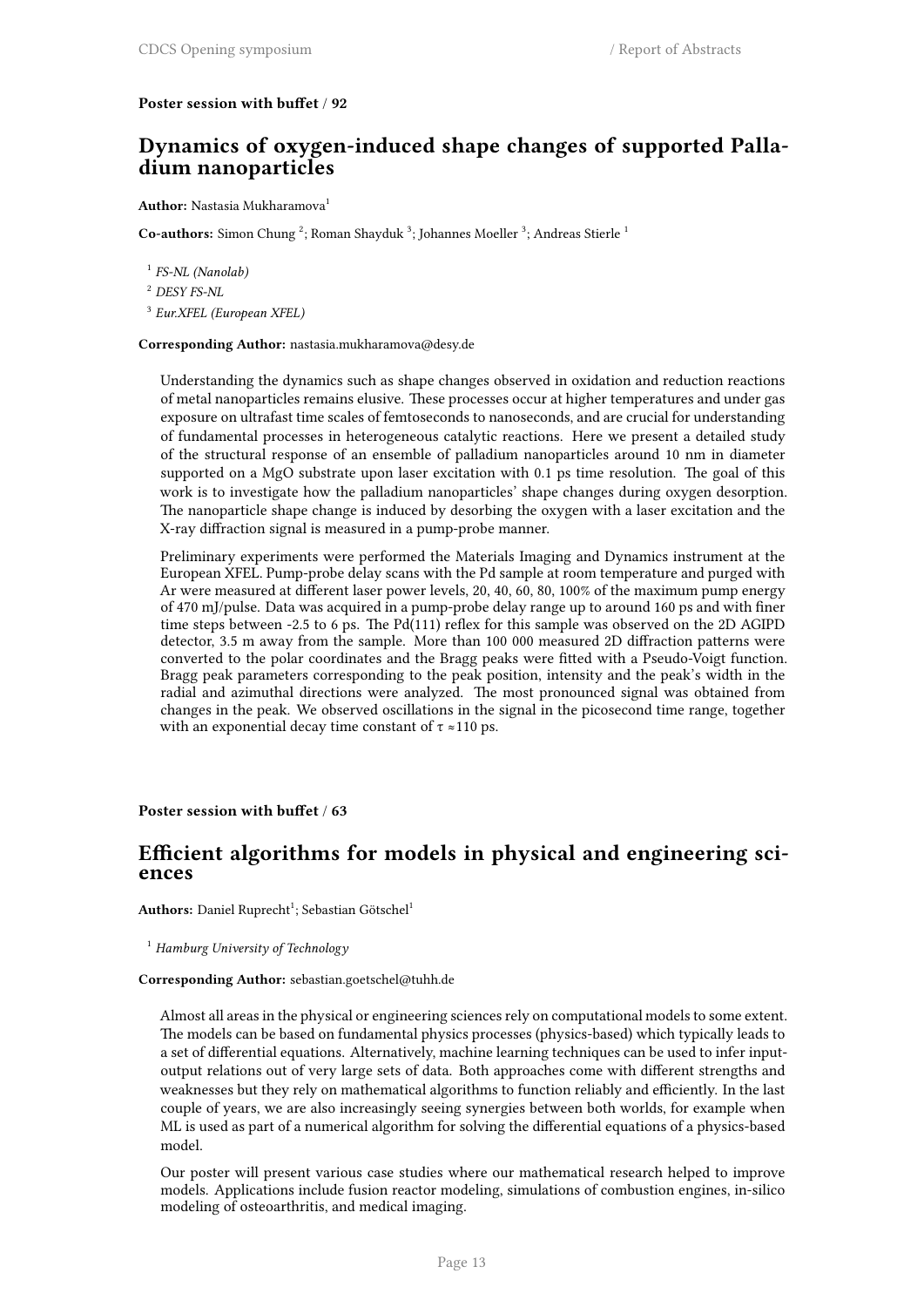### **Poster session with buffet** / **92**

### **Dynamics of oxygen-induced shape changes of supported Palladium nanoparticles**

### **Author:** Nastasia Mukharamova<sup>1</sup>

Co-authors: Simon Chung<sup>2</sup>; Roman Shayduk<sup>3</sup>; Johannes Moeller<sup>3</sup>; Andreas Stierle<sup>1</sup>

1 *FS-NL (Nanolab)*

<sup>2</sup> *DESY FS-NL*

3 *Eur.XFEL (European XFEL)*

### **Corresponding Author:** nastasia.mukharamova@desy.de

Understanding the dynamics such as shape changes observed in oxidation and reduction reactions of metal nanoparticles remains elusive. These processes occur at higher temperatures and under gas exposure on ultrafast time scales of femtoseconds to nanoseconds, and are crucial for understanding of fundamental processes in heterogeneous catalytic reactions. Here we present a detailed study of the structural response of an ensemble of palladium nanoparticles around 10 nm in diameter supported on a MgO substrate upon laser excitation with 0.1 ps time resolution. The goal of this work is to investigate how the palladium nanoparticles' shape changes during oxygen desorption. The nanoparticle shape change is induced by desorbing the oxygen with a laser excitation and the X-ray diffraction signal is measured in a pump-probe manner.

Preliminary experiments were performed the Materials Imaging and Dynamics instrument at the European XFEL. Pump-probe delay scans with the Pd sample at room temperature and purged with Ar were measured at different laser power levels, 20, 40, 60, 80, 100% of the maximum pump energy of 470 mJ/pulse. Data was acquired in a pump-probe delay range up to around 160 ps and with finer time steps between -2.5 to 6 ps. The Pd(111) reflex for this sample was observed on the 2D AGIPD detector, 3.5 m away from the sample. More than 100 000 measured 2D diffraction patterns were converted to the polar coordinates and the Bragg peaks were fitted with a Pseudo-Voigt function. Bragg peak parameters corresponding to the peak position, intensity and the peak's width in the radial and azimuthal directions were analyzed. The most pronounced signal was obtained from changes in the peak. We observed oscillations in the signal in the picosecond time range, together with an exponential decay time constant of  $\tau \approx 110$  ps.

### **Poster session with buffet** / **63**

### **Efficient algorithms for models in physical and engineering sciences**

 $\mathbf{Authors:}$  Daniel Ruprecht<sup>1</sup>; Sebastian Götschel<sup>1</sup>

<sup>1</sup> *Hamburg University of Technology*

### **Corresponding Author:** sebastian.goetschel@tuhh.de

Almost all areas in the physical or engineering sciences rely on computational models to some extent. The models can be based on fundamental physics processes (physics-based) which typically leads to a set of differential equations. Alternatively, machine learning techniques can be used to infer inputoutput relations out of very large sets of data. Both approaches come with different strengths and weaknesses but they rely on mathematical algorithms to function reliably and efficiently. In the last couple of years, we are also increasingly seeing synergies between both worlds, for example when ML is used as part of a numerical algorithm for solving the differential equations of a physics-based model.

Our poster will present various case studies where our mathematical research helped to improve models. Applications include fusion reactor modeling, simulations of combustion engines, in-silico modeling of osteoarthritis, and medical imaging.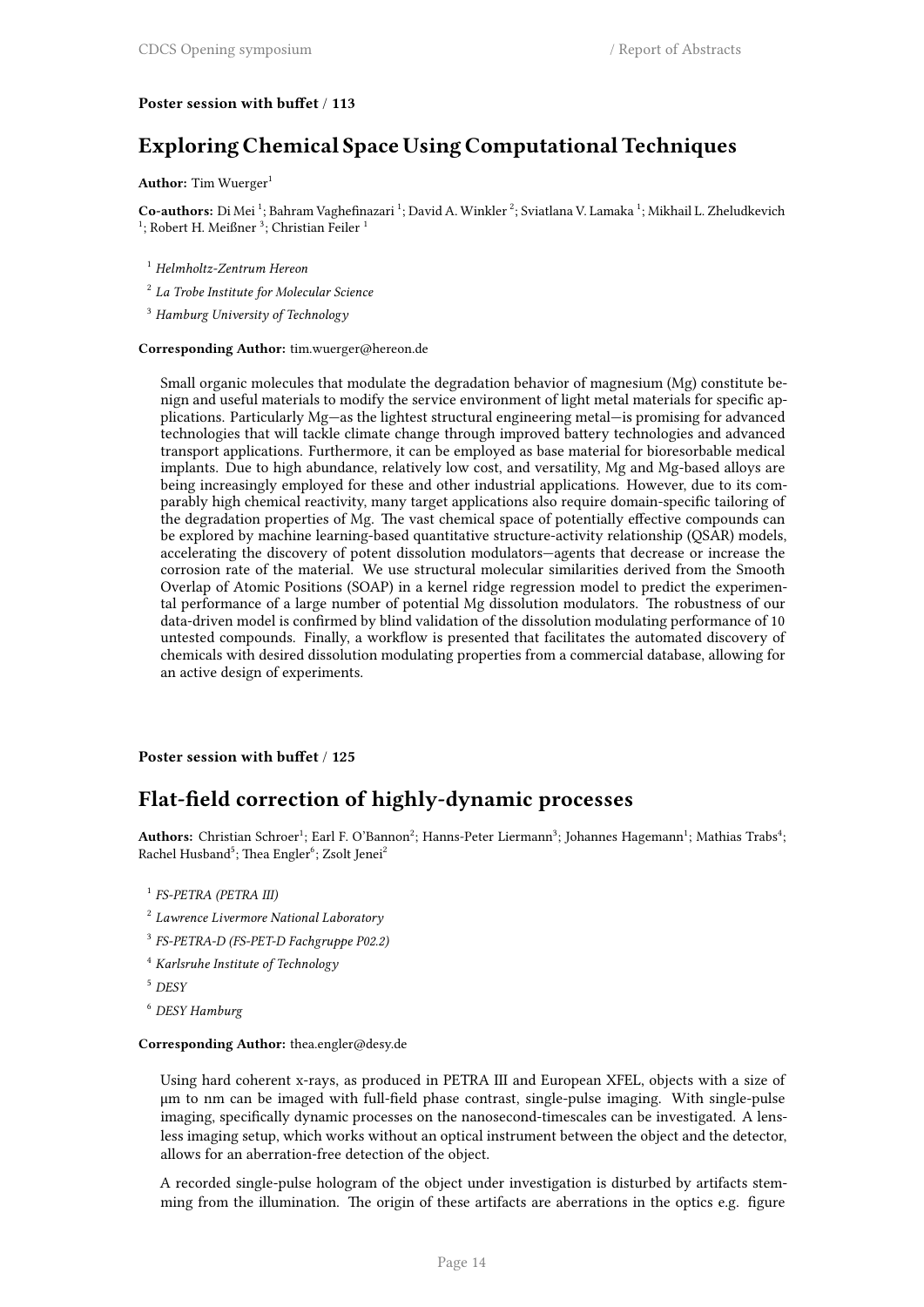### **Poster session with buffet** / **113**

### **Exploring Chemical Space Using Computational Techniques**

#### **Author:** Tim Wuerger<sup>1</sup>

Co-authors: Di Mei<sup>1</sup>; Bahram Vaghefinazari<sup>1</sup>; David A. Winkler<sup>2</sup>; Sviatlana V. Lamaka<sup>1</sup>; Mikhail L. Zheludkevich  $1$ ; Robert H. Meißner  $3$ ; Christian Feiler  $1$ 

- <sup>1</sup> *Helmholtz-Zentrum Hereon*
- 2 *La Trobe Institute for Molecular Science*
- <sup>3</sup> *Hamburg University of Technology*

#### **Corresponding Author:** tim.wuerger@hereon.de

Small organic molecules that modulate the degradation behavior of magnesium (Mg) constitute benign and useful materials to modify the service environment of light metal materials for specific applications. Particularly Mg—as the lightest structural engineering metal—is promising for advanced technologies that will tackle climate change through improved battery technologies and advanced transport applications. Furthermore, it can be employed as base material for bioresorbable medical implants. Due to high abundance, relatively low cost, and versatility, Mg and Mg-based alloys are being increasingly employed for these and other industrial applications. However, due to its comparably high chemical reactivity, many target applications also require domain-specific tailoring of the degradation properties of Mg. The vast chemical space of potentially effective compounds can be explored by machine learning-based quantitative structure-activity relationship (QSAR) models, accelerating the discovery of potent dissolution modulators—agents that decrease or increase the corrosion rate of the material. We use structural molecular similarities derived from the Smooth Overlap of Atomic Positions (SOAP) in a kernel ridge regression model to predict the experimental performance of a large number of potential Mg dissolution modulators. The robustness of our data-driven model is confirmed by blind validation of the dissolution modulating performance of 10 untested compounds. Finally, a workflow is presented that facilitates the automated discovery of chemicals with desired dissolution modulating properties from a commercial database, allowing for an active design of experiments.

#### **Poster session with buffet** / **125**

### **Flat-field correction of highly-dynamic processes**

Authors: Christian Schroer<sup>1</sup>; Earl F. O'Bannon<sup>2</sup>; Hanns-Peter Liermann<sup>3</sup>; Johannes Hagemann<sup>1</sup>; Mathias Trabs<sup>4</sup>; Rachel Husband<sup>5</sup>; Thea Engler<sup>6</sup>; Zsolt Jenei<sup>2</sup>

- 1 *FS-PETRA (PETRA III)*
- 2 *Lawrence Livermore National Laboratory*
- 3 *FS-PETRA-D (FS-PET-D Fachgruppe P02.2)*
- <sup>4</sup> *Karlsruhe Institute of Technology*
- <sup>5</sup> *DESY*
- <sup>6</sup> *DESY Hamburg*

#### **Corresponding Author:** thea.engler@desy.de

Using hard coherent x-rays, as produced in PETRA III and European XFEL, objects with a size of μm to nm can be imaged with full-field phase contrast, single-pulse imaging. With single-pulse imaging, specifically dynamic processes on the nanosecond-timescales can be investigated. A lensless imaging setup, which works without an optical instrument between the object and the detector, allows for an aberration-free detection of the object.

A recorded single-pulse hologram of the object under investigation is disturbed by artifacts stemming from the illumination. The origin of these artifacts are aberrations in the optics e.g. figure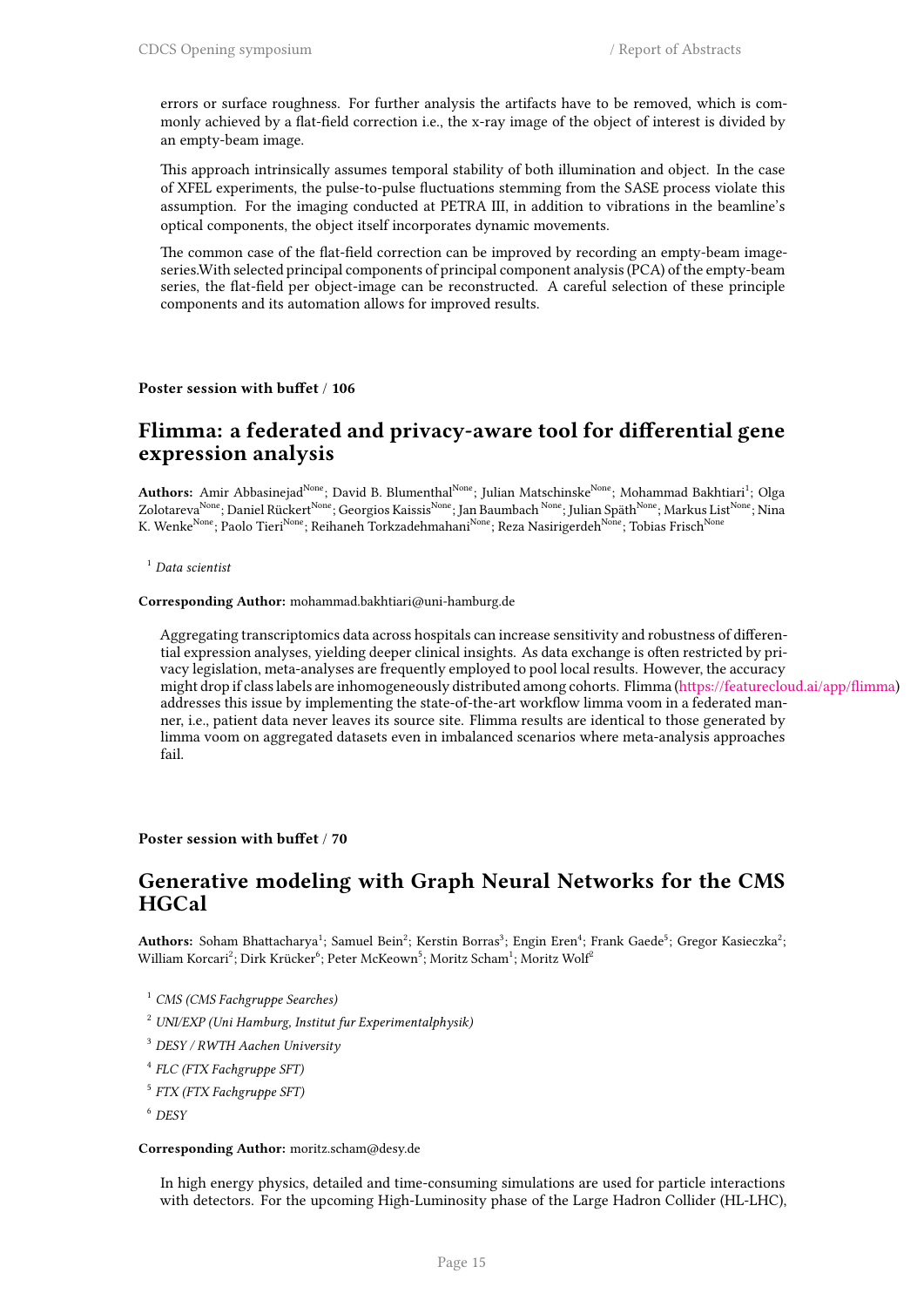errors or surface roughness. For further analysis the artifacts have to be removed, which is commonly achieved by a flat-field correction i.e., the x-ray image of the object of interest is divided by an empty-beam image.

This approach intrinsically assumes temporal stability of both illumination and object. In the case of XFEL experiments, the pulse-to-pulse fluctuations stemming from the SASE process violate this assumption. For the imaging conducted at PETRA III, in addition to vibrations in the beamline's optical components, the object itself incorporates dynamic movements.

The common case of the flat-field correction can be improved by recording an empty-beam imageseries.With selected principal components of principal component analysis (PCA) of the empty-beam series, the flat-field per object-image can be reconstructed. A careful selection of these principle components and its automation allows for improved results.

#### **Poster session with buffet** / **106**

### **Flimma: a federated and privacy-aware tool for differential gene expression analysis**

**Authors:** Amir Abbasinejad<sup>None</sup>; David B. Blumenthal<sup>None</sup>; Julian Matschinske<sup>None</sup>; Mohammad Bakhtiari<sup>1</sup>; Olga Zolotareva<sup>None</sup>; Daniel Rückert<sup>None</sup>; Georgios Kaissis<sup>None</sup>; Jan Baumbach <sup>None</sup>; Julian Späth<sup>None</sup>; Markus List<sup>None</sup>; Nina K. Wenke<sup>None</sup>; Paolo Tieri<sup>None</sup>; Reihaneh Torkzadehmahani<sup>None</sup>; Reza Nasirigerdeh<sup>None</sup>; Tobias Frisch<sup>None</sup>

#### <sup>1</sup> *Data scientist*

**Corresponding Author:** mohammad.bakhtiari@uni-hamburg.de

Aggregating transcriptomics data across hospitals can increase sensitivity and robustness of differential expression analyses, yielding deeper clinical insights. As data exchange is often restricted by privacy legislation, meta-analyses are frequently employed to pool local results. However, the accuracy might drop if class labels are inhomogeneously distributed among cohorts. Flimma (https://featurecloud.ai/app/flimma) addresses this issue by implementing the state-of-the-art workflow limma voom in a federated manner, i.e., patient data never leaves its source site. Flimma results are identical to those generated by limma voom on aggregated datasets even in imbalanced scenarios where meta-analysis approaches fail.

### **Poster session with buffet** / **70**

### **Generative modeling with Graph Neural Networks for the CMS HGCal**

Authors: Soham Bhattacharya<sup>1</sup>; Samuel Bein<sup>2</sup>; Kerstin Borras<sup>3</sup>; Engin Eren<sup>4</sup>; Frank Gaede<sup>5</sup>; Gregor Kasieczka<sup>2</sup>; William Korcari $^2$ ; Dirk Krücker $^6$ ; Peter McKeown $^5$ ; Moritz Scham $^1$ ; Moritz Wolf $^2$ 

- <sup>1</sup> *CMS (CMS Fachgruppe Searches)*
- <sup>2</sup> *UNI/EXP (Uni Hamburg, Institut fur Experimentalphysik)*
- <sup>3</sup> *DESY / RWTH Aachen University*
- 4 *FLC (FTX Fachgruppe SFT)*
- 5 *FTX (FTX Fachgruppe SFT)*
- <sup>6</sup> *DESY*

#### **Corresponding Author:** moritz.scham@desy.de

In high energy physics, detailed and time-consuming simulations are used for particle interactions with detectors. For the upcoming High-Luminosity phase of the Large Hadron Collider (HL-LHC),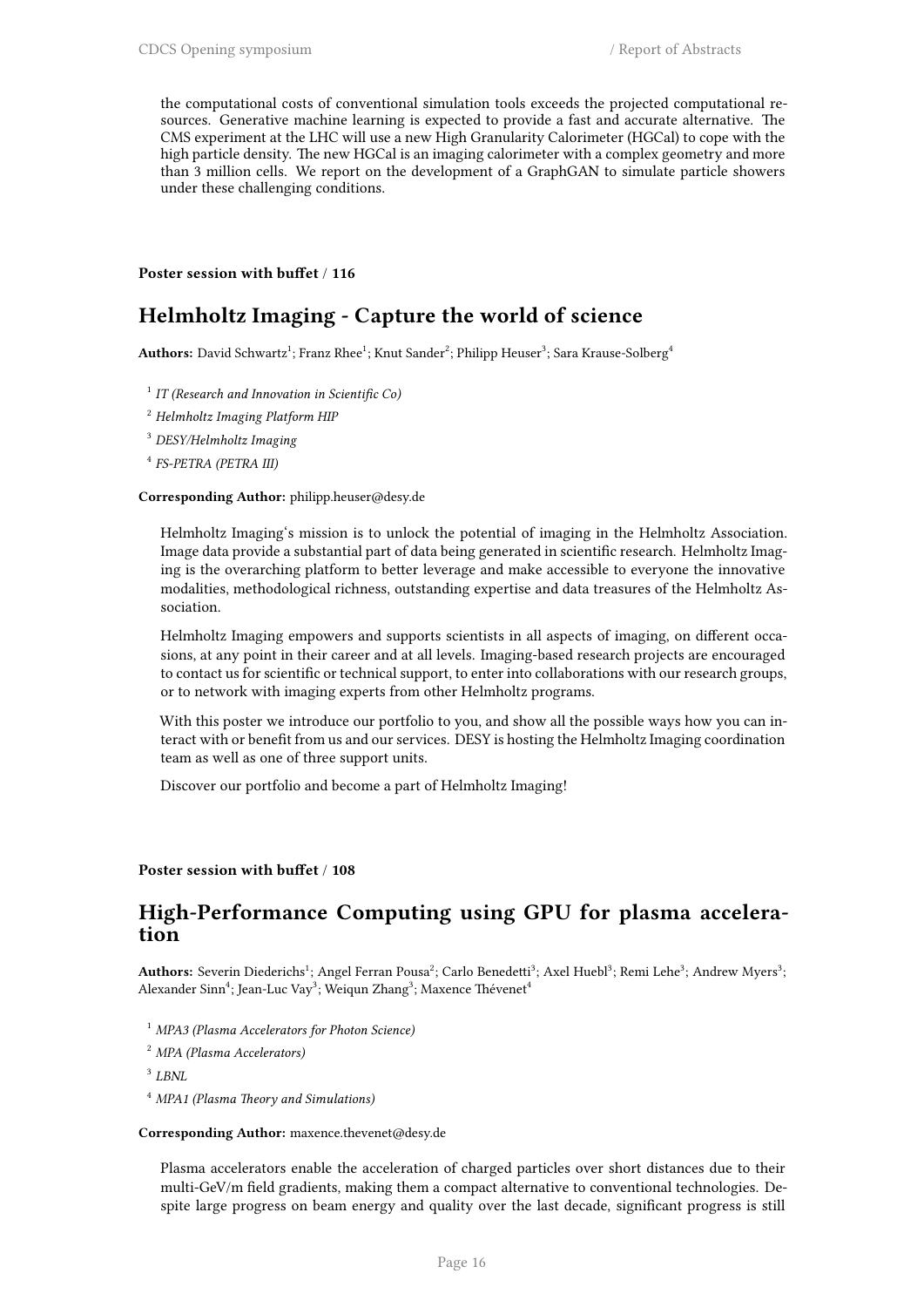the computational costs of conventional simulation tools exceeds the projected computational resources. Generative machine learning is expected to provide a fast and accurate alternative. The CMS experiment at the LHC will use a new High Granularity Calorimeter (HGCal) to cope with the high particle density. The new HGCal is an imaging calorimeter with a complex geometry and more than 3 million cells. We report on the development of a GraphGAN to simulate particle showers under these challenging conditions.

**Poster session with buffet** / **116**

### **Helmholtz Imaging - Capture the world of science**

 $\mathbf{Authors:}$  David Schwartz $^1;$  Franz Rhee $^1;$  Knut Sander $^2;$  Philipp Heuser $^3;$  Sara Krause-Solberg $^4$ 

- 1 *IT (Research and Innovation in Scientific Co)*
- <sup>2</sup> *Helmholtz Imaging Platform HIP*
- <sup>3</sup> *DESY/Helmholtz Imaging*
- 4 *FS-PETRA (PETRA III)*

### **Corresponding Author:** philipp.heuser@desy.de

Helmholtz Imaging's mission is to unlock the potential of imaging in the Helmholtz Association. Image data provide a substantial part of data being generated in scientific research. Helmholtz Imaging is the overarching platform to better leverage and make accessible to everyone the innovative modalities, methodological richness, outstanding expertise and data treasures of the Helmholtz Association.

Helmholtz Imaging empowers and supports scientists in all aspects of imaging, on different occasions, at any point in their career and at all levels. Imaging-based research projects are encouraged to contact us for scientific or technical support, to enter into collaborations with our research groups, or to network with imaging experts from other Helmholtz programs.

With this poster we introduce our portfolio to you, and show all the possible ways how you can interact with or benefit from us and our services. DESY is hosting the Helmholtz Imaging coordination team as well as one of three support units.

Discover our portfolio and become a part of Helmholtz Imaging!

### **Poster session with buffet** / **108**

### **High-Performance Computing using GPU for plasma acceleration**

<code>Authors:</code> Severin Diederichs $^1;$  Angel Ferran Pousa $^2;$  Carlo Benedetti $^3;$  Axel Huebl $^3;$  Remi Lehe $^3;$  Andrew Myers $^3;$ Alexander Sinn<sup>4</sup>; Jean-Luc Vay<sup>3</sup>; Weiqun Zhang<sup>3</sup>; Maxence Thévenet<sup>4</sup>

- <sup>1</sup> *MPA3 (Plasma Accelerators for Photon Science)*
- <sup>2</sup> *MPA (Plasma Accelerators)*

3 *LBNL*

<sup>4</sup> *MPA1 (Plasma Theory and Simulations)*

#### **Corresponding Author:** maxence.thevenet@desy.de

Plasma accelerators enable the acceleration of charged particles over short distances due to their multi-GeV/m field gradients, making them a compact alternative to conventional technologies. Despite large progress on beam energy and quality over the last decade, significant progress is still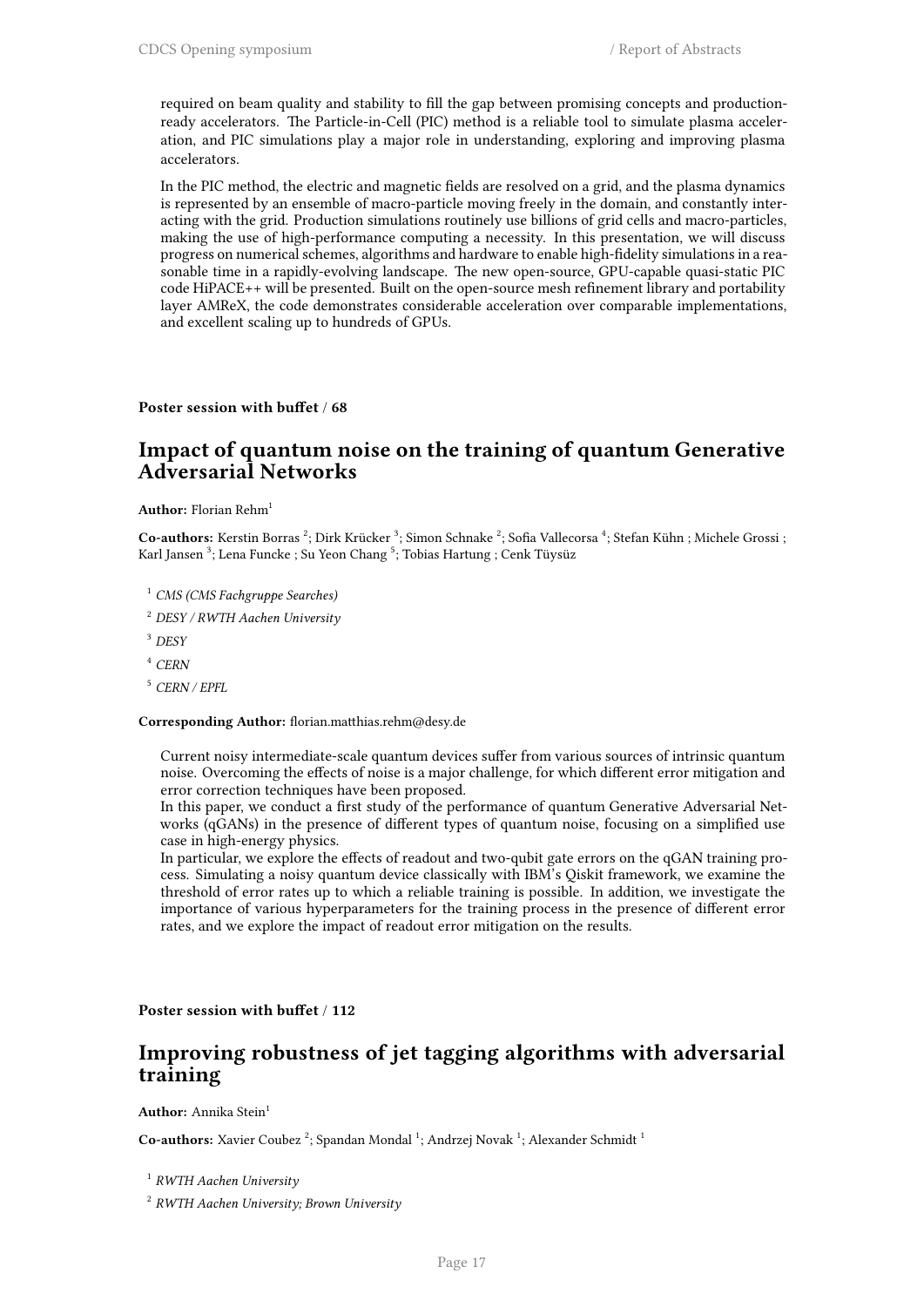required on beam quality and stability to fill the gap between promising concepts and productionready accelerators. The Particle-in-Cell (PIC) method is a reliable tool to simulate plasma acceleration, and PIC simulations play a major role in understanding, exploring and improving plasma accelerators.

In the PIC method, the electric and magnetic fields are resolved on a grid, and the plasma dynamics is represented by an ensemble of macro-particle moving freely in the domain, and constantly interacting with the grid. Production simulations routinely use billions of grid cells and macro-particles, making the use of high-performance computing a necessity. In this presentation, we will discuss progress on numerical schemes, algorithms and hardware to enable high-fidelity simulations in a reasonable time in a rapidly-evolving landscape. The new open-source, GPU-capable quasi-static PIC code HiPACE++ will be presented. Built on the open-source mesh refinement library and portability layer AMReX, the code demonstrates considerable acceleration over comparable implementations, and excellent scaling up to hundreds of GPUs.

### **Poster session with buffet** / **68**

### **Impact of quantum noise on the training of quantum Generative Adversarial Networks**

**Author:** Florian Rehm<sup>1</sup>

Co-authors: Kerstin Borras<sup>2</sup>; Dirk Krücker<sup>3</sup>; Simon Schnake<sup>2</sup>; Sofia Vallecorsa<sup>4</sup>; Stefan Kühn ; Michele Grossi ; Karl Jansen  $^3$ ; Lena Funcke ; Su Yeon Chang  $^5$ ; Tobias Hartung ; Cenk Tüysüz

<sup>1</sup> *CMS (CMS Fachgruppe Searches)*

<sup>2</sup> *DESY / RWTH Aachen University*

<sup>3</sup> *DESY*

<sup>4</sup> *CERN*

<sup>5</sup> *CERN / EPFL*

#### **Corresponding Author:** florian.matthias.rehm@desy.de

Current noisy intermediate-scale quantum devices suffer from various sources of intrinsic quantum noise. Overcoming the effects of noise is a major challenge, for which different error mitigation and error correction techniques have been proposed.

In this paper, we conduct a first study of the performance of quantum Generative Adversarial Networks (qGANs) in the presence of different types of quantum noise, focusing on a simplified use case in high-energy physics.

In particular, we explore the effects of readout and two-qubit gate errors on the qGAN training process. Simulating a noisy quantum device classically with IBM's Qiskit framework, we examine the threshold of error rates up to which a reliable training is possible. In addition, we investigate the importance of various hyperparameters for the training process in the presence of different error rates, and we explore the impact of readout error mitigation on the results.

**Poster session with buffet** / **112**

### **Improving robustness of jet tagging algorithms with adversarial training**

**Author:** Annika Stein<sup>1</sup>

Co-authors: Xavier Coubez<sup>2</sup>; Spandan Mondal<sup>1</sup>; Andrzej Novak<sup>1</sup>; Alexander Schmidt<sup>1</sup>

1 *RWTH Aachen University*

2 *RWTH Aachen University; Brown University*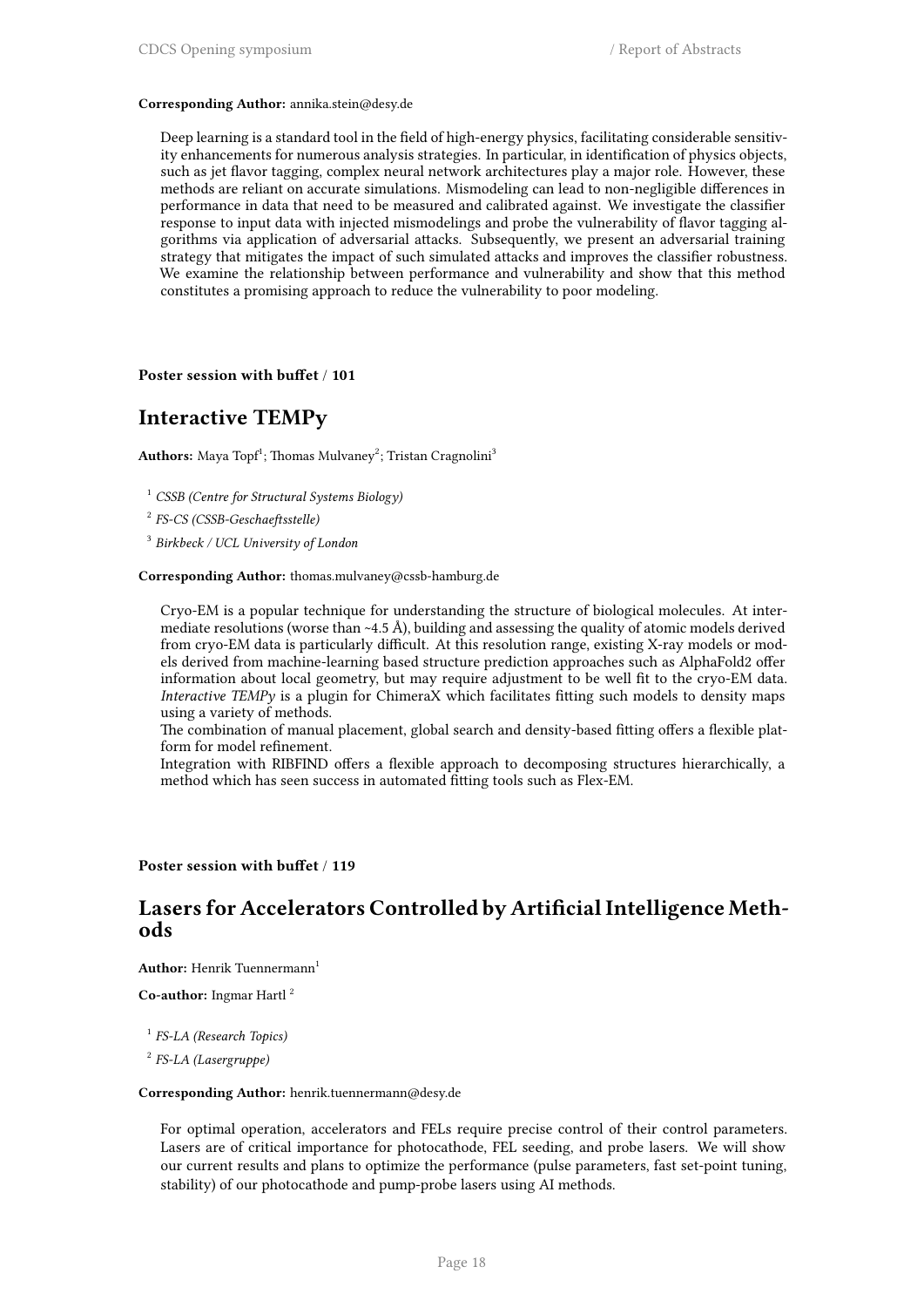#### **Corresponding Author:** annika.stein@desy.de

Deep learning is a standard tool in the field of high-energy physics, facilitating considerable sensitivity enhancements for numerous analysis strategies. In particular, in identification of physics objects, such as jet flavor tagging, complex neural network architectures play a major role. However, these methods are reliant on accurate simulations. Mismodeling can lead to non-negligible differences in performance in data that need to be measured and calibrated against. We investigate the classifier response to input data with injected mismodelings and probe the vulnerability of flavor tagging algorithms via application of adversarial attacks. Subsequently, we present an adversarial training strategy that mitigates the impact of such simulated attacks and improves the classifier robustness. We examine the relationship between performance and vulnerability and show that this method constitutes a promising approach to reduce the vulnerability to poor modeling.

### **Poster session with buffet** / **101**

### **Interactive TEMPy**

 $\mathbf{Authors: } \ \mathbf{Maya} \ \mathbf{Topf}^1; \ \mathbf{Thomas} \ \mathbf{Mulvaney}^2; \ \mathbf{Tristan} \ \mathbf{Cragnolini}^3$ 

<sup>1</sup> *CSSB (Centre for Structural Systems Biology)*

2 *FS-CS (CSSB-Geschaeftsstelle)*

3 *Birkbeck / UCL University of London*

**Corresponding Author:** thomas.mulvaney@cssb-hamburg.de

Cryo-EM is a popular technique for understanding the structure of biological molecules. At intermediate resolutions (worse than ~4.5 Å), building and assessing the quality of atomic models derived from cryo-EM data is particularly difficult. At this resolution range, existing X-ray models or models derived from machine-learning based structure prediction approaches such as AlphaFold2 offer information about local geometry, but may require adjustment to be well fit to the cryo-EM data. *Interactive TEMPy* is a plugin for ChimeraX which facilitates fitting such models to density maps using a variety of methods.

The combination of manual placement, global search and density-based fitting offers a flexible platform for model refinement.

Integration with RIBFIND offers a flexible approach to decomposing structures hierarchically, a method which has seen success in automated fitting tools such as Flex-EM.

### **Poster session with buffet** / **119**

### **Lasers for Accelerators Controlled by Artificial Intelligence Methods**

**Author:** Henrik Tuennermann<sup>1</sup>

**Co-author:** Ingmar Hartl <sup>2</sup>

1 *FS-LA (Research Topics)*

2 *FS-LA (Lasergruppe)*

#### **Corresponding Author:** henrik.tuennermann@desy.de

For optimal operation, accelerators and FELs require precise control of their control parameters. Lasers are of critical importance for photocathode, FEL seeding, and probe lasers. We will show our current results and plans to optimize the performance (pulse parameters, fast set-point tuning, stability) of our photocathode and pump-probe lasers using AI methods.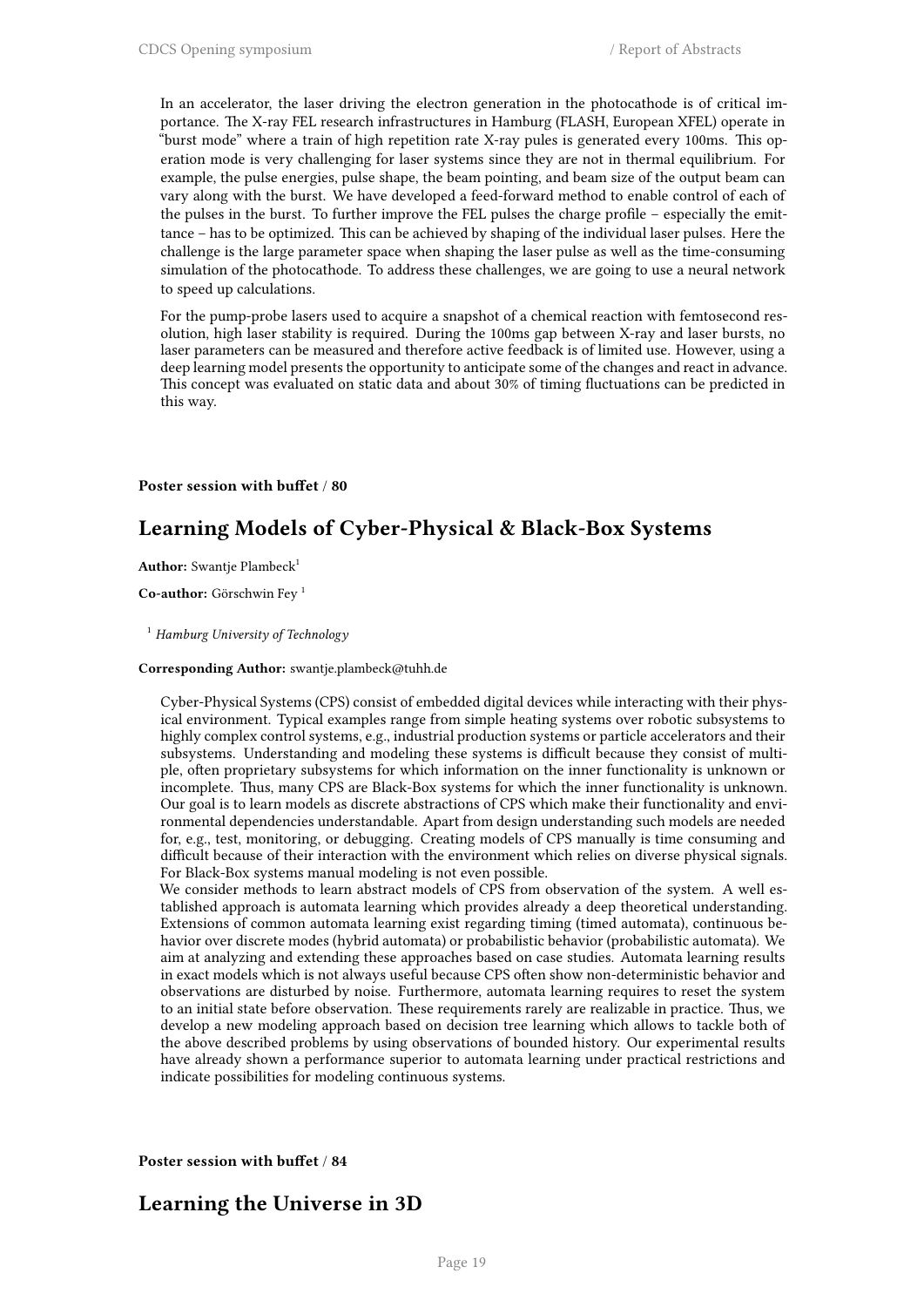In an accelerator, the laser driving the electron generation in the photocathode is of critical importance. The X-ray FEL research infrastructures in Hamburg (FLASH, European XFEL) operate in "burst mode" where a train of high repetition rate X-ray pules is generated every 100ms. This operation mode is very challenging for laser systems since they are not in thermal equilibrium. For example, the pulse energies, pulse shape, the beam pointing, and beam size of the output beam can vary along with the burst. We have developed a feed-forward method to enable control of each of the pulses in the burst. To further improve the FEL pulses the charge profile – especially the emittance – has to be optimized. This can be achieved by shaping of the individual laser pulses. Here the challenge is the large parameter space when shaping the laser pulse as well as the time-consuming simulation of the photocathode. To address these challenges, we are going to use a neural network to speed up calculations.

For the pump-probe lasers used to acquire a snapshot of a chemical reaction with femtosecond resolution, high laser stability is required. During the 100ms gap between X-ray and laser bursts, no laser parameters can be measured and therefore active feedback is of limited use. However, using a deep learning model presents the opportunity to anticipate some of the changes and react in advance. This concept was evaluated on static data and about 30% of timing fluctuations can be predicted in this way.

### **Poster session with buffet** / **80**

### **Learning Models of Cyber-Physical & Black-Box Systems**

Author: Swantje Plambeck<sup>1</sup>

**Co-author:** Görschwin Fey <sup>1</sup>

<sup>1</sup> *Hamburg University of Technology*

### **Corresponding Author:** swantje.plambeck@tuhh.de

Cyber-Physical Systems (CPS) consist of embedded digital devices while interacting with their physical environment. Typical examples range from simple heating systems over robotic subsystems to highly complex control systems, e.g., industrial production systems or particle accelerators and their subsystems. Understanding and modeling these systems is difficult because they consist of multiple, often proprietary subsystems for which information on the inner functionality is unknown or incomplete. Thus, many CPS are Black-Box systems for which the inner functionality is unknown. Our goal is to learn models as discrete abstractions of CPS which make their functionality and environmental dependencies understandable. Apart from design understanding such models are needed for, e.g., test, monitoring, or debugging. Creating models of CPS manually is time consuming and difficult because of their interaction with the environment which relies on diverse physical signals. For Black-Box systems manual modeling is not even possible.

We consider methods to learn abstract models of CPS from observation of the system. A well established approach is automata learning which provides already a deep theoretical understanding. Extensions of common automata learning exist regarding timing (timed automata), continuous behavior over discrete modes (hybrid automata) or probabilistic behavior (probabilistic automata). We aim at analyzing and extending these approaches based on case studies. Automata learning results in exact models which is not always useful because CPS often show non-deterministic behavior and observations are disturbed by noise. Furthermore, automata learning requires to reset the system to an initial state before observation. These requirements rarely are realizable in practice. Thus, we develop a new modeling approach based on decision tree learning which allows to tackle both of the above described problems by using observations of bounded history. Our experimental results have already shown a performance superior to automata learning under practical restrictions and indicate possibilities for modeling continuous systems.

**Poster session with buffet** / **84**

### **Learning the Universe in 3D**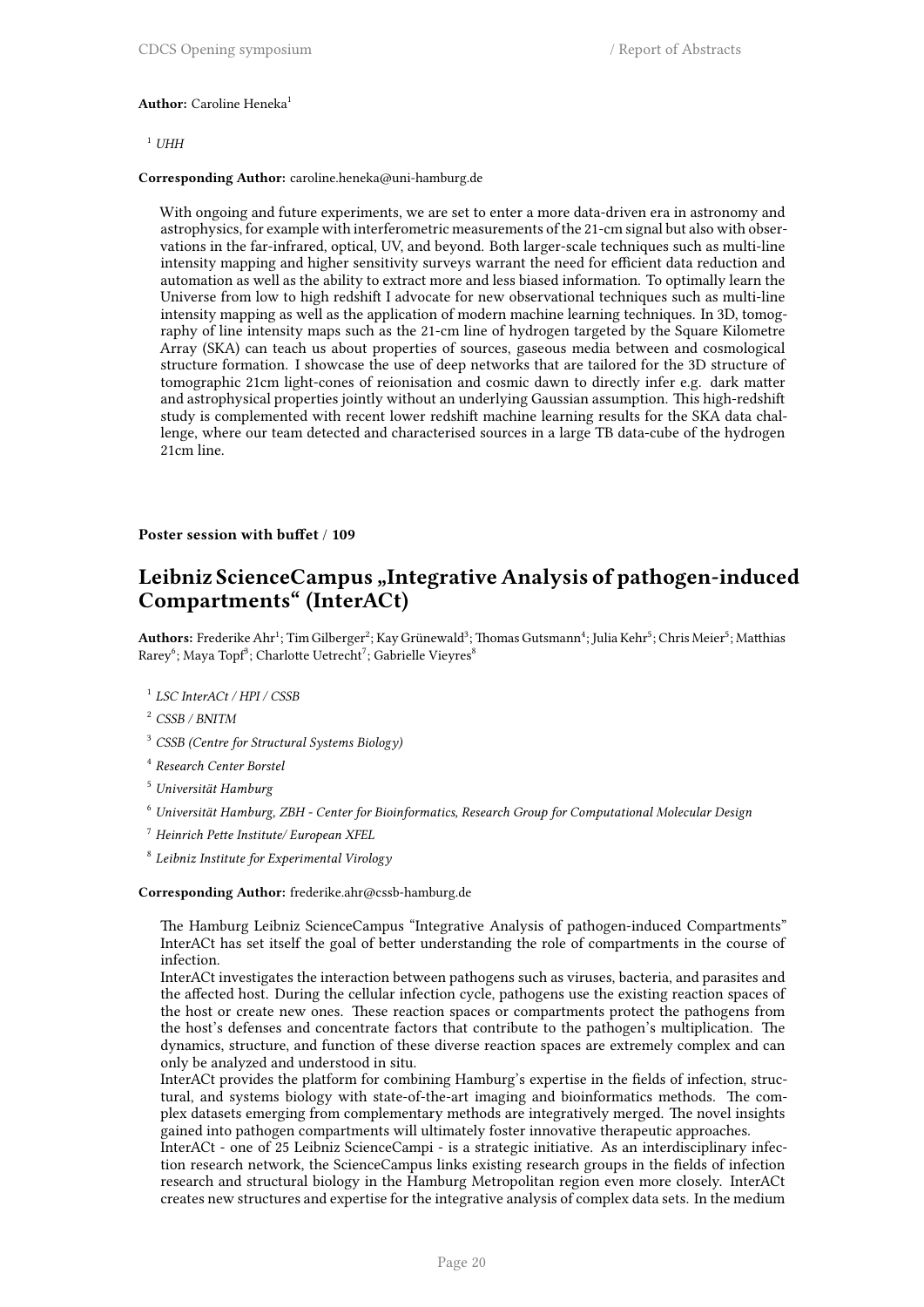#### **Author:** Caroline Heneka<sup>1</sup>

 $1$  *UHH* 

**Corresponding Author:** caroline.heneka@uni-hamburg.de

With ongoing and future experiments, we are set to enter a more data-driven era in astronomy and astrophysics, for example with interferometric measurements of the 21-cm signal but also with observations in the far-infrared, optical, UV, and beyond. Both larger-scale techniques such as multi-line intensity mapping and higher sensitivity surveys warrant the need for efficient data reduction and automation as well as the ability to extract more and less biased information. To optimally learn the Universe from low to high redshift I advocate for new observational techniques such as multi-line intensity mapping as well as the application of modern machine learning techniques. In 3D, tomography of line intensity maps such as the 21-cm line of hydrogen targeted by the Square Kilometre Array (SKA) can teach us about properties of sources, gaseous media between and cosmological structure formation. I showcase the use of deep networks that are tailored for the 3D structure of tomographic 21cm light-cones of reionisation and cosmic dawn to directly infer e.g. dark matter and astrophysical properties jointly without an underlying Gaussian assumption. This high-redshift study is complemented with recent lower redshift machine learning results for the SKA data challenge, where our team detected and characterised sources in a large TB data-cube of the hydrogen 21cm line.

#### **Poster session with buffet** / **109**

### Leibniz ScienceCampus "Integrative Analysis of pathogen-induced **Compartments" (InterACt)**

 ${\bf Authors:}$  Frederike Ahr $^1;$  Tim Gilberger $^2;$  Kay Grünewald $^3;$  Thomas Gutsmann $^4;$  Julia Kehr $^5;$  Chris Meier $^5;$  Matthias Rarey<sup>6</sup>; Maya Topf<sup>3</sup>; Charlotte Uetrecht<sup>7</sup>; Gabrielle Vieyres<sup>8</sup>

- 1 *LSC InterACt / HPI / CSSB*
- <sup>2</sup> *CSSB / BNITM*
- <sup>3</sup> *CSSB (Centre for Structural Systems Biology)*
- 4 *Research Center Borstel*
- <sup>5</sup> *Universität Hamburg*
- <sup>6</sup> *Universität Hamburg, ZBH Center for Bioinformatics, Research Group for Computational Molecular Design*
- <sup>7</sup> *Heinrich Pette Institute/ European XFEL*
- 8 *Leibniz Institute for Experimental Virology*

#### **Corresponding Author:** frederike.ahr@cssb-hamburg.de

The Hamburg Leibniz ScienceCampus "Integrative Analysis of pathogen-induced Compartments" InterACt has set itself the goal of better understanding the role of compartments in the course of infection.

InterACt investigates the interaction between pathogens such as viruses, bacteria, and parasites and the affected host. During the cellular infection cycle, pathogens use the existing reaction spaces of the host or create new ones. These reaction spaces or compartments protect the pathogens from the host's defenses and concentrate factors that contribute to the pathogen's multiplication. The dynamics, structure, and function of these diverse reaction spaces are extremely complex and can only be analyzed and understood in situ.

InterACt provides the platform for combining Hamburg's expertise in the fields of infection, structural, and systems biology with state-of-the-art imaging and bioinformatics methods. The complex datasets emerging from complementary methods are integratively merged. The novel insights gained into pathogen compartments will ultimately foster innovative therapeutic approaches.

InterACt - one of 25 Leibniz ScienceCampi - is a strategic initiative. As an interdisciplinary infection research network, the ScienceCampus links existing research groups in the fields of infection research and structural biology in the Hamburg Metropolitan region even more closely. InterACt creates new structures and expertise for the integrative analysis of complex data sets. In the medium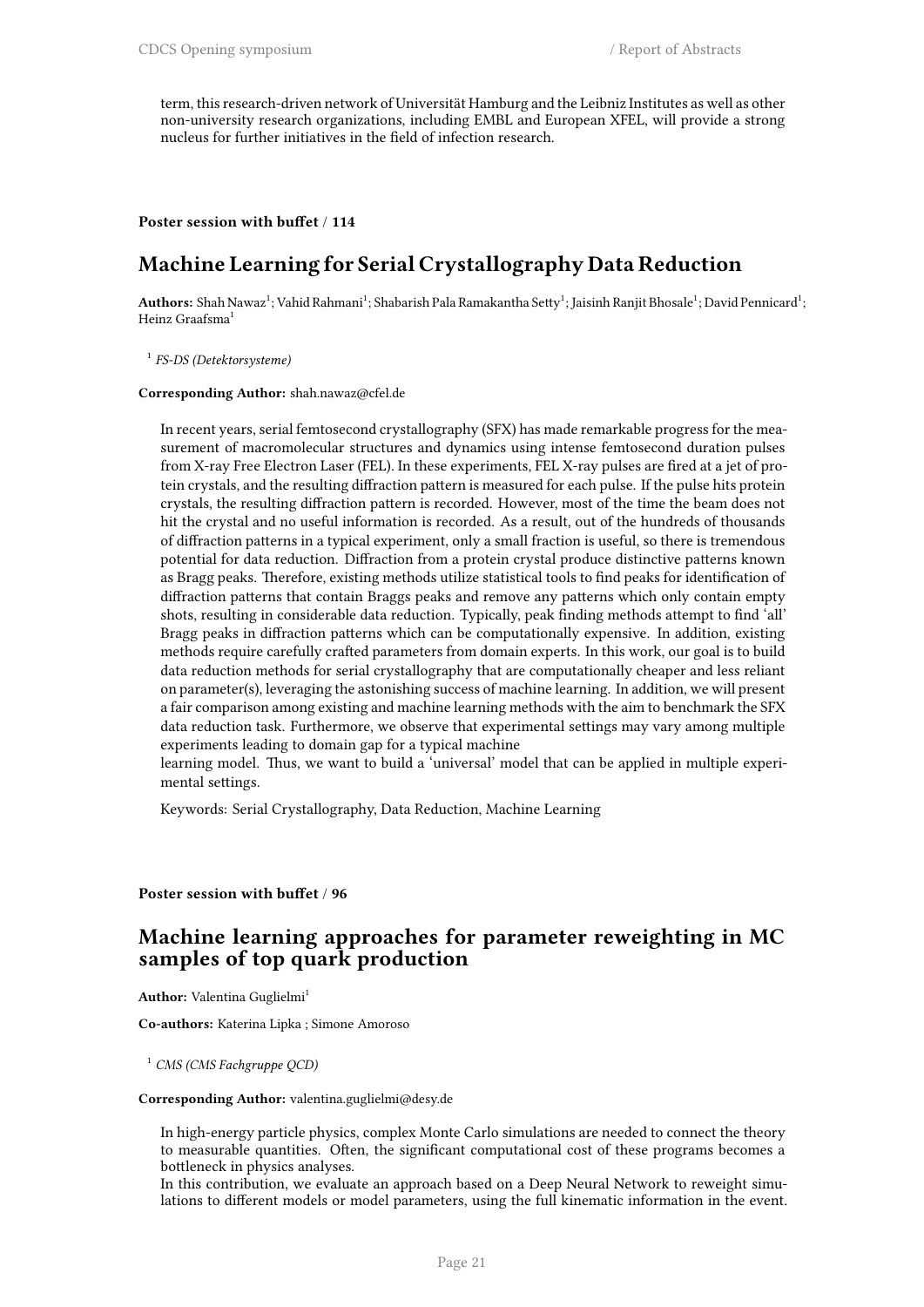term, this research-driven network of Universität Hamburg and the Leibniz Institutes as well as other non-university research organizations, including EMBL and European XFEL, will provide a strong nucleus for further initiatives in the field of infection research.

### **Poster session with buffet** / **114**

### **Machine Learning for Serial Crystallography Data Reduction**

A**uthors:** Shah Nawaz<sup>1</sup>; Vahid Rahmani<sup>1</sup>; Shabarish Pala Ramakantha Setty<sup>1</sup>; Jaisinh Ranjit Bhosale<sup>1</sup>; David Pennicard<sup>1</sup>; Heinz Graafsma<sup>1</sup>

1 *FS-DS (Detektorsysteme)*

#### **Corresponding Author:** shah.nawaz@cfel.de

In recent years, serial femtosecond crystallography (SFX) has made remarkable progress for the measurement of macromolecular structures and dynamics using intense femtosecond duration pulses from X-ray Free Electron Laser (FEL). In these experiments, FEL X-ray pulses are fired at a jet of protein crystals, and the resulting diffraction pattern is measured for each pulse. If the pulse hits protein crystals, the resulting diffraction pattern is recorded. However, most of the time the beam does not hit the crystal and no useful information is recorded. As a result, out of the hundreds of thousands of diffraction patterns in a typical experiment, only a small fraction is useful, so there is tremendous potential for data reduction. Diffraction from a protein crystal produce distinctive patterns known as Bragg peaks. Therefore, existing methods utilize statistical tools to find peaks for identification of diffraction patterns that contain Braggs peaks and remove any patterns which only contain empty shots, resulting in considerable data reduction. Typically, peak finding methods attempt to find 'all' Bragg peaks in diffraction patterns which can be computationally expensive. In addition, existing methods require carefully crafted parameters from domain experts. In this work, our goal is to build data reduction methods for serial crystallography that are computationally cheaper and less reliant on parameter(s), leveraging the astonishing success of machine learning. In addition, we will present a fair comparison among existing and machine learning methods with the aim to benchmark the SFX data reduction task. Furthermore, we observe that experimental settings may vary among multiple experiments leading to domain gap for a typical machine

learning model. Thus, we want to build a 'universal' model that can be applied in multiple experimental settings.

Keywords: Serial Crystallography, Data Reduction, Machine Learning

**Poster session with buffet** / **96**

### **Machine learning approaches for parameter reweighting in MC samples of top quark production**

**Author:** Valentina Guglielmi<sup>1</sup>

**Co-authors:** Katerina Lipka ; Simone Amoroso

<sup>1</sup> *CMS (CMS Fachgruppe QCD)*

#### **Corresponding Author:** valentina.guglielmi@desy.de

In high-energy particle physics, complex Monte Carlo simulations are needed to connect the theory to measurable quantities. Often, the significant computational cost of these programs becomes a bottleneck in physics analyses.

In this contribution, we evaluate an approach based on a Deep Neural Network to reweight simulations to different models or model parameters, using the full kinematic information in the event.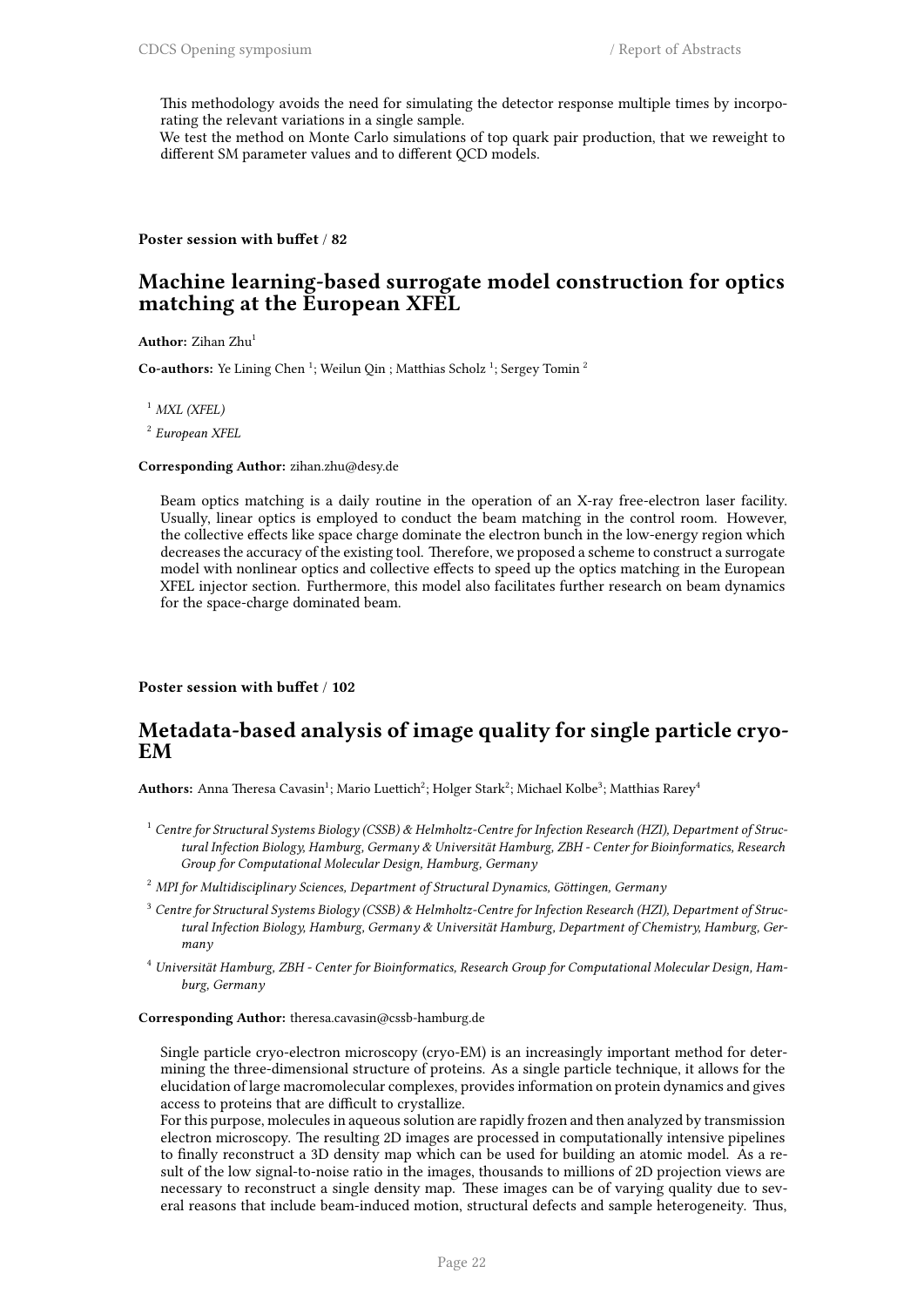This methodology avoids the need for simulating the detector response multiple times by incorporating the relevant variations in a single sample.

We test the method on Monte Carlo simulations of top quark pair production, that we reweight to different SM parameter values and to different QCD models.

**Poster session with buffet** / **82**

### **Machine learning-based surrogate model construction for optics matching at the European XFEL**

**Author:** Zihan Zhu<sup>1</sup>

Co-authors: Ye Lining Chen<sup>1</sup>; Weilun Qin ; Matthias Scholz<sup>1</sup>; Sergey Tomin<sup>2</sup>

<sup>1</sup> *MXL (XFEL)*

2 *European XFEL*

**Corresponding Author:** zihan.zhu@desy.de

Beam optics matching is a daily routine in the operation of an X-ray free-electron laser facility. Usually, linear optics is employed to conduct the beam matching in the control room. However, the collective effects like space charge dominate the electron bunch in the low-energy region which decreases the accuracy of the existing tool. Therefore, we proposed a scheme to construct a surrogate model with nonlinear optics and collective effects to speed up the optics matching in the European XFEL injector section. Furthermore, this model also facilitates further research on beam dynamics for the space-charge dominated beam.

**Poster session with buffet** / **102**

### **Metadata-based analysis of image quality for single particle cryo-EM**

<code>Authors:</code> Anna Theresa Cavasin $^1$ ; Mario Luettich $^2$ ; Holger Stark $^2$ ; Michael Kolbe $^3$ ; Matthias Rarey $^4$ 

- <sup>1</sup> *Centre for Structural Systems Biology (CSSB) & Helmholtz-Centre for Infection Research (HZI), Department of Structural Infection Biology, Hamburg, Germany & Universität Hamburg, ZBH - Center for Bioinformatics, Research Group for Computational Molecular Design, Hamburg, Germany*
- <sup>2</sup> *MPI for Multidisciplinary Sciences, Department of Structural Dynamics, Göttingen, Germany*
- <sup>3</sup> *Centre for Structural Systems Biology (CSSB) & Helmholtz-Centre for Infection Research (HZI), Department of Structural Infection Biology, Hamburg, Germany & Universität Hamburg, Department of Chemistry, Hamburg, Germany*
- <sup>4</sup> *Universität Hamburg, ZBH Center for Bioinformatics, Research Group for Computational Molecular Design, Hamburg, Germany*

**Corresponding Author:** theresa.cavasin@cssb-hamburg.de

Single particle cryo-electron microscopy (cryo-EM) is an increasingly important method for determining the three-dimensional structure of proteins. As a single particle technique, it allows for the elucidation of large macromolecular complexes, provides information on protein dynamics and gives access to proteins that are difficult to crystallize.

For this purpose, molecules in aqueous solution are rapidly frozen and then analyzed by transmission electron microscopy. The resulting 2D images are processed in computationally intensive pipelines to finally reconstruct a 3D density map which can be used for building an atomic model. As a result of the low signal-to-noise ratio in the images, thousands to millions of 2D projection views are necessary to reconstruct a single density map. These images can be of varying quality due to several reasons that include beam-induced motion, structural defects and sample heterogeneity. Thus,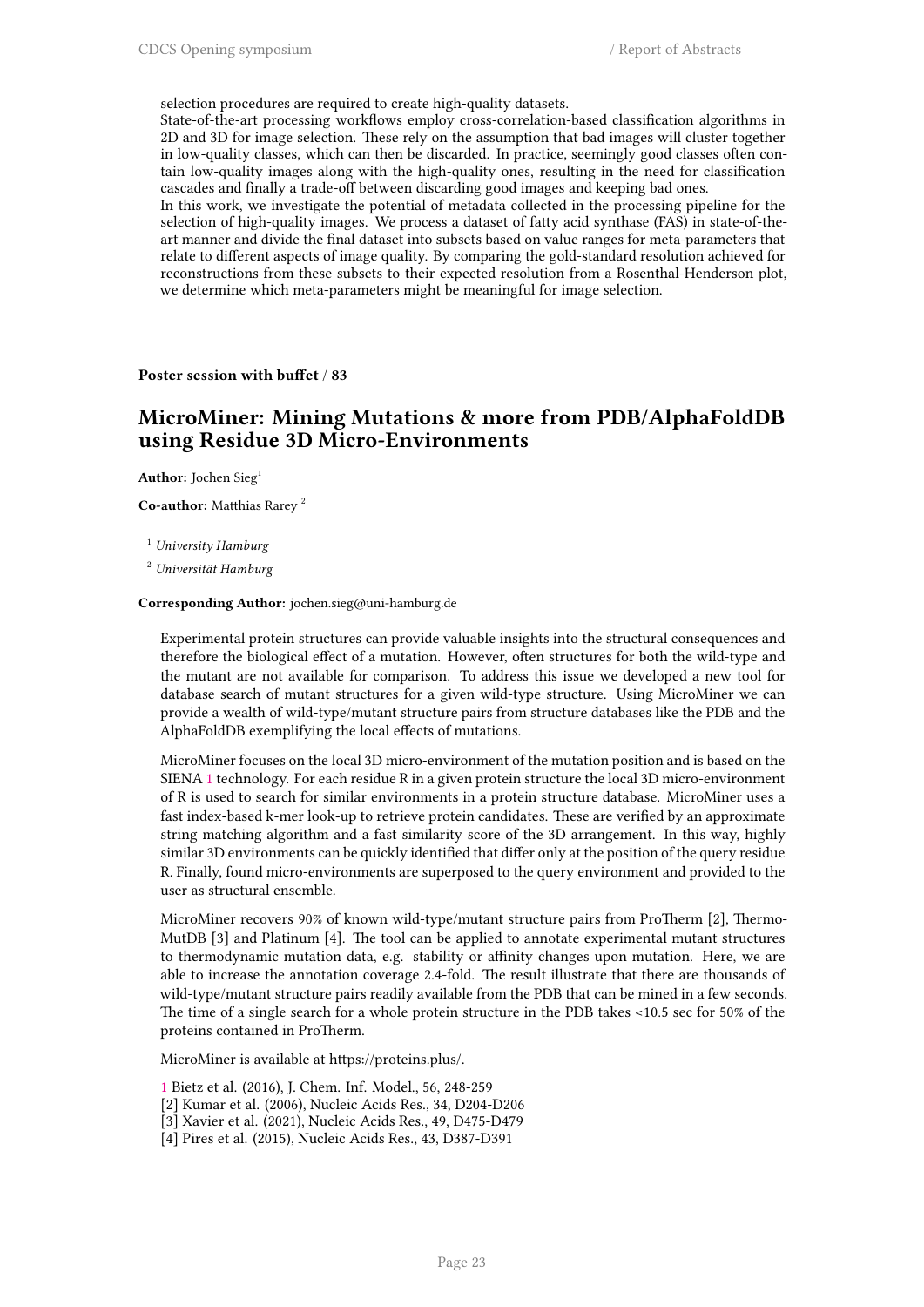selection procedures are required to create high-quality datasets.

State-of-the-art processing workflows employ cross-correlation-based classification algorithms in 2D and 3D for image selection. These rely on the assumption that bad images will cluster together in low-quality classes, which can then be discarded. In practice, seemingly good classes often contain low-quality images along with the high-quality ones, resulting in the need for classification cascades and finally a trade-off between discarding good images and keeping bad ones.

In this work, we investigate the potential of metadata collected in the processing pipeline for the selection of high-quality images. We process a dataset of fatty acid synthase (FAS) in state-of-theart manner and divide the final dataset into subsets based on value ranges for meta-parameters that relate to different aspects of image quality. By comparing the gold-standard resolution achieved for reconstructions from these subsets to their expected resolution from a Rosenthal-Henderson plot, we determine which meta-parameters might be meaningful for image selection.

**Poster session with buffet** / **83**

### **MicroMiner: Mining Mutations & more from PDB/AlphaFoldDB using Residue 3D Micro-Environments**

Author: Jochen Sieg<sup>1</sup>

**Co-author:** Matthias Rarey <sup>2</sup>

<sup>1</sup> *University Hamburg*

<sup>2</sup> *Universität Hamburg*

#### **Corresponding Author:** jochen.sieg@uni-hamburg.de

Experimental protein structures can provide valuable insights into the structural consequences and therefore the biological effect of a mutation. However, often structures for both the wild-type and the mutant are not available for comparison. To address this issue we developed a new tool for database search of mutant structures for a given wild-type structure. Using MicroMiner we can provide a wealth of wild-type/mutant structure pairs from structure databases like the PDB and the AlphaFoldDB exemplifying the local effects of mutations.

MicroMiner focuses on the local 3D micro-environment of the mutation position and is based on the SIENA 1 technology. For each residue R in a given protein structure the local 3D micro-environment of R is used to search for similar environments in a protein structure database. MicroMiner uses a fast index-based k-mer look-up to retrieve protein candidates. These are verified by an approximate string matching algorithm and a fast similarity score of the 3D arrangement. In this way, highly similar [3](https://featurecloud.ai/app/flimma)D environments can be quickly identified that differ only at the position of the query residue R. Finally, found micro-environments are superposed to the query environment and provided to the user as structural ensemble.

MicroMiner recovers 90% of known wild-type/mutant structure pairs from ProTherm [2], Thermo-MutDB [3] and Platinum [4]. The tool can be applied to annotate experimental mutant structures to thermodynamic mutation data, e.g. stability or affinity changes upon mutation. Here, we are able to increase the annotation coverage 2.4-fold. The result illustrate that there are thousands of wild-type/mutant structure pairs readily available from the PDB that can be mined in a few seconds. The time of a single search for a whole protein structure in the PDB takes <10.5 sec for 50% of the proteins contained in ProTherm.

MicroMiner is available at https://proteins.plus/.

- 1 Bietz et al. (2016), J. Chem. Inf. Model., 56, 248-259
- [2] Kumar et al. (2006), Nucleic Acids Res., 34, D204-D206
- [3] Xavier et al. (2021), Nucleic Acids Res., 49, D475-D479
- [4] Pires et al. (2015), Nucleic Acids Res., 43, D387-D391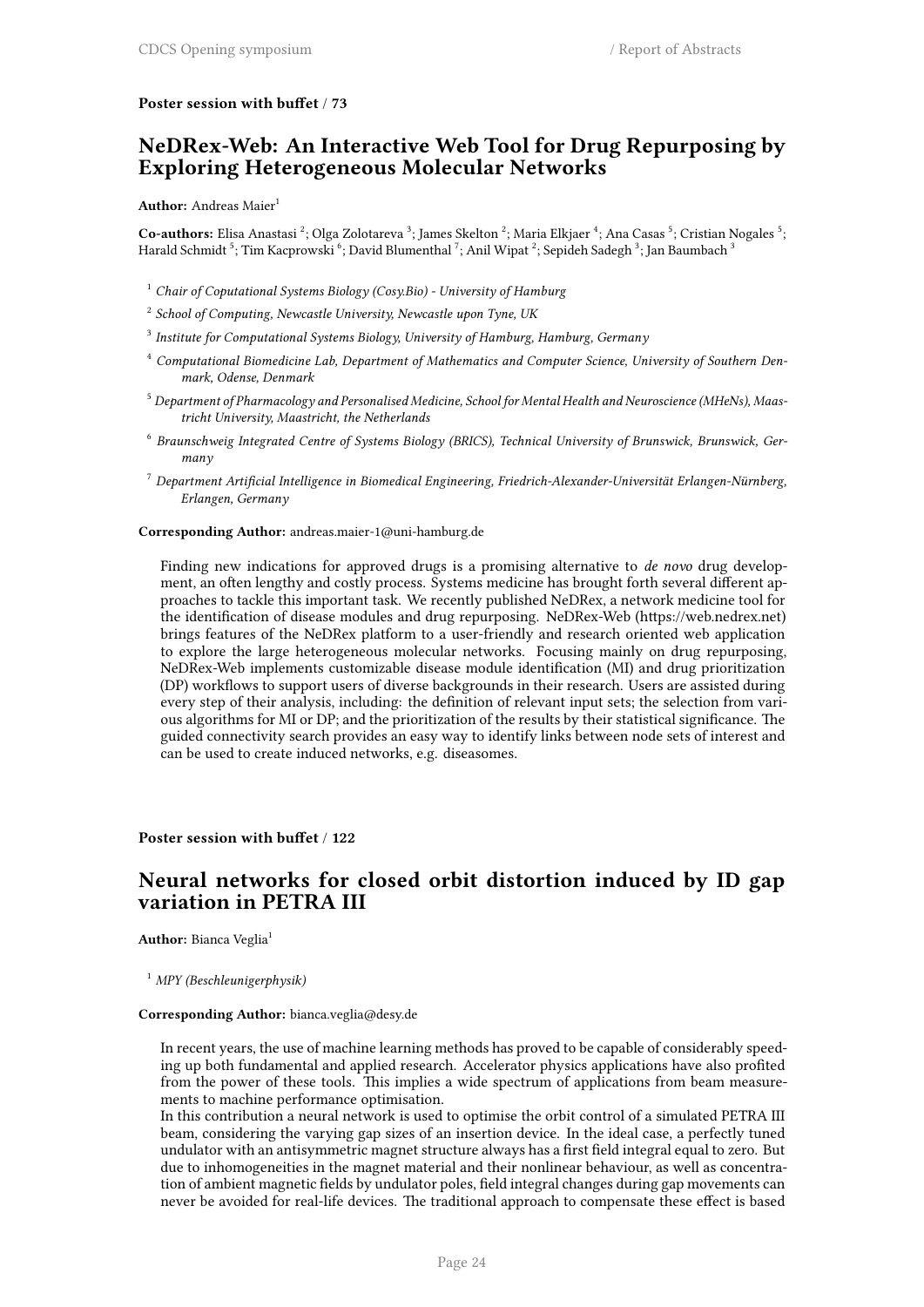### **Poster session with buffet** / **73**

### **NeDRex-Web: An Interactive Web Tool for Drug Repurposing by Exploring Heterogeneous Molecular Networks**

### **Author:** Andreas Maier<sup>1</sup>

Co-authors: Elisa Anastasi <sup>2</sup>; Olga Zolotareva <sup>3</sup>; James Skelton <sup>2</sup>; Maria Elkjaer <sup>4</sup>; Ana Casas <sup>5</sup>; Cristian Nogales <sup>5</sup>; Harald Schmidt  $^5$ ; Tim Kacprowski  $^6$ ; David Blumenthal  $^7$ ; Anil Wipat  $^2$ ; Sepideh Sadegh  $^3$ ; Jan Baumbach  $^3$ 

- <sup>1</sup> *Chair of Coputational Systems Biology (Cosy.Bio) University of Hamburg*
- 2 *School of Computing, Newcastle University, Newcastle upon Tyne, UK*
- 3 *Institute for Computational Systems Biology, University of Hamburg, Hamburg, Germany*
- <sup>4</sup> *Computational Biomedicine Lab, Department of Mathematics and Computer Science, University of Southern Denmark, Odense, Denmark*
- <sup>5</sup> *Department of Pharmacology and Personalised Medicine, School for Mental Health and Neuroscience (MHeNs), Maastricht University, Maastricht, the Netherlands*
- 6 *Braunschweig Integrated Centre of Systems Biology (BRICS), Technical University of Brunswick, Brunswick, Germany*
- <sup>7</sup> *Department Artificial Intelligence in Biomedical Engineering, Friedrich-Alexander-Universität Erlangen-Nürnberg, Erlangen, Germany*

**Corresponding Author:** andreas.maier-1@uni-hamburg.de

Finding new indications for approved drugs is a promising alternative to *de novo* drug development, an often lengthy and costly process. Systems medicine has brought forth several different approaches to tackle this important task. We recently published NeDRex, a network medicine tool for the identification of disease modules and drug repurposing. NeDRex-Web (https://web.nedrex.net) brings features of the NeDRex platform to a user-friendly and research oriented web application to explore the large heterogeneous molecular networks. Focusing mainly on drug repurposing, NeDRex-Web implements customizable disease module identification (MI) and drug prioritization (DP) workflows to support users of diverse backgrounds in their research. Users are assisted during every step of their analysis, including: the definition of relevant input sets; the selection from various algorithms for MI or DP; and the prioritization of the results by their statistical significance. The guided connectivity search provides an easy way to identify links between node sets of interest and can be used to create induced networks, e.g. diseasomes.

### **Poster session with buffet** / **122**

### **Neural networks for closed orbit distortion induced by ID gap variation in PETRA III**

**Author:** Bianca Veglia<sup>1</sup>

<sup>1</sup> *MPY (Beschleunigerphysik)*

#### **Corresponding Author:** bianca.veglia@desy.de

In recent years, the use of machine learning methods has proved to be capable of considerably speeding up both fundamental and applied research. Accelerator physics applications have also profited from the power of these tools. This implies a wide spectrum of applications from beam measurements to machine performance optimisation.

In this contribution a neural network is used to optimise the orbit control of a simulated PETRA III beam, considering the varying gap sizes of an insertion device. In the ideal case, a perfectly tuned undulator with an antisymmetric magnet structure always has a first field integral equal to zero. But due to inhomogeneities in the magnet material and their nonlinear behaviour, as well as concentration of ambient magnetic fields by undulator poles, field integral changes during gap movements can never be avoided for real-life devices. The traditional approach to compensate these effect is based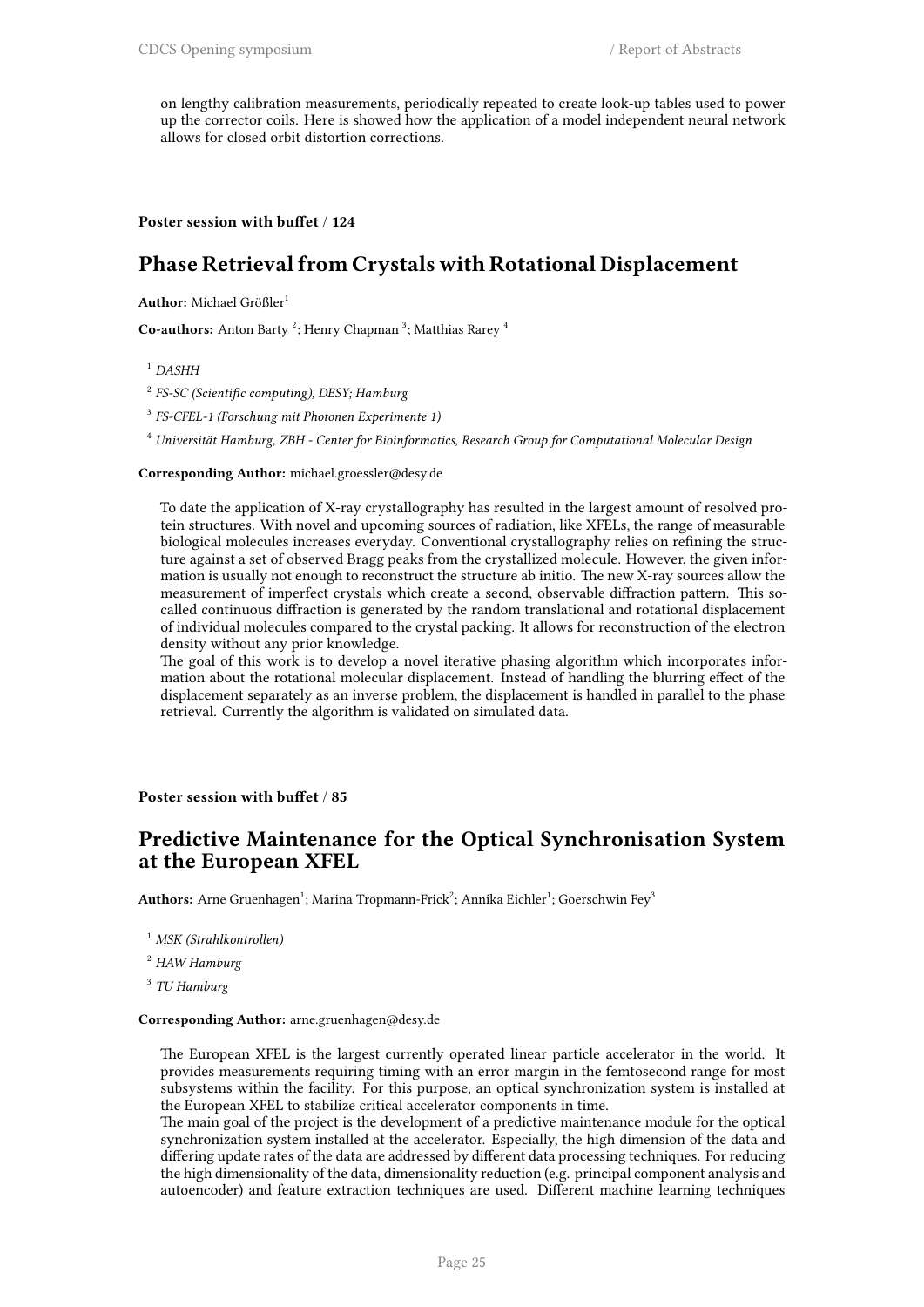on lengthy calibration measurements, periodically repeated to create look-up tables used to power up the corrector coils. Here is showed how the application of a model independent neural network allows for closed orbit distortion corrections.

### **Poster session with buffet** / **124**

### **Phase Retrieval from Crystals with Rotational Displacement**

**Author:** Michael Größler<sup>1</sup>

Co-authors: Anton Barty<sup>2</sup>; Henry Chapman<sup>3</sup>; Matthias Rarey<sup>4</sup>

<sup>1</sup> *DASHH*

2 *FS-SC (Scientific computing), DESY; Hamburg*

3 *FS-CFEL-1 (Forschung mit Photonen Experimente 1)*

<sup>4</sup> *Universität Hamburg, ZBH - Center for Bioinformatics, Research Group for Computational Molecular Design*

#### **Corresponding Author:** michael.groessler@desy.de

To date the application of X-ray crystallography has resulted in the largest amount of resolved protein structures. With novel and upcoming sources of radiation, like XFELs, the range of measurable biological molecules increases everyday. Conventional crystallography relies on refining the structure against a set of observed Bragg peaks from the crystallized molecule. However, the given information is usually not enough to reconstruct the structure ab initio. The new X-ray sources allow the measurement of imperfect crystals which create a second, observable diffraction pattern. This socalled continuous diffraction is generated by the random translational and rotational displacement of individual molecules compared to the crystal packing. It allows for reconstruction of the electron density without any prior knowledge.

The goal of this work is to develop a novel iterative phasing algorithm which incorporates information about the rotational molecular displacement. Instead of handling the blurring effect of the displacement separately as an inverse problem, the displacement is handled in parallel to the phase retrieval. Currently the algorithm is validated on simulated data.

**Poster session with buffet** / **85**

### **Predictive Maintenance for the Optical Synchronisation System at the European XFEL**

 ${\bf Authors:}$  Arne Gruenhagen $^1;$  Marina Tropmann-Frick $^2;$  Annika Eichler $^1;$  Goerschwin Fey $^3$ 

<sup>1</sup> *MSK (Strahlkontrollen)*

<sup>2</sup> *HAW Hamburg*

3 *TU Hamburg*

#### **Corresponding Author:** arne.gruenhagen@desy.de

The European XFEL is the largest currently operated linear particle accelerator in the world. It provides measurements requiring timing with an error margin in the femtosecond range for most subsystems within the facility. For this purpose, an optical synchronization system is installed at the European XFEL to stabilize critical accelerator components in time.

The main goal of the project is the development of a predictive maintenance module for the optical synchronization system installed at the accelerator. Especially, the high dimension of the data and differing update rates of the data are addressed by different data processing techniques. For reducing the high dimensionality of the data, dimensionality reduction (e.g. principal component analysis and autoencoder) and feature extraction techniques are used. Different machine learning techniques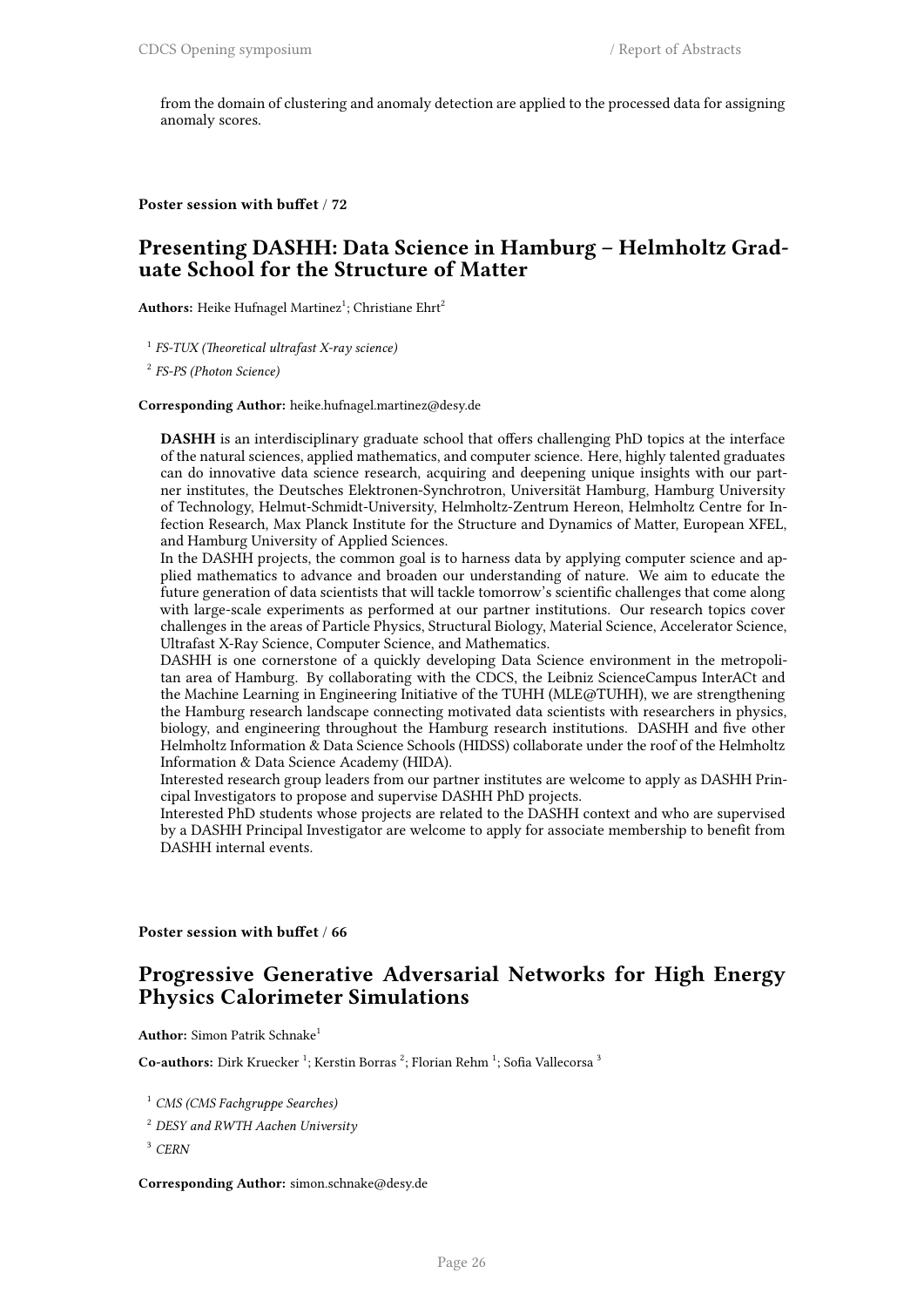from the domain of clustering and anomaly detection are applied to the processed data for assigning anomaly scores.

**Poster session with buffet** / **72**

### **Presenting DASHH: Data Science in Hamburg – Helmholtz Graduate School for the Structure of Matter**

**Authors:** Heike Hufnagel Martinez<sup>1</sup>; Christiane Ehrt<sup>2</sup>

1 *FS-TUX (Theoretical ultrafast X-ray science)*

2 *FS-PS (Photon Science)*

**Corresponding Author:** heike.hufnagel.martinez@desy.de

**DASHH** is an interdisciplinary graduate school that offers challenging PhD topics at the interface of the natural sciences, applied mathematics, and computer science. Here, highly talented graduates can do innovative data science research, acquiring and deepening unique insights with our partner institutes, the Deutsches Elektronen-Synchrotron, Universität Hamburg, Hamburg University of Technology, Helmut-Schmidt-University, Helmholtz-Zentrum Hereon, Helmholtz Centre for Infection Research, Max Planck Institute for the Structure and Dynamics of Matter, European XFEL, and Hamburg University of Applied Sciences.

In the DASHH projects, the common goal is to harness data by applying computer science and applied mathematics to advance and broaden our understanding of nature. We aim to educate the future generation of data scientists that will tackle tomorrow's scientific challenges that come along with large-scale experiments as performed at our partner institutions. Our research topics cover challenges in the areas of Particle Physics, Structural Biology, Material Science, Accelerator Science, Ultrafast X-Ray Science, Computer Science, and Mathematics.

DASHH is one cornerstone of a quickly developing Data Science environment in the metropolitan area of Hamburg. By collaborating with the CDCS, the Leibniz ScienceCampus InterACt and the Machine Learning in Engineering Initiative of the TUHH (MLE@TUHH), we are strengthening the Hamburg research landscape connecting motivated data scientists with researchers in physics, biology, and engineering throughout the Hamburg research institutions. DASHH and five other Helmholtz Information & Data Science Schools (HIDSS) collaborate under the roof of the Helmholtz Information & Data Science Academy (HIDA).

Interested research group leaders from our partner institutes are welcome to apply as DASHH Principal Investigators to propose and supervise DASHH PhD projects.

Interested PhD students whose projects are related to the DASHH context and who are supervised by a DASHH Principal Investigator are welcome to apply for associate membership to benefit from DASHH internal events.

**Poster session with buffet** / **66**

### **Progressive Generative Adversarial Networks for High Energy Physics Calorimeter Simulations**

**Author:** Simon Patrik Schnake<sup>1</sup>

Co-authors: Dirk Kruecker<sup>1</sup>; Kerstin Borras<sup>2</sup>; Florian Rehm<sup>1</sup>; Sofia Vallecorsa<sup>3</sup>

<sup>1</sup> *CMS (CMS Fachgruppe Searches)*

<sup>2</sup> *DESY and RWTH Aachen University*

<sup>3</sup> *CERN*

**Corresponding Author:** simon.schnake@desy.de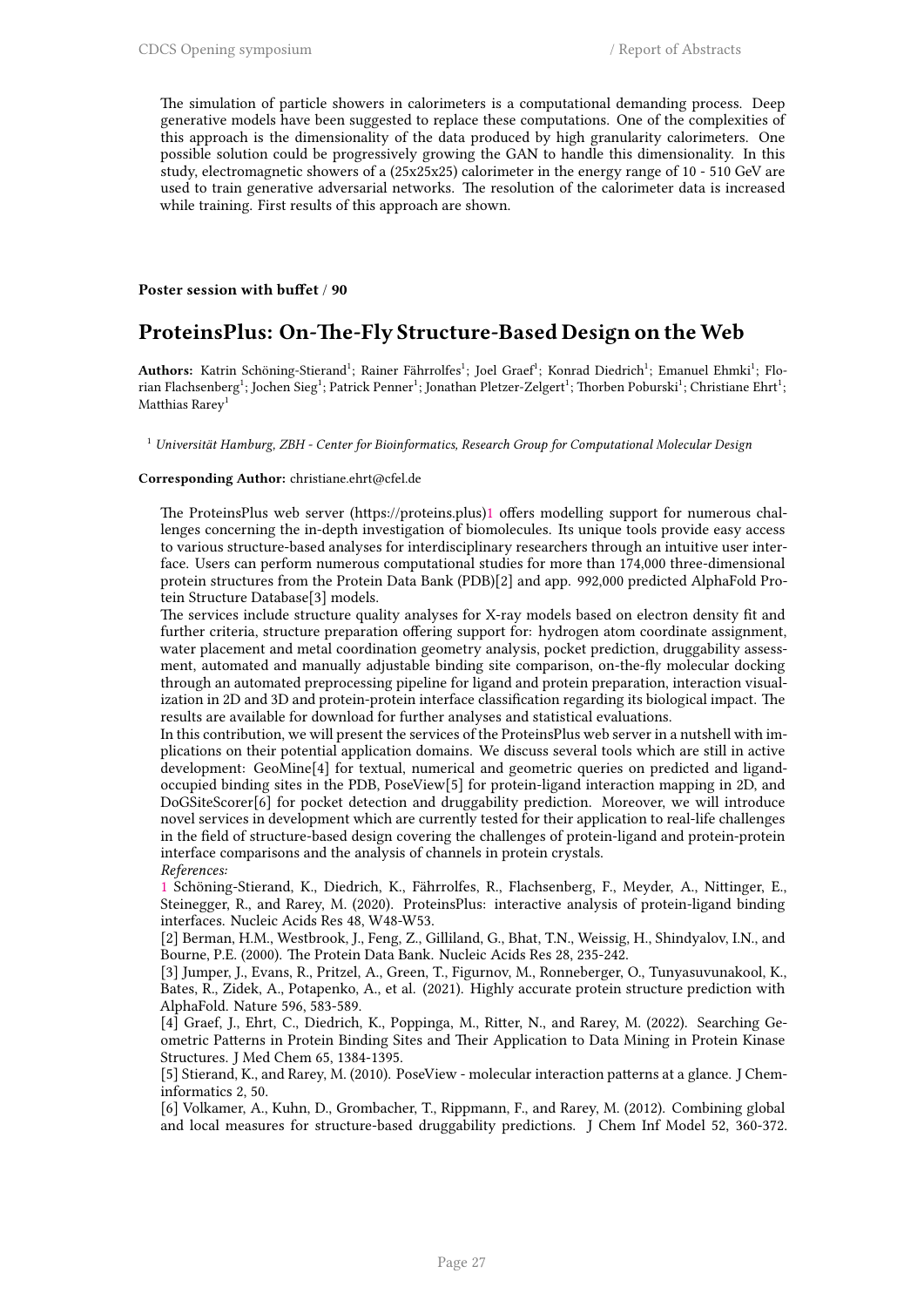The simulation of particle showers in calorimeters is a computational demanding process. Deep generative models have been suggested to replace these computations. One of the complexities of this approach is the dimensionality of the data produced by high granularity calorimeters. One possible solution could be progressively growing the GAN to handle this dimensionality. In this study, electromagnetic showers of a (25x25x25) calorimeter in the energy range of 10 - 510 GeV are used to train generative adversarial networks. The resolution of the calorimeter data is increased while training. First results of this approach are shown.

### **Poster session with buffet** / **90**

### **ProteinsPlus: On-The-Fly Structure-Based Design on theWeb**

Authors: Katrin Schöning-Stierand<sup>1</sup>; Rainer Fährrolfes<sup>1</sup>; Joel Graef<sup>1</sup>; Konrad Diedrich<sup>1</sup>; Emanuel Ehmki<sup>1</sup>; Florian Flachsenberg<sup>1</sup>; Jochen Sieg<sup>1</sup>; Patrick Penner<sup>1</sup>; Jonathan Pletzer-Zelgert<sup>1</sup>; Thorben Poburski<sup>1</sup>; Christiane Ehrt<sup>1</sup>; Matthias Rarey<sup>1</sup>

<sup>1</sup> *Universität Hamburg, ZBH - Center for Bioinformatics, Research Group for Computational Molecular Design*

#### **Corresponding Author:** christiane.ehrt@cfel.de

The ProteinsPlus web server (https://proteins.plus)1 offers modelling support for numerous challenges concerning the in-depth investigation of biomolecules. Its unique tools provide easy access to various structure-based analyses for interdisciplinary researchers through an intuitive user interface. Users can perform numerous computational studies for more than 174,000 three-dimensional protein structures from the Protein Data Bank (PD[B\)](https://featurecloud.ai/app/flimma)[2] and app. 992,000 predicted AlphaFold Protein Structure Database[3] models.

The services include structure quality analyses for X-ray models based on electron density fit and further criteria, structure preparation offering support for: hydrogen atom coordinate assignment, water placement and metal coordination geometry analysis, pocket prediction, druggability assessment, automated and manually adjustable binding site comparison, on-the-fly molecular docking through an automated preprocessing pipeline for ligand and protein preparation, interaction visualization in 2D and 3D and protein-protein interface classification regarding its biological impact. The results are available for download for further analyses and statistical evaluations.

In this contribution, we will present the services of the ProteinsPlus web server in a nutshell with implications on their potential application domains. We discuss several tools which are still in active development: GeoMine[4] for textual, numerical and geometric queries on predicted and ligandoccupied binding sites in the PDB, PoseView[5] for protein-ligand interaction mapping in 2D, and DoGSiteScorer[6] for pocket detection and druggability prediction. Moreover, we will introduce novel services in development which are currently tested for their application to real-life challenges in the field of structure-based design covering the challenges of protein-ligand and protein-protein interface comparisons and the analysis of channels in protein crystals. *References:*

1 Schöning-Stierand, K., Diedrich, K., Fährrolfes, R., Flachsenberg, F., Meyder, A., Nittinger, E., Steinegger, R., and Rarey, M. (2020). ProteinsPlus: interactive analysis of protein-ligand binding interfaces. Nucleic Acids Res 48, W48-W53.

[2] Berman, H.M., Westbrook, J., Feng, Z., Gilliland, G., Bhat, T.N., Weissig, H., Shindyalov, I.N., and Bourne, P.E. (2000). The Protein Data Bank. Nucleic Acids Res 28, 235-242.

[\[3](https://featurecloud.ai/app/flimma)] Jumper, J., Evans, R., Pritzel, A., Green, T., Figurnov, M., Ronneberger, O., Tunyasuvunakool, K., Bates, R., Zidek, A., Potapenko, A., et al. (2021). Highly accurate protein structure prediction with AlphaFold. Nature 596, 583-589.

[4] Graef, J., Ehrt, C., Diedrich, K., Poppinga, M., Ritter, N., and Rarey, M. (2022). Searching Geometric Patterns in Protein Binding Sites and Their Application to Data Mining in Protein Kinase Structures. J Med Chem 65, 1384-1395.

[5] Stierand, K., and Rarey, M. (2010). PoseView - molecular interaction patterns at a glance. J Cheminformatics 2, 50.

[6] Volkamer, A., Kuhn, D., Grombacher, T., Rippmann, F., and Rarey, M. (2012). Combining global and local measures for structure-based druggability predictions. J Chem Inf Model 52, 360-372.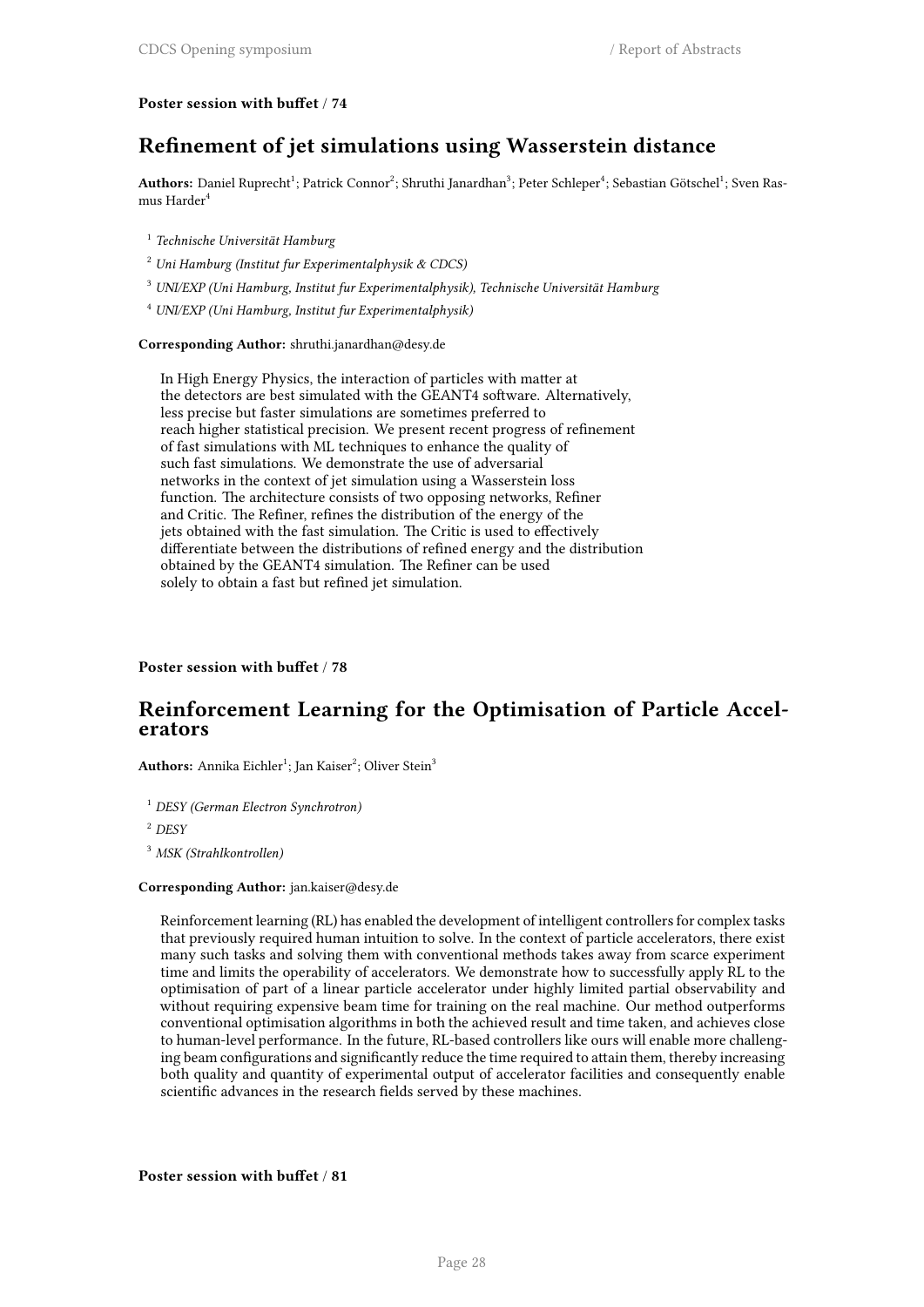### **Poster session with buffet** / **74**

### **Refinement of jet simulations using Wasserstein distance**

 ${\bf Authors:}$  Daniel Ruprecht<sup>1</sup>; Patrick Connor<sup>2</sup>; Shruthi Janardhan<sup>3</sup>; Peter Schleper<sup>4</sup>; Sebastian Götschel<sup>1</sup>; Sven Rasmus Harder<sup>4</sup>

- 1 *Technische Universität Hamburg*
- <sup>2</sup> *Uni Hamburg (Institut fur Experimentalphysik & CDCS)*
- <sup>3</sup> *UNI/EXP (Uni Hamburg, Institut fur Experimentalphysik), Technische Universität Hamburg*
- <sup>4</sup> *UNI/EXP (Uni Hamburg, Institut fur Experimentalphysik)*

#### **Corresponding Author:** shruthi.janardhan@desy.de

In High Energy Physics, the interaction of particles with matter at the detectors are best simulated with the GEANT4 software. Alternatively, less precise but faster simulations are sometimes preferred to reach higher statistical precision. We present recent progress of refinement of fast simulations with ML techniques to enhance the quality of such fast simulations. We demonstrate the use of adversarial networks in the context of jet simulation using a Wasserstein loss function. The architecture consists of two opposing networks, Refiner and Critic. The Refiner, refines the distribution of the energy of the jets obtained with the fast simulation. The Critic is used to effectively differentiate between the distributions of refined energy and the distribution obtained by the GEANT4 simulation. The Refiner can be used solely to obtain a fast but refined jet simulation.

### **Poster session with buffet** / **78**

### **Reinforcement Learning for the Optimisation of Particle Accelerators**

 $\mathbf{Authors:}$  Annika Eichler $^1$ ; Jan Kaiser $^2$ ; Oliver Stein $^3$ 

<sup>1</sup> *DESY (German Electron Synchrotron)*

<sup>2</sup> *DESY*

<sup>3</sup> *MSK (Strahlkontrollen)*

#### **Corresponding Author:** jan.kaiser@desy.de

Reinforcement learning (RL) has enabled the development of intelligent controllers for complex tasks that previously required human intuition to solve. In the context of particle accelerators, there exist many such tasks and solving them with conventional methods takes away from scarce experiment time and limits the operability of accelerators. We demonstrate how to successfully apply RL to the optimisation of part of a linear particle accelerator under highly limited partial observability and without requiring expensive beam time for training on the real machine. Our method outperforms conventional optimisation algorithms in both the achieved result and time taken, and achieves close to human-level performance. In the future, RL-based controllers like ours will enable more challenging beam configurations and significantly reduce the time required to attain them, thereby increasing both quality and quantity of experimental output of accelerator facilities and consequently enable scientific advances in the research fields served by these machines.

**Poster session with buffet** / **81**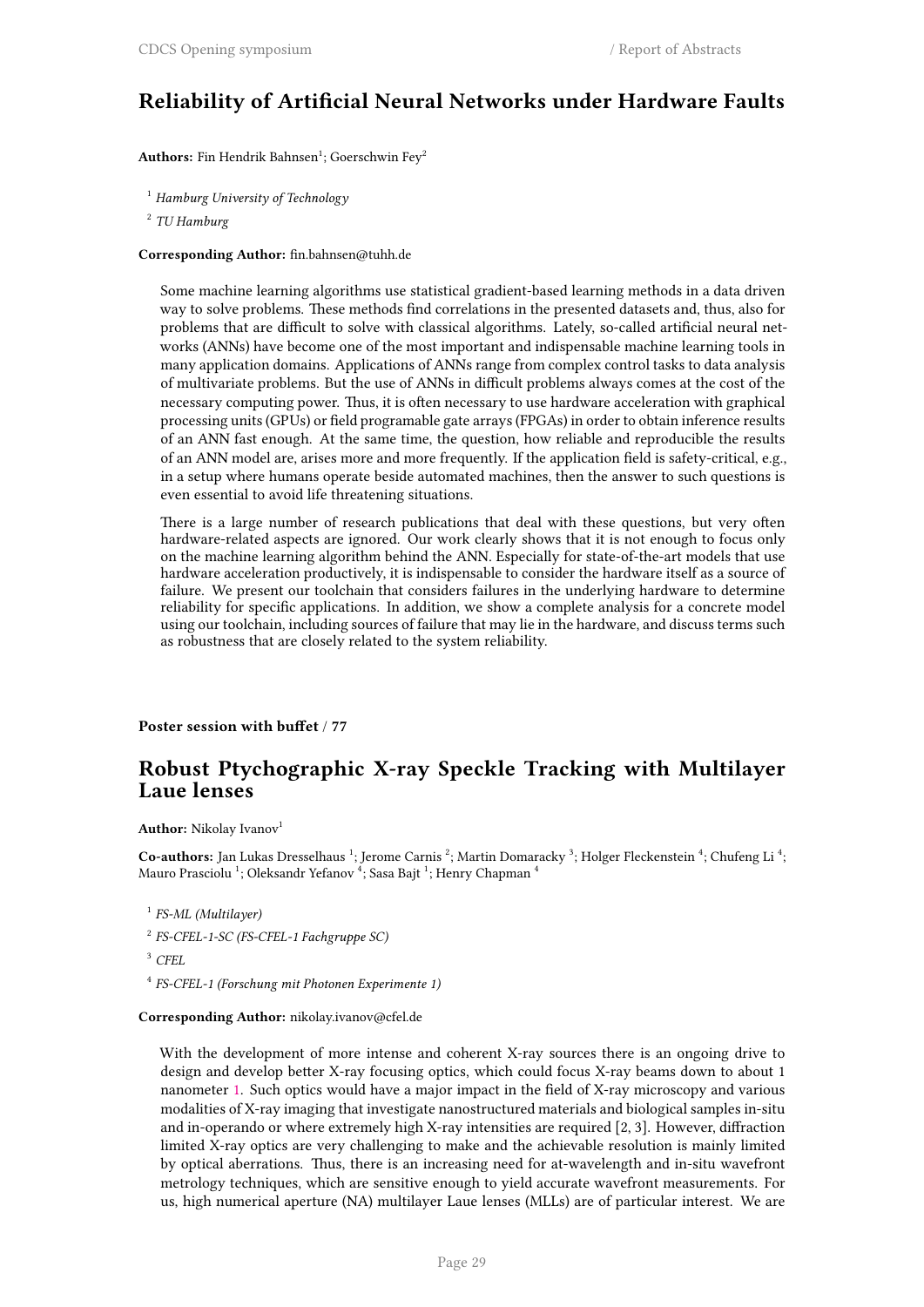### **Reliability of Artificial Neural Networks under Hardware Faults**

 $\mathbf{Authors:}$  Fin Hendrik Bahnsen $^1;$  Goerschwin Fey $^2$ 

<sup>1</sup> *Hamburg University of Technology*

2 *TU Hamburg*

**Corresponding Author:** fin.bahnsen@tuhh.de

Some machine learning algorithms use statistical gradient-based learning methods in a data driven way to solve problems. These methods find correlations in the presented datasets and, thus, also for problems that are difficult to solve with classical algorithms. Lately, so-called artificial neural networks (ANNs) have become one of the most important and indispensable machine learning tools in many application domains. Applications of ANNs range from complex control tasks to data analysis of multivariate problems. But the use of ANNs in difficult problems always comes at the cost of the necessary computing power. Thus, it is often necessary to use hardware acceleration with graphical processing units (GPUs) or field programable gate arrays (FPGAs) in order to obtain inference results of an ANN fast enough. At the same time, the question, how reliable and reproducible the results of an ANN model are, arises more and more frequently. If the application field is safety-critical, e.g., in a setup where humans operate beside automated machines, then the answer to such questions is even essential to avoid life threatening situations.

There is a large number of research publications that deal with these questions, but very often hardware-related aspects are ignored. Our work clearly shows that it is not enough to focus only on the machine learning algorithm behind the ANN. Especially for state-of-the-art models that use hardware acceleration productively, it is indispensable to consider the hardware itself as a source of failure. We present our toolchain that considers failures in the underlying hardware to determine reliability for specific applications. In addition, we show a complete analysis for a concrete model using our toolchain, including sources of failure that may lie in the hardware, and discuss terms such as robustness that are closely related to the system reliability.

**Poster session with buffet** / **77**

### **Robust Ptychographic X-ray Speckle Tracking with Multilayer Laue lenses**

**Author:** Nikolay Ivanov<sup>1</sup>

Co-authors: Jan Lukas Dresselhaus <sup>1</sup>; Jerome Carnis <sup>2</sup>; Martin Domaracky <sup>3</sup>; Holger Fleckenstein <sup>4</sup>; Chufeng Li <sup>4</sup>; Mauro Prasciolu  $^1$ ; Oleksandr Yefanov  $^4$ ; Sasa Bajt  $^1$ ; Henry Chapman  $^4$ 

- 2 *FS-CFEL-1-SC (FS-CFEL-1 Fachgruppe SC)*
- <sup>3</sup> *CFEL*
- 4 *FS-CFEL-1 (Forschung mit Photonen Experimente 1)*

### **Corresponding Author:** nikolay.ivanov@cfel.de

With the development of more intense and coherent X-ray sources there is an ongoing drive to design and develop better X-ray focusing optics, which could focus X-ray beams down to about 1 nanometer 1. Such optics would have a major impact in the field of X-ray microscopy and various modalities of X-ray imaging that investigate nanostructured materials and biological samples in-situ and in-operando or where extremely high X-ray intensities are required [2, 3]. However, diffraction limited X-ray optics are very challenging to make and the achievable resolution is mainly limited by optical [ab](https://featurecloud.ai/app/flimma)errations. Thus, there is an increasing need for at-wavelength and in-situ wavefront metrology techniques, which are sensitive enough to yield accurate wavefront measurements. For us, high numerical aperture (NA) multilayer Laue lenses (MLLs) are of particular interest. We are

<sup>1</sup> *FS-ML (Multilayer)*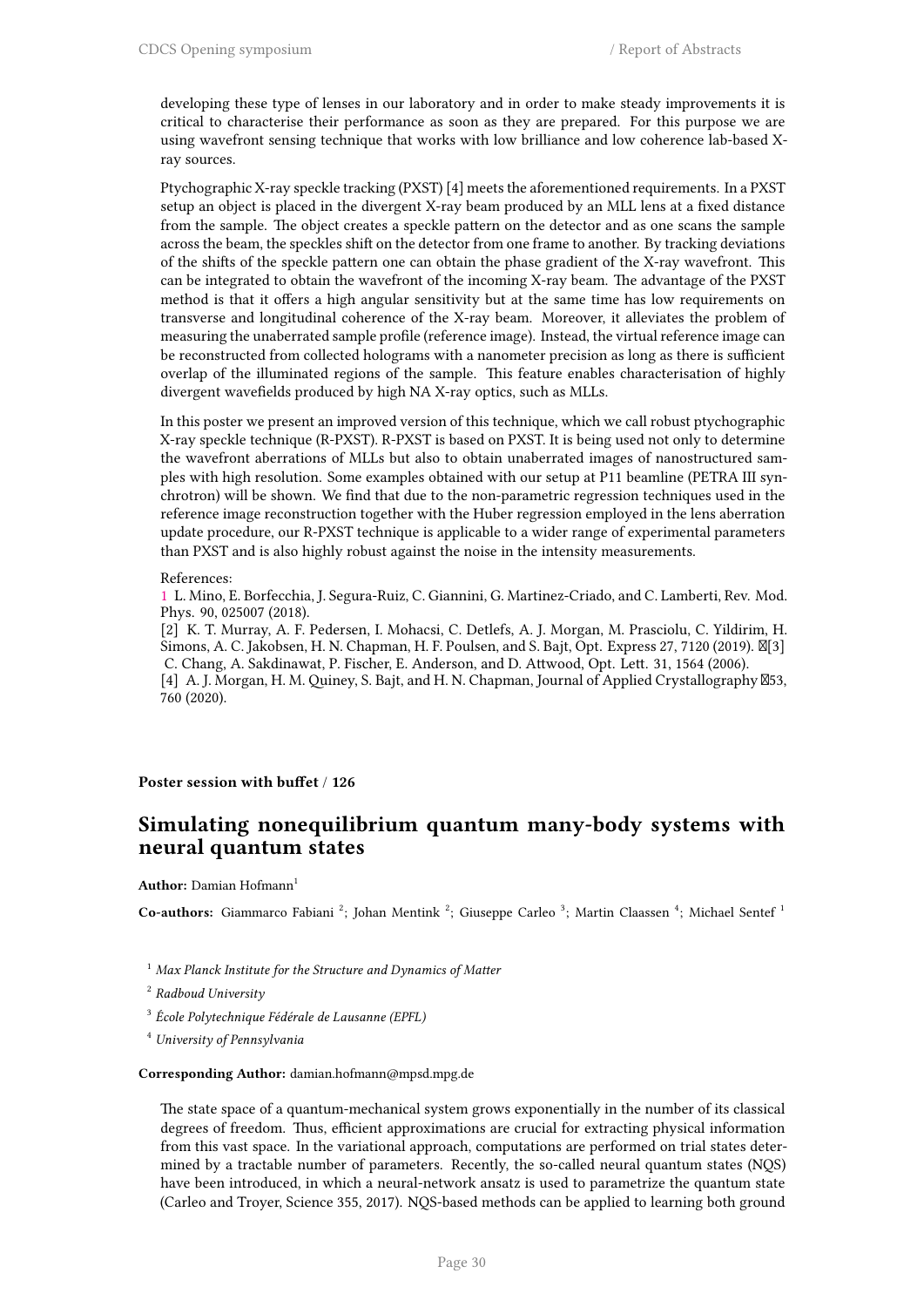developing these type of lenses in our laboratory and in order to make steady improvements it is critical to characterise their performance as soon as they are prepared. For this purpose we are using wavefront sensing technique that works with low brilliance and low coherence lab-based Xray sources.

Ptychographic X-ray speckle tracking (PXST) [4] meets the aforementioned requirements. In a PXST setup an object is placed in the divergent X-ray beam produced by an MLL lens at a fixed distance from the sample. The object creates a speckle pattern on the detector and as one scans the sample across the beam, the speckles shift on the detector from one frame to another. By tracking deviations of the shifts of the speckle pattern one can obtain the phase gradient of the X-ray wavefront. This can be integrated to obtain the wavefront of the incoming X-ray beam. The advantage of the PXST method is that it offers a high angular sensitivity but at the same time has low requirements on transverse and longitudinal coherence of the X-ray beam. Moreover, it alleviates the problem of measuring the unaberrated sample profile (reference image). Instead, the virtual reference image can be reconstructed from collected holograms with a nanometer precision as long as there is sufficient overlap of the illuminated regions of the sample. This feature enables characterisation of highly divergent wavefields produced by high NA X-ray optics, such as MLLs.

In this poster we present an improved version of this technique, which we call robust ptychographic X-ray speckle technique (R-PXST). R-PXST is based on PXST. It is being used not only to determine the wavefront aberrations of MLLs but also to obtain unaberrated images of nanostructured samples with high resolution. Some examples obtained with our setup at P11 beamline (PETRA III synchrotron) will be shown. We find that due to the non-parametric regression techniques used in the reference image reconstruction together with the Huber regression employed in the lens aberration update procedure, our R-PXST technique is applicable to a wider range of experimental parameters than PXST and is also highly robust against the noise in the intensity measurements.

#### References:

760 (2020).

1 L. Mino, E. Borfecchia, J. Segura-Ruiz, C. Giannini, G. Martinez-Criado, and C. Lamberti, Rev. Mod. Phys. 90, 025007 (2018).

[2] K. T. Murray, A. F. Pedersen, I. Mohacsi, C. Detlefs, A. J. Morgan, M. Prasciolu, C. Yildirim, H. Simons, A. C. Jakobsen, H. N. Chapman, H. F. Poulsen, and S. Bajt, Opt. Express 27, 7120 (2019).  $\mathbb{N}[3]$  C. Chang, A. Sakdinawat, P. Fischer, E. Anderson, and D. Attwood, Opt. Lett. 31, 1564 (2006). [\[4](https://featurecloud.ai/app/flimma)] A. J. Morgan, H. M. Quiney, S. Bajt, and H. N. Chapman, Journal of Applied Crystallography  $\boxtimes$ 53,

#### **Poster session with buffet** / **126**

### **Simulating nonequilibrium quantum many-body systems with neural quantum states**

#### **Author:** Damian Hofmann<sup>1</sup>

Co-authors: Giammarco Fabiani<sup>2</sup>; Johan Mentink<sup>2</sup>; Giuseppe Carleo<sup>3</sup>; Martin Claassen<sup>4</sup>; Michael Sentef<sup>1</sup>

- <sup>1</sup> *Max Planck Institute for the Structure and Dynamics of Matter*
- 2 *Radboud University*
- 3 *École Polytechnique Fédérale de Lausanne (EPFL)*
- <sup>4</sup> *University of Pennsylvania*

### **Corresponding Author:** damian.hofmann@mpsd.mpg.de

The state space of a quantum-mechanical system grows exponentially in the number of its classical degrees of freedom. Thus, efficient approximations are crucial for extracting physical information from this vast space. In the variational approach, computations are performed on trial states determined by a tractable number of parameters. Recently, the so-called neural quantum states (NQS) have been introduced, in which a neural-network ansatz is used to parametrize the quantum state (Carleo and Troyer, Science 355, 2017). NQS-based methods can be applied to learning both ground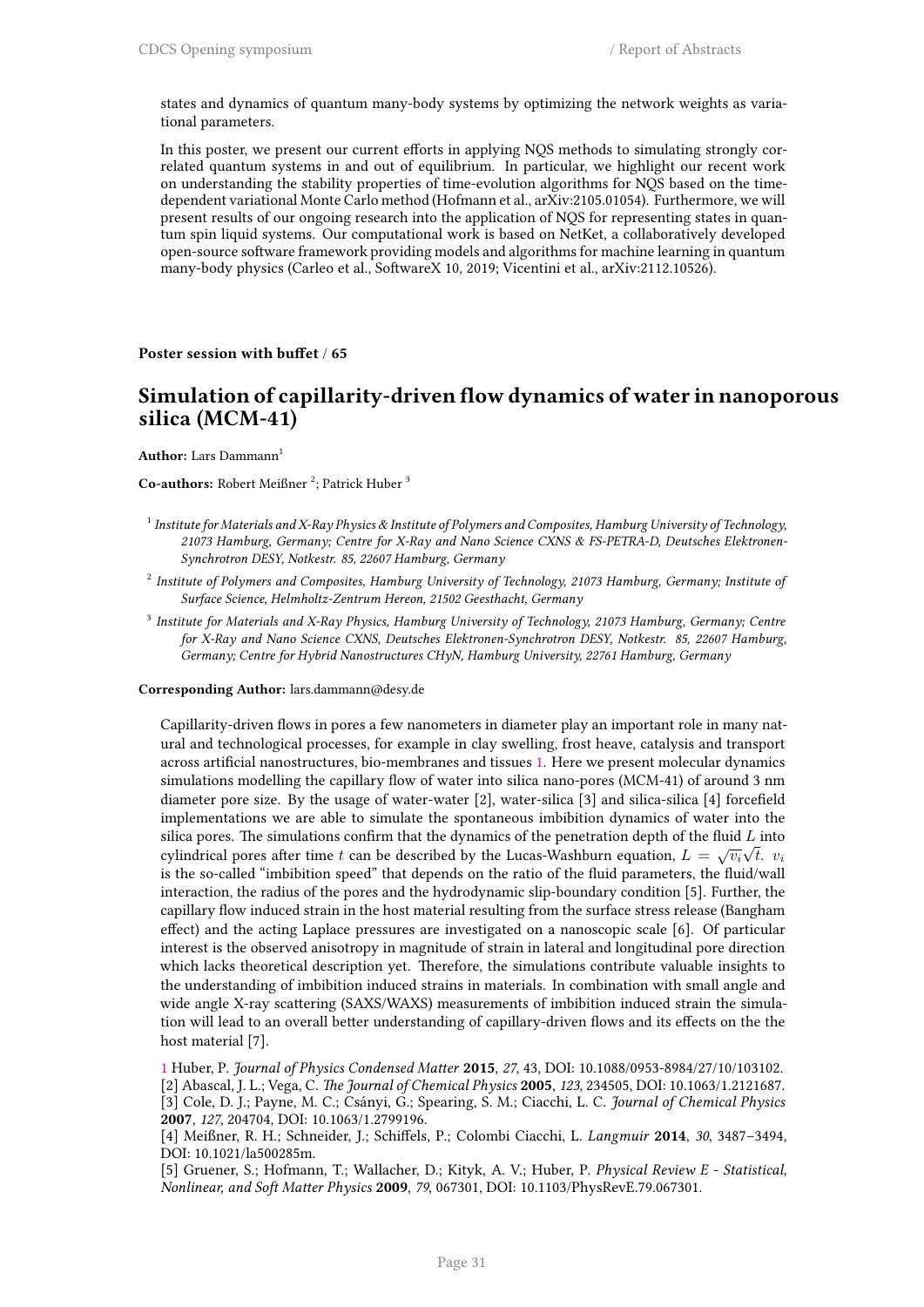states and dynamics of quantum many-body systems by optimizing the network weights as variational parameters.

In this poster, we present our current efforts in applying NQS methods to simulating strongly correlated quantum systems in and out of equilibrium. In particular, we highlight our recent work on understanding the stability properties of time-evolution algorithms for NQS based on the timedependent variational Monte Carlo method (Hofmann et al., arXiv:2105.01054). Furthermore, we will present results of our ongoing research into the application of NQS for representing states in quantum spin liquid systems. Our computational work is based on NetKet, a collaboratively developed open-source software framework providing models and algorithms for machine learning in quantum many-body physics (Carleo et al., SoftwareX 10, 2019; Vicentini et al., arXiv:2112.10526).

#### **Poster session with buffet** / **65**

### **Simulation of capillarity-driven flow dynamics of water in nanoporous silica (MCM-41)**

**Author:** Lars Dammann<sup>1</sup>

Co-authors: Robert Meißner <sup>2</sup>; Patrick Huber <sup>3</sup>

- 1 *Institute for Materials and X-Ray Physics & Institute of Polymers and Composites, Hamburg University of Technology, 21073 Hamburg, Germany; Centre for X-Ray and Nano Science CXNS & FS-PETRA-D, Deutsches Elektronen-Synchrotron DESY, Notkestr. 85, 22607 Hamburg, Germany*
- 2 *Institute of Polymers and Composites, Hamburg University of Technology, 21073 Hamburg, Germany; Institute of Surface Science, Helmholtz-Zentrum Hereon, 21502 Geesthacht, Germany*
- 3 *Institute for Materials and X-Ray Physics, Hamburg University of Technology, 21073 Hamburg, Germany; Centre for X-Ray and Nano Science CXNS, Deutsches Elektronen-Synchrotron DESY, Notkestr. 85, 22607 Hamburg, Germany; Centre for Hybrid Nanostructures CHyN, Hamburg University, 22761 Hamburg, Germany*

**Corresponding Author:** lars.dammann@desy.de

Capillarity-driven flows in pores a few nanometers in diameter play an important role in many natural and technological processes, for example in clay swelling, frost heave, catalysis and transport across artificial nanostructures, bio-membranes and tissues 1. Here we present molecular dynamics simulations modelling the capillary flow of water into silica nano-pores (MCM-41) of around 3 nm diameter pore size. By the usage of water-water [2], water-silica [3] and silica-silica [4] forcefield implementations we are able to simulate the spontaneous imbibition dynamics of water into the silica pores. The simulations confirm that the dynamics of [th](https://featurecloud.ai/app/flimma)e penetration depth of the fluid *L* into cylindrical pores after time *t* can be described by the Lucas-Washburn equation,  $L = \sqrt{v_i} \sqrt{t}$ .  $v_i$ is the so-called "imbibition speed" that depends on the ratio of the fluid parameters, the fluid/wall interaction, the radius of the pores and the hydrodynamic slip-boundary condition [5]. Further, the capillary flow induced strain in the host material resulting from the surface stress release (Bangham effect) and the acting Laplace pressures are investigated on a nanoscopic scale [6]. Of particular interest is the observed anisotropy in magnitude of strain in lateral and longitudinal pore direction which lacks theoretical description yet. Therefore, the simulations contribute valuable insights to the understanding of imbibition induced strains in materials. In combination with small angle and wide angle X-ray scattering (SAXS/WAXS) measurements of imbibition induced strain the simulation will lead to an overall better understanding of capillary-driven flows and its effects on the the host material [7].

1 Huber, P. *Journal of Physics Condensed Matter* **2015**, *27*, 43, DOI: 10.1088/0953-8984/27/10/103102. [2] Abascal, J. L.; Vega, C. *The Journal of Chemical Physics* **2005**, *123*, 234505, DOI: 10.1063/1.2121687. [3] Cole, D. J.; Payne, M. C.; Csányi, G.; Spearing, S. M.; Ciacchi, L. C. *Journal of Chemical Physics* **2007**, *127*, 204704, DOI: 10.1063/1.2799196.

[4] Meißner, R. H.; Schneider, J.; Schiffels, P.; Colombi Ciacchi, L. *Langmuir* **2014**, *30*, 3487–3494, [D](https://featurecloud.ai/app/flimma)OI: 10.1021/la500285m.

[5] Gruener, S.; Hofmann, T.; Wallacher, D.; Kityk, A. V.; Huber, P. *Physical Review E - Statistical, Nonlinear, and Soft Matter Physics* **2009**, *79*, 067301, DOI: 10.1103/PhysRevE.79.067301.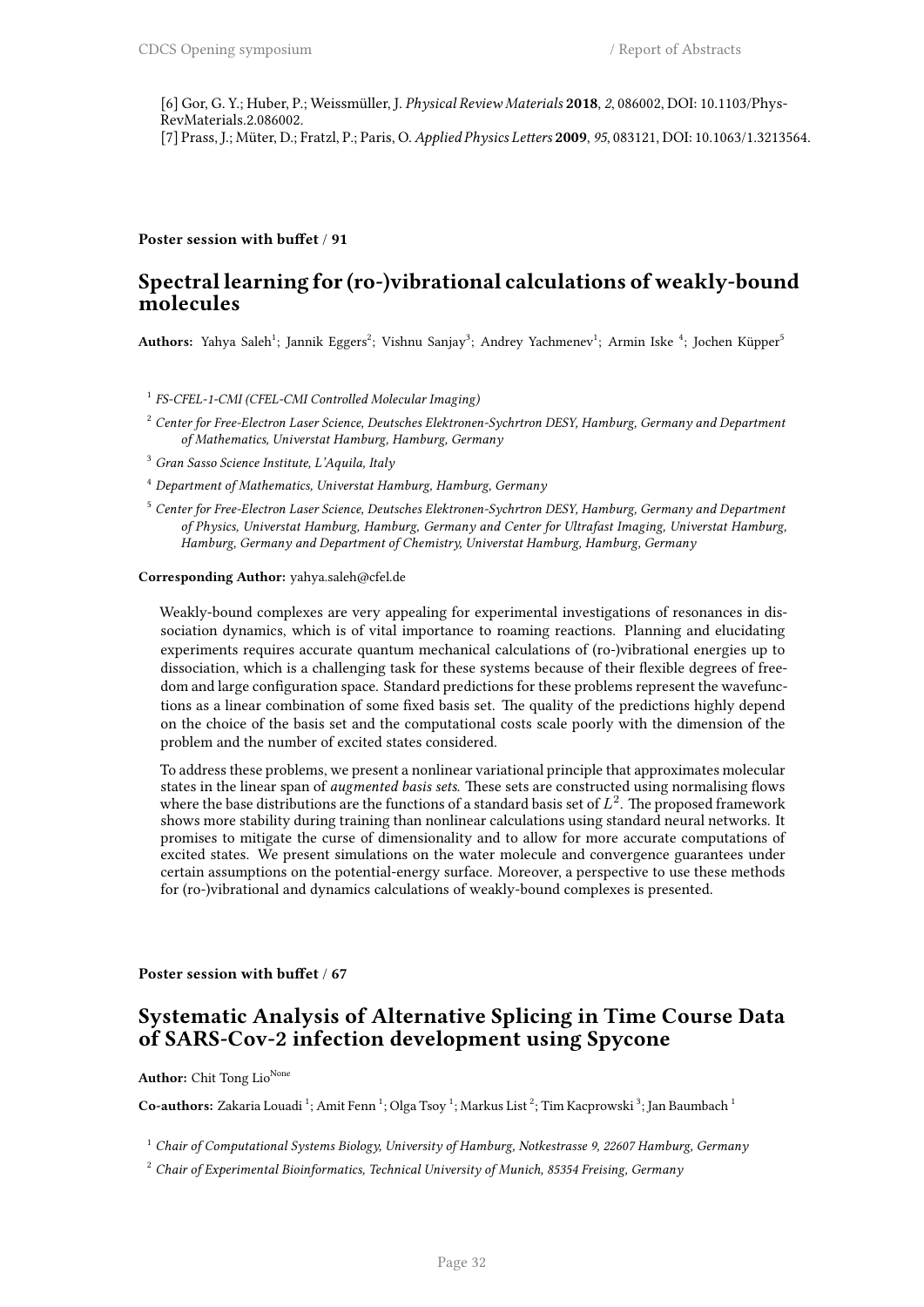[6] Gor, G. Y.; Huber, P.; Weissmüller, J. *Physical Review Materials* **2018**, *2*, 086002, DOI: 10.1103/Phys-RevMaterials.2.086002. [7] Prass, J.; Müter, D.; Fratzl, P.; Paris, O.*Applied Physics Letters* **2009**, *95*, 083121, DOI: 10.1063/1.3213564.

### **Poster session with buffet** / **91**

### **Spectral learning for (ro-)vibrational calculations of weakly-bound molecules**

<code>Authors:</code> Yahya Saleh<sup>1</sup>; Jannik Eggers<sup>2</sup>; Vishnu Sanjay<sup>3</sup>; Andrey Yachmenev<sup>1</sup>; Armin Iske <sup>4</sup>; Jochen Küpper<sup>5</sup>

1 *FS-CFEL-1-CMI (CFEL-CMI Controlled Molecular Imaging)*

- <sup>2</sup> *Center for Free-Electron Laser Science, Deutsches Elektronen-Sychrtron DESY, Hamburg, Germany and Department of Mathematics, Universtat Hamburg, Hamburg, Germany*
- <sup>3</sup> *Gran Sasso Science Institute, L'Aquila, Italy*
- <sup>4</sup> *Department of Mathematics, Universtat Hamburg, Hamburg, Germany*
- <sup>5</sup> *Center for Free-Electron Laser Science, Deutsches Elektronen-Sychrtron DESY, Hamburg, Germany and Department of Physics, Universtat Hamburg, Hamburg, Germany and Center for Ultrafast Imaging, Universtat Hamburg, Hamburg, Germany and Department of Chemistry, Universtat Hamburg, Hamburg, Germany*

#### **Corresponding Author:** yahya.saleh@cfel.de

Weakly-bound complexes are very appealing for experimental investigations of resonances in dissociation dynamics, which is of vital importance to roaming reactions. Planning and elucidating experiments requires accurate quantum mechanical calculations of (ro-)vibrational energies up to dissociation, which is a challenging task for these systems because of their flexible degrees of freedom and large configuration space. Standard predictions for these problems represent the wavefunctions as a linear combination of some fixed basis set. The quality of the predictions highly depend on the choice of the basis set and the computational costs scale poorly with the dimension of the problem and the number of excited states considered.

To address these problems, we present a nonlinear variational principle that approximates molecular states in the linear span of *augmented basis sets*. These sets are constructed using normalising flows where the base distributions are the functions of a standard basis set of *L* 2 . The proposed framework shows more stability during training than nonlinear calculations using standard neural networks. It promises to mitigate the curse of dimensionality and to allow for more accurate computations of excited states. We present simulations on the water molecule and convergence guarantees under certain assumptions on the potential-energy surface. Moreover, a perspective to use these methods for (ro-)vibrational and dynamics calculations of weakly-bound complexes is presented.

#### **Poster session with buffet** / **67**

### **Systematic Analysis of Alternative Splicing in Time Course Data of SARS-Cov-2 infection development using Spycone**

#### **Author:** Chit Tong Lio<sup>None</sup>

Co-authors: Zakaria Louadi<sup>1</sup>; Amit Fenn<sup>1</sup>; Olga Tsoy<sup>1</sup>; Markus List<sup>2</sup>; Tim Kacprowski<sup>3</sup>; Jan Baumbach<sup>1</sup>

<sup>1</sup> *Chair of Computational Systems Biology, University of Hamburg, Notkestrasse 9, 22607 Hamburg, Germany*

<sup>2</sup> *Chair of Experimental Bioinformatics, Technical University of Munich, 85354 Freising, Germany*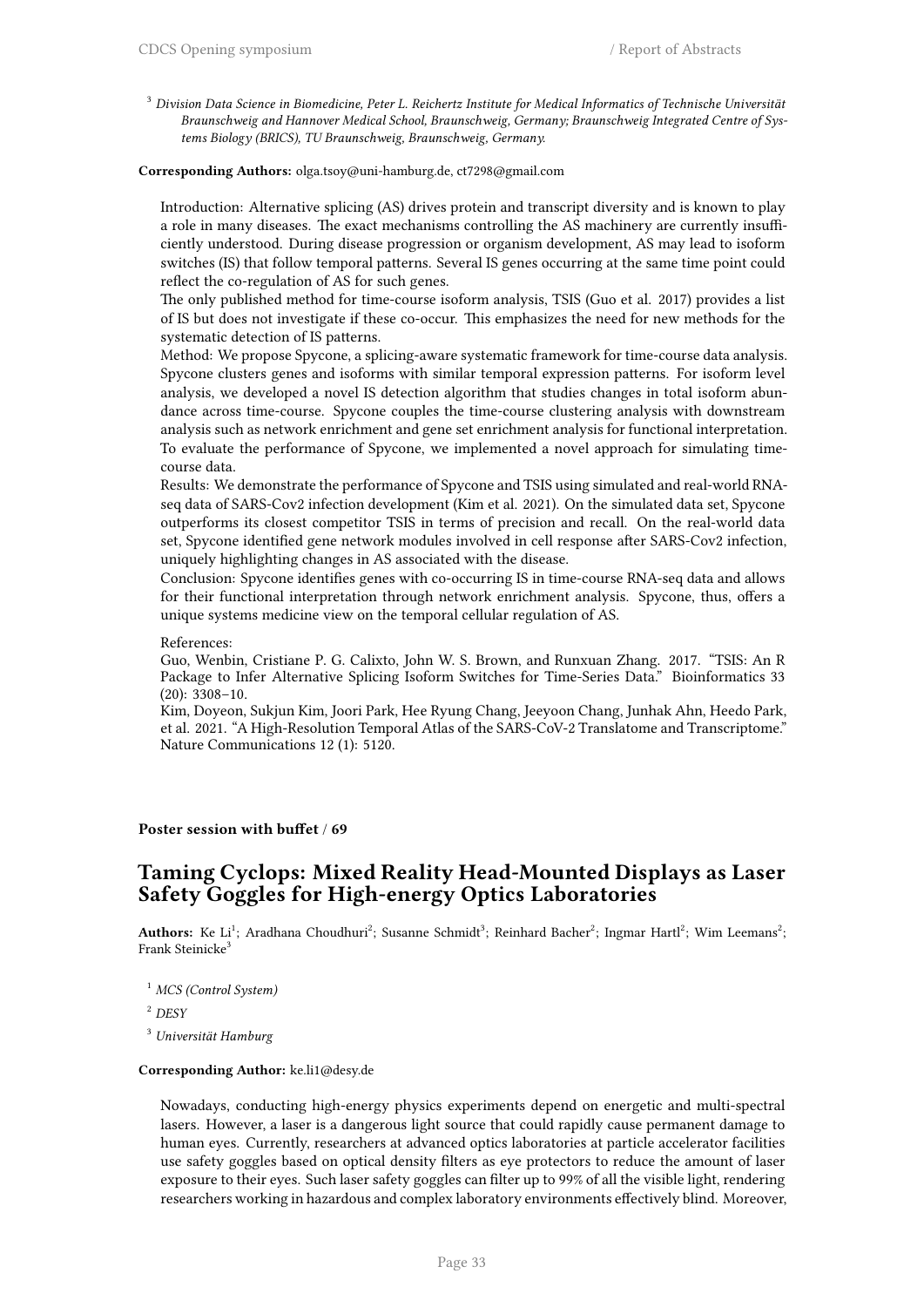<sup>3</sup> *Division Data Science in Biomedicine, Peter L. Reichertz Institute for Medical Informatics of Technische Universität Braunschweig and Hannover Medical School, Braunschweig, Germany; Braunschweig Integrated Centre of Systems Biology (BRICS), TU Braunschweig, Braunschweig, Germany.*

### **Corresponding Authors:** olga.tsoy@uni-hamburg.de, ct7298@gmail.com

Introduction: Alternative splicing (AS) drives protein and transcript diversity and is known to play a role in many diseases. The exact mechanisms controlling the AS machinery are currently insufficiently understood. During disease progression or organism development, AS may lead to isoform switches (IS) that follow temporal patterns. Several IS genes occurring at the same time point could reflect the co-regulation of AS for such genes.

The only published method for time-course isoform analysis, TSIS (Guo et al. 2017) provides a list of IS but does not investigate if these co-occur. This emphasizes the need for new methods for the systematic detection of IS patterns.

Method: We propose Spycone, a splicing-aware systematic framework for time-course data analysis. Spycone clusters genes and isoforms with similar temporal expression patterns. For isoform level analysis, we developed a novel IS detection algorithm that studies changes in total isoform abundance across time-course. Spycone couples the time-course clustering analysis with downstream analysis such as network enrichment and gene set enrichment analysis for functional interpretation. To evaluate the performance of Spycone, we implemented a novel approach for simulating timecourse data.

Results: We demonstrate the performance of Spycone and TSIS using simulated and real-world RNAseq data of SARS-Cov2 infection development (Kim et al. 2021). On the simulated data set, Spycone outperforms its closest competitor TSIS in terms of precision and recall. On the real-world data set, Spycone identified gene network modules involved in cell response after SARS-Cov2 infection, uniquely highlighting changes in AS associated with the disease.

Conclusion: Spycone identifies genes with co-occurring IS in time-course RNA-seq data and allows for their functional interpretation through network enrichment analysis. Spycone, thus, offers a unique systems medicine view on the temporal cellular regulation of AS.

#### References:

Guo, Wenbin, Cristiane P. G. Calixto, John W. S. Brown, and Runxuan Zhang. 2017. "TSIS: An R Package to Infer Alternative Splicing Isoform Switches for Time-Series Data." Bioinformatics 33 (20): 3308–10.

Kim, Doyeon, Sukjun Kim, Joori Park, Hee Ryung Chang, Jeeyoon Chang, Junhak Ahn, Heedo Park, et al. 2021. "A High-Resolution Temporal Atlas of the SARS-CoV-2 Translatome and Transcriptome." Nature Communications 12 (1): 5120.

### **Poster session with buffet** / **69**

### **Taming Cyclops: Mixed Reality Head-Mounted Displays as Laser Safety Goggles for High-energy Optics Laboratories**

Authors: Ke Li<sup>1</sup>; Aradhana Choudhuri<sup>2</sup>; Susanne Schmidt<sup>3</sup>; Reinhard Bacher<sup>2</sup>; Ingmar Hartl<sup>2</sup>; Wim Leemans<sup>2</sup>; Frank Steinicke<sup>3</sup>

- <sup>1</sup> *MCS (Control System)*
- <sup>2</sup> *DESY*

<sup>3</sup> *Universität Hamburg*

#### **Corresponding Author:** ke.li1@desy.de

Nowadays, conducting high-energy physics experiments depend on energetic and multi-spectral lasers. However, a laser is a dangerous light source that could rapidly cause permanent damage to human eyes. Currently, researchers at advanced optics laboratories at particle accelerator facilities use safety goggles based on optical density filters as eye protectors to reduce the amount of laser exposure to their eyes. Such laser safety goggles can filter up to 99% of all the visible light, rendering researchers working in hazardous and complex laboratory environments effectively blind. Moreover,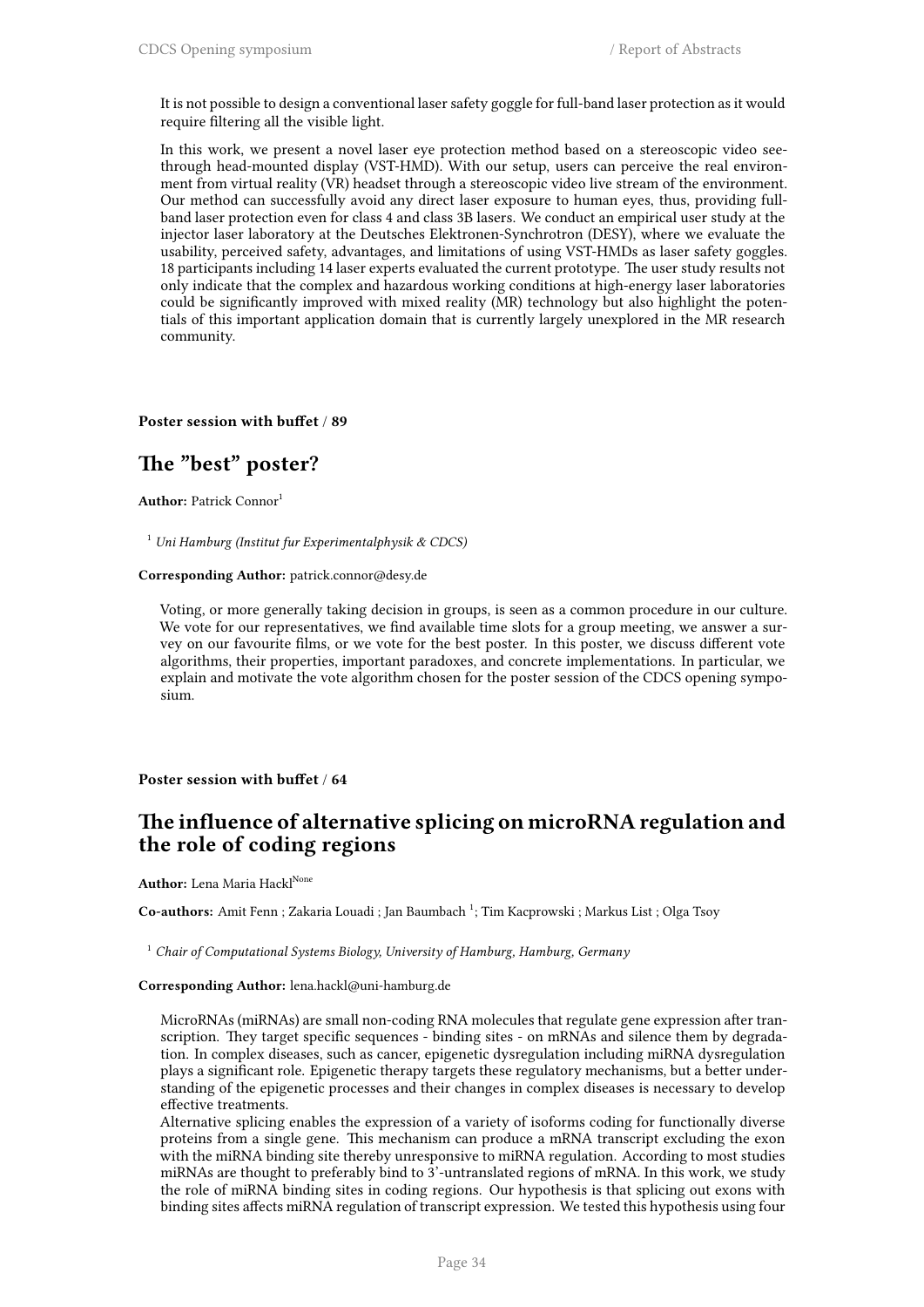It is not possible to design a conventional laser safety goggle for full-band laser protection as it would require filtering all the visible light.

In this work, we present a novel laser eye protection method based on a stereoscopic video seethrough head-mounted display (VST-HMD). With our setup, users can perceive the real environment from virtual reality (VR) headset through a stereoscopic video live stream of the environment. Our method can successfully avoid any direct laser exposure to human eyes, thus, providing fullband laser protection even for class 4 and class 3B lasers. We conduct an empirical user study at the injector laser laboratory at the Deutsches Elektronen-Synchrotron (DESY), where we evaluate the usability, perceived safety, advantages, and limitations of using VST-HMDs as laser safety goggles. 18 participants including 14 laser experts evaluated the current prototype. The user study results not only indicate that the complex and hazardous working conditions at high-energy laser laboratories could be significantly improved with mixed reality (MR) technology but also highlight the potentials of this important application domain that is currently largely unexplored in the MR research community.

#### **Poster session with buffet** / **89**

### **The "best" poster?**

**Author:** Patrick Connor<sup>1</sup>

<sup>1</sup> *Uni Hamburg (Institut fur Experimentalphysik & CDCS)*

**Corresponding Author:** patrick.connor@desy.de

Voting, or more generally taking decision in groups, is seen as a common procedure in our culture. We vote for our representatives, we find available time slots for a group meeting, we answer a survey on our favourite films, or we vote for the best poster. In this poster, we discuss different vote algorithms, their properties, important paradoxes, and concrete implementations. In particular, we explain and motivate the vote algorithm chosen for the poster session of the CDCS opening symposium.

**Poster session with buffet** / **64**

### **The influence of alternative splicing on microRNA regulation and the role of coding regions**

**Author:** Lena Maria Hackl<sup>None</sup>

Co-authors: Amit Fenn ; Zakaria Louadi ; Jan Baumbach<sup>1</sup>; Tim Kacprowski ; Markus List ; Olga Tsoy

<sup>1</sup> *Chair of Computational Systems Biology, University of Hamburg, Hamburg, Germany*

**Corresponding Author:** lena.hackl@uni-hamburg.de

MicroRNAs (miRNAs) are small non-coding RNA molecules that regulate gene expression after transcription. They target specific sequences - binding sites - on mRNAs and silence them by degradation. In complex diseases, such as cancer, epigenetic dysregulation including miRNA dysregulation plays a significant role. Epigenetic therapy targets these regulatory mechanisms, but a better understanding of the epigenetic processes and their changes in complex diseases is necessary to develop effective treatments.

Alternative splicing enables the expression of a variety of isoforms coding for functionally diverse proteins from a single gene. This mechanism can produce a mRNA transcript excluding the exon with the miRNA binding site thereby unresponsive to miRNA regulation. According to most studies miRNAs are thought to preferably bind to 3'-untranslated regions of mRNA. In this work, we study the role of miRNA binding sites in coding regions. Our hypothesis is that splicing out exons with binding sites affects miRNA regulation of transcript expression. We tested this hypothesis using four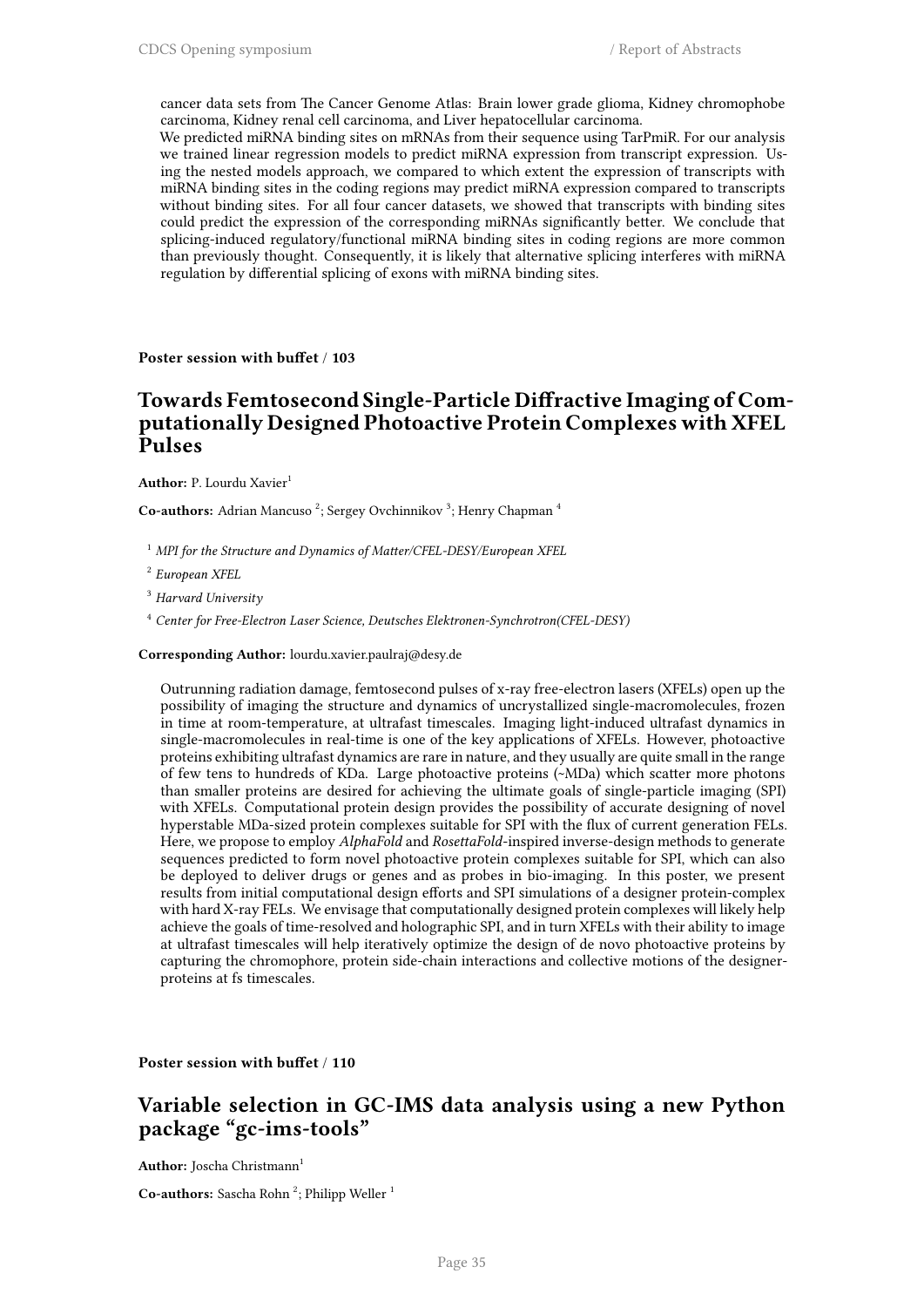cancer data sets from The Cancer Genome Atlas: Brain lower grade glioma, Kidney chromophobe carcinoma, Kidney renal cell carcinoma, and Liver hepatocellular carcinoma.

We predicted miRNA binding sites on mRNAs from their sequence using TarPmiR. For our analysis we trained linear regression models to predict miRNA expression from transcript expression. Using the nested models approach, we compared to which extent the expression of transcripts with miRNA binding sites in the coding regions may predict miRNA expression compared to transcripts without binding sites. For all four cancer datasets, we showed that transcripts with binding sites could predict the expression of the corresponding miRNAs significantly better. We conclude that splicing-induced regulatory/functional miRNA binding sites in coding regions are more common than previously thought. Consequently, it is likely that alternative splicing interferes with miRNA regulation by differential splicing of exons with miRNA binding sites.

**Poster session with buffet** / **103**

### **Towards Femtosecond Single-Particle Diffractive Imaging of Computationally Designed Photoactive Protein Complexes with XFEL Pulses**

Author: P. Lourdu Xavier<sup>1</sup>

Co-authors: Adrian Mancuso<sup>2</sup>; Sergey Ovchinnikov<sup>3</sup>; Henry Chapman<sup>4</sup>

<sup>1</sup> *MPI for the Structure and Dynamics of Matter/CFEL-DESY/European XFEL*

2 *European XFEL*

<sup>3</sup> *Harvard University*

<sup>4</sup> *Center for Free-Electron Laser Science, Deutsches Elektronen-Synchrotron(CFEL-DESY)*

**Corresponding Author:** lourdu.xavier.paulraj@desy.de

Outrunning radiation damage, femtosecond pulses of x-ray free-electron lasers (XFELs) open up the possibility of imaging the structure and dynamics of uncrystallized single-macromolecules, frozen in time at room-temperature, at ultrafast timescales. Imaging light-induced ultrafast dynamics in single-macromolecules in real-time is one of the key applications of XFELs. However, photoactive proteins exhibiting ultrafast dynamics are rare in nature, and they usually are quite small in the range of few tens to hundreds of KDa. Large photoactive proteins (~MDa) which scatter more photons than smaller proteins are desired for achieving the ultimate goals of single-particle imaging (SPI) with XFELs. Computational protein design provides the possibility of accurate designing of novel hyperstable MDa-sized protein complexes suitable for SPI with the flux of current generation FELs. Here, we propose to employ *AlphaFold* and *RosettaFold*-inspired inverse-design methods to generate sequences predicted to form novel photoactive protein complexes suitable for SPI, which can also be deployed to deliver drugs or genes and as probes in bio-imaging. In this poster, we present results from initial computational design efforts and SPI simulations of a designer protein-complex with hard X-ray FELs. We envisage that computationally designed protein complexes will likely help achieve the goals of time-resolved and holographic SPI, and in turn XFELs with their ability to image at ultrafast timescales will help iteratively optimize the design of de novo photoactive proteins by capturing the chromophore, protein side-chain interactions and collective motions of the designerproteins at fs timescales.

**Poster session with buffet** / **110**

### **Variable selection in GC-IMS data analysis using a new Python package "gc-ims-tools"**

**Author:** Joscha Christmann<sup>1</sup>

Co-authors: Sascha Rohn<sup>2</sup>; Philipp Weller<sup>1</sup>